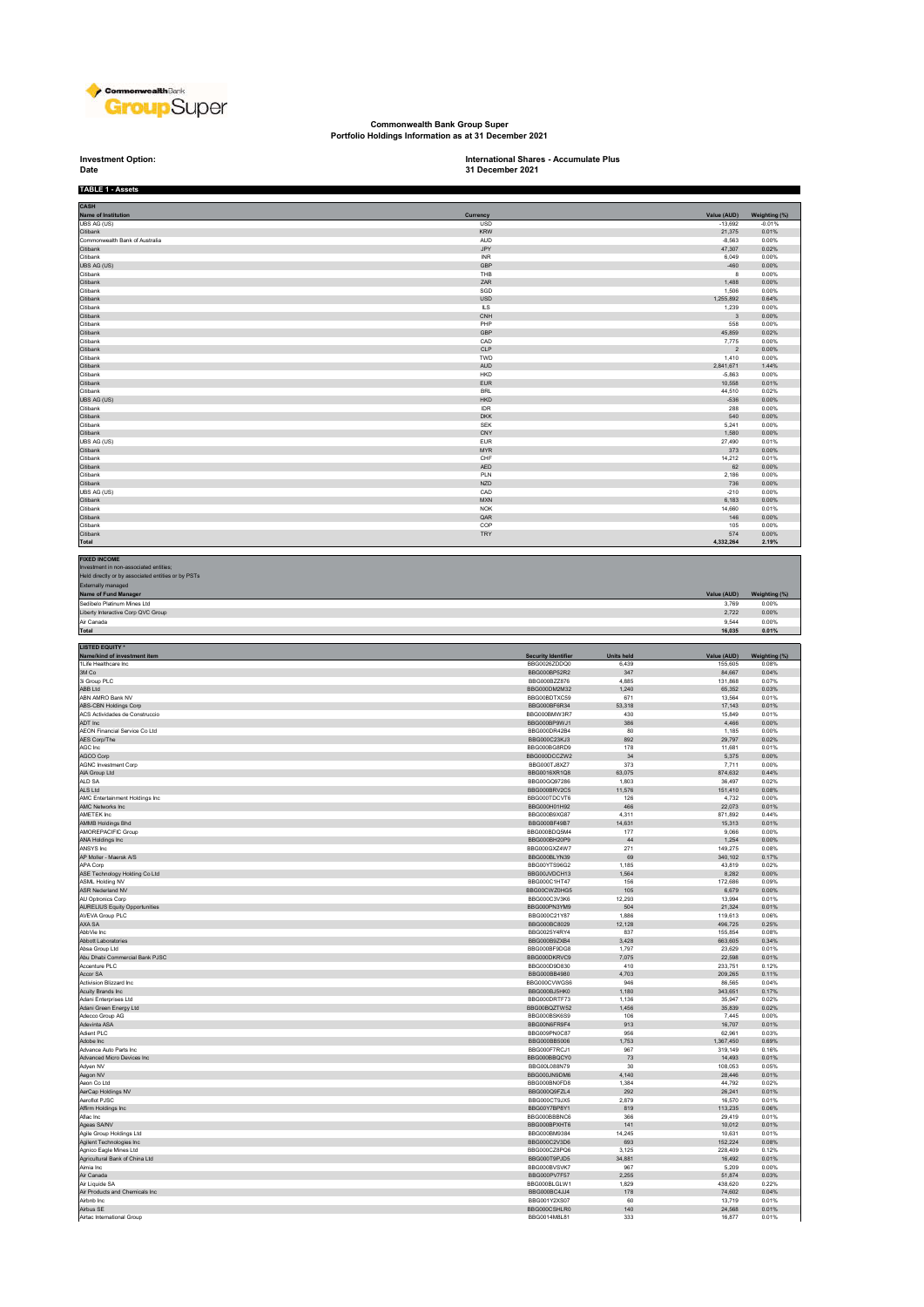

## **Commonwealth Bank Group Super Portfolio Holdings Information as at 31 December 2021**

## **Investment Option:**<br>Date

**Investment Option: International Shares - Accumulate Plus 31 December 2021**

| CASH                                                                                                                                                                                                                                                                                                                                                            |                                            |                            |                         |                        |
|-----------------------------------------------------------------------------------------------------------------------------------------------------------------------------------------------------------------------------------------------------------------------------------------------------------------------------------------------------------------|--------------------------------------------|----------------------------|-------------------------|------------------------|
| Name of Institution                                                                                                                                                                                                                                                                                                                                             | Currency                                   |                            | Value (AUD)             | Weighting (%)          |
| UBS AG (US)<br>Citibank                                                                                                                                                                                                                                                                                                                                         | USD<br><b>KRW</b>                          |                            | $-13,692$<br>21,375     | $-0.01%$<br>0.01%      |
| Commonwealth Bank of Australia                                                                                                                                                                                                                                                                                                                                  | <b>AUD</b>                                 |                            | $-8.563$                | 0.00%                  |
| Citibank<br>Citibank                                                                                                                                                                                                                                                                                                                                            | JPY<br><b>INR</b>                          |                            | 47,307<br>6,049         | 0.02%<br>0.00%         |
| UBS AG (US)                                                                                                                                                                                                                                                                                                                                                     | GBP                                        |                            | $-460$                  | 0.00%                  |
| Citibank<br>Citibank                                                                                                                                                                                                                                                                                                                                            | THB<br>ZAR                                 |                            | 8<br>1.488              | 0.00%<br>0.00%         |
| Citibank                                                                                                                                                                                                                                                                                                                                                        | SGD                                        |                            | 1,506                   | 0.00%                  |
| Citibank<br>Citibank                                                                                                                                                                                                                                                                                                                                            | <b>USD</b><br>ILS                          |                            | 1,255,892<br>1,239      | 0.64%<br>0.00%         |
| Citibank                                                                                                                                                                                                                                                                                                                                                        | CNH                                        |                            | $\overline{\mathbf{3}}$ | 0.00%                  |
| Citibank<br>Citibank                                                                                                                                                                                                                                                                                                                                            | PHP<br>GBP                                 |                            | 558<br>45,859           | 0.00%<br>0.02%         |
| Citibank                                                                                                                                                                                                                                                                                                                                                        | CAD                                        |                            | 7,775                   | 0.00%                  |
| Citibank<br>Citibank                                                                                                                                                                                                                                                                                                                                            | CLP<br>TWD                                 |                            | $\overline{2}$          | 0.00%<br>0.00%         |
| Citibank                                                                                                                                                                                                                                                                                                                                                        | <b>AUD</b>                                 |                            | 1,410<br>2.841.671      | 1.44%                  |
| Citibank                                                                                                                                                                                                                                                                                                                                                        | HKD                                        |                            | $-5,863$                | 0.00%                  |
| Citibank<br>Citibank                                                                                                                                                                                                                                                                                                                                            | <b>EUR</b><br><b>BRL</b>                   |                            | 10,558<br>44,510        | 0.01%<br>0.02%         |
| UBS AG (US)                                                                                                                                                                                                                                                                                                                                                     | <b>HKD</b>                                 |                            | $-536$                  | 0.00%                  |
| Citibank<br>Citibank                                                                                                                                                                                                                                                                                                                                            | <b>IDR</b><br><b>DKK</b>                   |                            | 288<br>540              | 0.00%<br>0.00%         |
| Citibank                                                                                                                                                                                                                                                                                                                                                        | <b>SFK</b>                                 |                            | 5,241                   | 0.00%                  |
| Citibank<br>UBS AG (US)                                                                                                                                                                                                                                                                                                                                         | CNY<br><b>EUR</b>                          |                            | 1,580<br>27,490         | 0.00%<br>0.01%         |
| Citibank                                                                                                                                                                                                                                                                                                                                                        | <b>MYR</b>                                 |                            | 373                     | 0.00%                  |
| Citibank<br>Citibank                                                                                                                                                                                                                                                                                                                                            | CHF<br>AED                                 |                            | 14,212<br>62            | 0.01%<br>0.00%         |
| Citibank                                                                                                                                                                                                                                                                                                                                                        | PLN                                        |                            | 2.186                   | 0.00%                  |
| Citibank<br>UBS AG (US)                                                                                                                                                                                                                                                                                                                                         | <b>NZD</b><br>CAD                          |                            | 736<br>$-210$           | 0.00%<br>0.00%         |
| Citibank                                                                                                                                                                                                                                                                                                                                                        | <b>MXN</b>                                 |                            | 6,183                   | 0.00%                  |
| Citibank                                                                                                                                                                                                                                                                                                                                                        | <b>NOK</b>                                 |                            | 14,660                  | 0.01%                  |
| Citibank<br>Citibank                                                                                                                                                                                                                                                                                                                                            | QAR<br>COP                                 |                            | 146<br>105              | 0.00%<br>0.00%         |
| Citibank                                                                                                                                                                                                                                                                                                                                                        | <b>TRY</b>                                 |                            | 574                     | 0.00%                  |
| Total                                                                                                                                                                                                                                                                                                                                                           |                                            |                            | 4,332,264               | 2.19%                  |
| <b>FIXED INCOME</b><br>Investment in non-associated entities;<br>Held directly or by associated entities or by PSTs<br>Externally managed<br><b>Name of Fund Manager</b>                                                                                                                                                                                        |                                            |                            | Value (AUD)             |                        |
| Sedibelo Platinum Mines Ltd                                                                                                                                                                                                                                                                                                                                     |                                            |                            | 3.769                   | Weighting (%)<br>0.00% |
| Liberty Interactive Corp QVC Group                                                                                                                                                                                                                                                                                                                              |                                            |                            | 2.722                   | 0.00%                  |
| Air Canada<br>Total                                                                                                                                                                                                                                                                                                                                             |                                            |                            | 9,544<br>16,035         | 0.00%<br>0.01%         |
|                                                                                                                                                                                                                                                                                                                                                                 |                                            |                            |                         |                        |
| <b>LISTED EQUITY *</b>                                                                                                                                                                                                                                                                                                                                          |                                            |                            |                         |                        |
| Name/kind of investment item<br>1Life Healthcare Inc                                                                                                                                                                                                                                                                                                            | <b>Security Identifier</b><br>BBG0026ZDDQ0 | <b>Units held</b><br>6.439 | Value (AUD)<br>155,605  | Weighting (%)<br>0.08% |
| 3M Co                                                                                                                                                                                                                                                                                                                                                           | BBG000BP52R2                               | 347                        | 84,667                  | 0.04%                  |
| 3i Group PLC<br>ABB Ltd                                                                                                                                                                                                                                                                                                                                         | BBG000BZZ876<br>BBG000DM2M32               | 4.885<br>1,240             | 131,868<br>65,352       | 0.07%<br>0.03%         |
| ABN AMRO Bank NV                                                                                                                                                                                                                                                                                                                                                | BBG00BDTXC59                               | 671                        | 13,564                  | 0.01%                  |
| ABS-CBN Holdings Corp<br>ACS Actividades de Construccio                                                                                                                                                                                                                                                                                                         | BBG000BF6R34<br>BBG000BMW3R7               | 53,318<br>430              | 17,143<br>15,849        | 0.01%<br>0.01%         |
| ADT Inc                                                                                                                                                                                                                                                                                                                                                         | BBG000BP9WJ1                               | 386                        | 4,466                   | 0.00%                  |
| AEON Financial Service Co Ltd<br>AES Corp/The                                                                                                                                                                                                                                                                                                                   | BBG000DR42B4<br>BBG000C23KJ3               | 80<br>892                  | 1,185<br>29,797         | 0.00%<br>0.02%         |
| AGC Inc                                                                                                                                                                                                                                                                                                                                                         | BBG000BG8RD9                               | 178                        | 11.681                  | 0.01%                  |
| AGCO Corp<br><b>AGNC Investment Corp</b>                                                                                                                                                                                                                                                                                                                        | BBG000DCCZW2<br>BBG000TJ8XZ7               | 34<br>373                  | 5,375<br>7,711          | 0.00%<br>0.00%         |
| AIA Group Ltd                                                                                                                                                                                                                                                                                                                                                   |                                            |                            |                         |                        |
|                                                                                                                                                                                                                                                                                                                                                                 | BBG0016XR1Q8                               | 63,075                     | 874,632                 | 0.44%                  |
| ALD SA                                                                                                                                                                                                                                                                                                                                                          | BBG00GQ97286                               | 1,803                      | 36,497                  | 0.02%                  |
| ALS Ltd<br>AMC Entertainment Holdings Inc                                                                                                                                                                                                                                                                                                                       | BBG000BRV2C5<br>BBG000TDCVT6               | 11,576<br>126              | 151,410<br>4,732        | 0.08%<br>0.00%         |
| AMC Networks Inc                                                                                                                                                                                                                                                                                                                                                | BBG000H01H92                               | 466                        | 22,073                  | 0.01%                  |
| AMETEK Inc                                                                                                                                                                                                                                                                                                                                                      | BBG000B9XG87                               | 4,311                      | 871,892                 | 0.44%                  |
|                                                                                                                                                                                                                                                                                                                                                                 | BBG000BF49B7<br>BBG000BDQ5M4               | 14,631<br>177              | 15,313<br>9.066         | 0.01%<br>0.00%         |
|                                                                                                                                                                                                                                                                                                                                                                 | BBG000BH20P9                               | 44                         | 1,254                   | 0.00%                  |
| AMMB Holdings Bhd<br>AMOREPACIFIC Group<br>ANA Holdings Inc<br>ANSYS Inc.<br>AP Moller - Maersk A/S                                                                                                                                                                                                                                                             | BBG000GXZ4W7<br>BBG000BLYN39               | 271<br>69                  | 149,275<br>340,102      | 0.08%<br>0.17%         |
| APA Corp                                                                                                                                                                                                                                                                                                                                                        | BBG00YTS96G2                               | 1,185                      | 43,819                  | 0.02%                  |
| ASE Technology Holding Co Ltd<br>ASML Holding NV                                                                                                                                                                                                                                                                                                                | BBG00JVDCH13<br>BBG000C1HT47               | 1.564<br>156               | 8.282<br>172,686        | 0.00%<br>0.09%         |
|                                                                                                                                                                                                                                                                                                                                                                 | BBG00CWZ0HG5                               | 105                        | 6,679                   | 0.00%                  |
|                                                                                                                                                                                                                                                                                                                                                                 | BBG000C3V3K6<br>BBG000PN3YM9               | 12.293<br>504              | 13,994<br>21,324        | 0.01%<br>0.01%         |
|                                                                                                                                                                                                                                                                                                                                                                 | BBG000C21Y87                               | 1.886                      | 119.613                 | 0.06%                  |
|                                                                                                                                                                                                                                                                                                                                                                 | BBG000BC8029<br>BBG0025Y4RY4               | 12,128<br>837              | 496,725<br>155,854      | 0.25%<br>0.08%         |
|                                                                                                                                                                                                                                                                                                                                                                 | BBG000B9ZXB4                               | 3,428                      | 663,605                 | 0.34%                  |
|                                                                                                                                                                                                                                                                                                                                                                 | BBG000BF9DG8                               | 1,797                      | 23,629                  | 0.01%                  |
| ASR Nederland NV<br>AU Optronics Corp<br><b>AURELIUS Equity Opportunities</b><br>AVEVA Group PLC<br>AXA SA<br>AbbVie Inc<br>Abbott Laboratories<br>Absa Group Ltd<br>Abu Dhabi Commercial Bank PJSC<br>Accenture PLC                                                                                                                                            | BBG000DKRVC9<br>BBG000D9D830               | 7,075<br>410               | 22,598<br>233,751       | 0.01%<br>0.12%         |
|                                                                                                                                                                                                                                                                                                                                                                 | BBG000BB4980                               | 4,703                      | 209,265                 | 0.11%                  |
|                                                                                                                                                                                                                                                                                                                                                                 | BBG000CVWGS6<br>BBG000BJ5HK0               | 946<br>1,180               | 86,565<br>343,651       | 0.04%<br>0.17%         |
| Accor SA<br>Activision Blizzard Inc.<br>Acuity Brands Inc<br>Adani Enterprises Ltd                                                                                                                                                                                                                                                                              | BBG000DRTF73                               | 1.136                      | 35.947                  | 0.02%                  |
| Adani Green Energy Ltd<br>Adecco Group AG                                                                                                                                                                                                                                                                                                                       | BBG00BQZTW52<br>BBG000BSK6S9               | 1,456<br>106               | 35,839<br>7,445         | 0.02%<br>0.00%         |
| Adevinta ASA                                                                                                                                                                                                                                                                                                                                                    | BBG00N6FR9F4                               | 913                        | 16,707                  | 0.01%                  |
|                                                                                                                                                                                                                                                                                                                                                                 | BBG009PN0C87<br>BBG000BB5006               | 956<br>1,753               | 62,961<br>1,367,450     | 0.03%<br>0.69%         |
|                                                                                                                                                                                                                                                                                                                                                                 | BBG000F7RCJ1                               | 967                        | 319,149                 | 0.16%                  |
|                                                                                                                                                                                                                                                                                                                                                                 | BBG000BBQCY0<br>BBG00L088N79               | 73<br>30                   | 14,493<br>108.053       | 0.01%<br>0.05%         |
|                                                                                                                                                                                                                                                                                                                                                                 | BBG000JN9DM6                               | 4,140                      | 28,446                  | 0.01%                  |
|                                                                                                                                                                                                                                                                                                                                                                 | BBG000BN0FD8<br>BBG000Q9FZL4               | 1.384<br>292               | 44.792<br>26,241        | 0.02%<br>0.01%         |
|                                                                                                                                                                                                                                                                                                                                                                 | BBG000CT9JX5                               | 2,879                      | 16,570                  | 0.01%                  |
|                                                                                                                                                                                                                                                                                                                                                                 | BBG00Y7BP8Y1                               | 819<br>366                 | 113,235                 | 0.06%<br>0.01%         |
|                                                                                                                                                                                                                                                                                                                                                                 | BBG000BBBNC6<br>BBG000BPXHT6               | 141                        | 29,419<br>10,012        | 0.01%                  |
|                                                                                                                                                                                                                                                                                                                                                                 | BBG000BM9384                               | 14,245                     | 10,631                  | 0.01%                  |
|                                                                                                                                                                                                                                                                                                                                                                 | BBG000C2V3D6<br>BBG000CZ8PQ6               | 693<br>3.125               | 152,224<br>228,409      | 0.08%<br>0.12%         |
|                                                                                                                                                                                                                                                                                                                                                                 | BBG000T9PJD5                               | 34,881                     | 16,492                  | 0.01%                  |
| Adient PLC<br>Adobe Inc<br>Advance Auto Parts Inc<br>Advanced Micro Devices Inc<br>Adven NV<br>Aegon NV<br>Aeon Co Ltd<br>AerCap Holdings NV<br>Aeroflot PJSC<br>Affirm Holdings Inc<br>Aflac Inc<br>Ageas SA/NV<br>Agile Group Holdings Ltd<br>Agilent Technologies Inc<br>Agnico Eagle Mines Ltd<br>Agricultural Bank of China Ltd<br>Aimia Inc<br>Air Canada | BBG000BVSVK7<br>BBG000PV7F57               | 967<br>2,255               | 5.209<br>51,874         | 0.00%<br>0.03%         |
| Air Liquide SA                                                                                                                                                                                                                                                                                                                                                  | BBG000BLGLW1                               | 1,829                      | 438,620                 | 0.22%                  |
| Air Products and Chemicals Inc<br>Airbnb Inc                                                                                                                                                                                                                                                                                                                    | BBG000BC4JJ4<br>BBG001Y2XS07               | 178<br>60                  | 74.602<br>13,719        | 0.04%<br>0.01%         |
| Airbus SE<br>Airtac International Group                                                                                                                                                                                                                                                                                                                         | BBG000CSHLR0<br>BBG0014M8L81               | 140<br>333                 | 24,568<br>16,877        | 0.01%<br>0.01%         |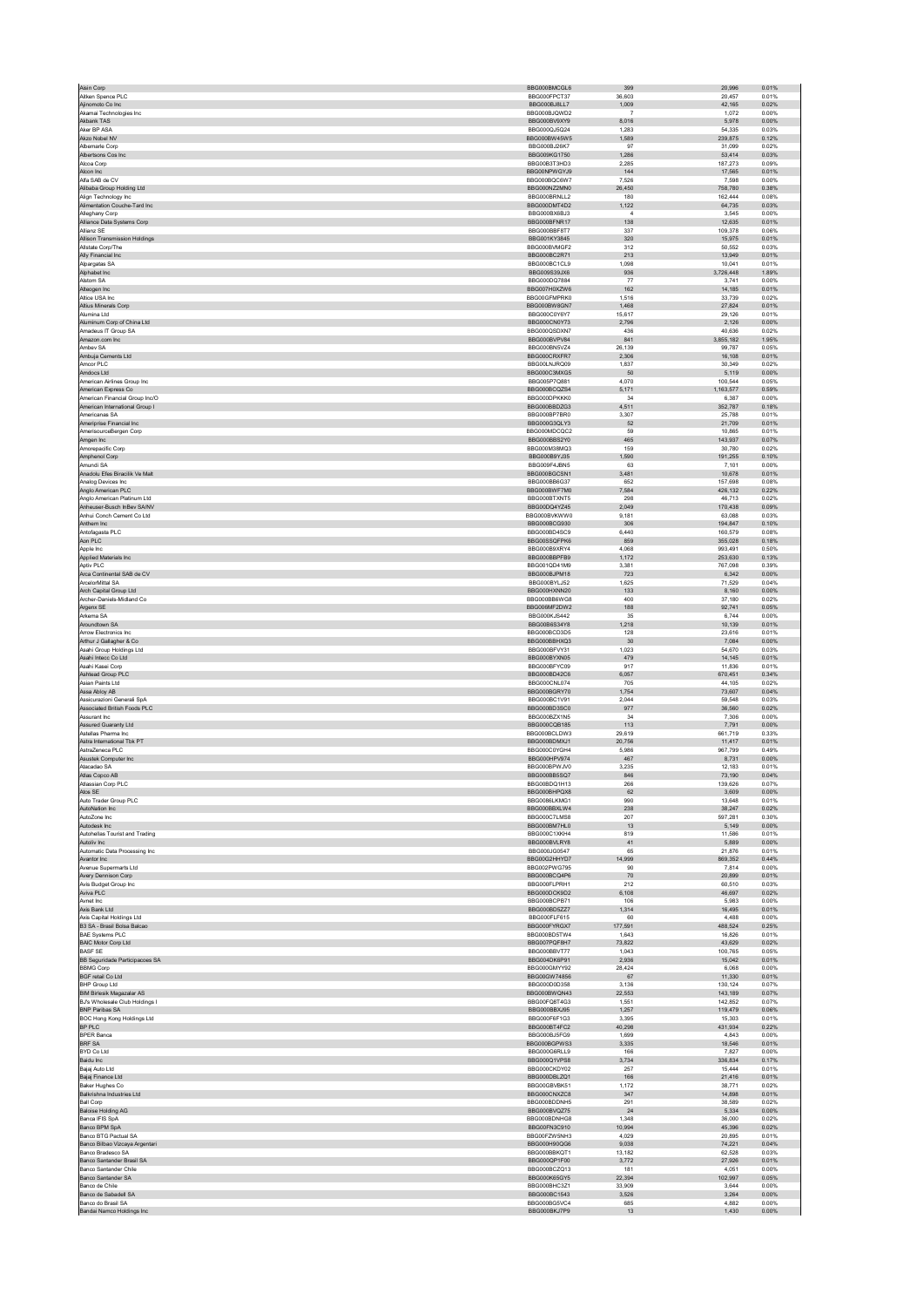| Aisin Corp                                                         | BBG000BMCGL6                 | 399              | 20.996             | 0.01%          |
|--------------------------------------------------------------------|------------------------------|------------------|--------------------|----------------|
| Aitken Spence PLC                                                  | BBG000FPCT37                 | 36,603           | 20,457             | 0.01%          |
| Ajinomoto Co Inc<br>Akamai Technologies Inc.                       | BBG000BJ8LL7<br>BBG000BJQWD2 | 1,009<br>-7      | 42,165<br>1.072    | 0.02%<br>0.00% |
| Akbank TAS                                                         | BBG000BV9XY9                 | 8,016            | 5,978              | 0.00%          |
| Aker RP ASA                                                        | BBG000QJ5Q24                 | 1.283            | 54.335             | 0.03%          |
| Akzo Nobel NV                                                      | BBG000BW45W5                 | 1,589            | 239,875            | 0.12%          |
| Albemarle Corp<br>Albertsons Cos Inc.                              | BBG000BJ26K7<br>BBG009KG1750 | 97<br>1.286      | 31,099<br>53.414   | 0.02%<br>0.03% |
| Alcoa Corp                                                         | BBG00B3T3HD3                 | 2,285            | 187,273            | 0.09%          |
| Alcon Inc                                                          | BBG00NPWGYJ9                 | 144              | 17,565             | 0.01%          |
| Alfa SAB de CV                                                     | BBG000BQC6W7                 | 7,526            | 7,598              | 0.00%          |
| Alibaba Group Holding Ltd<br>Alian Technology Inc.                 | BBG000NZ2MN0<br>BBG000BRNLL2 | 26,450<br>180    | 758,780<br>162.444 | 0.38%<br>0.08% |
| Alimentation Couche-Tard Inc                                       | BBG000DMT4D2                 | 1,122            | 64,735             | 0.03%          |
| Alleghany Corp                                                     | BBG000BX6BJ3                 | $\overline{a}$   | 3.545              | 0.00%          |
| Alliance Data Systems Corp                                         | BBG000BFNR17                 | 138              | 12,635             | 0.01%          |
| Allianz SE<br><b>Allison Transmission Holdings</b>                 | BBG000BBF8T7<br>BBG001KY3845 | 337<br>320       | 109,378<br>15.975  | 0.06%<br>0.01% |
| Allstate Corp/The                                                  | BBG000BVMGF2                 | 312              | 50,552             | 0.03%          |
| Ally Financial Inc                                                 | BBG000BC2R71                 | 213              | 13,949             | 0.01%          |
| Alpargatas SA                                                      | BBG000BC1CL9                 | 1,098            | 10,041             | 0.01%          |
| Alphabet Inc                                                       | BBG009S39JX6                 | 936              | 3,726,448          | 1.89%          |
| Alstom SA<br>Alteogen Inc                                          | BBG000DQ7884<br>BBG007H0XZW6 | 77<br>162        | 3.741<br>14,185    | 0.00%<br>0.01% |
| Altice USA Inc.                                                    | BBG00GFMPRK0                 | 1.516            | 33.739             | 0.02%          |
| Altius Minerals Corp                                               | BBG000BW8GN7                 | 1.468            | 27.824             | 0.01%          |
| Alumina Ltd                                                        | BBG000C0Y6Y7                 | 15,617           | 29,126             | 0.01%          |
| Aluminum Corp of China Ltd<br>Amadeus IT Group SA                  | BBG000CN0Y73<br>BBG000QSDXN7 | 2,796<br>436     | 2.126<br>40,636    | 0.00%<br>0.02% |
| Amazon.com Inc                                                     | BBG000BVPV84                 | 841              | 3,855,182          | 1.95%          |
| Ambey SA                                                           | BBG000BN5VZ4                 | 26.139           | 99.787             | 0.05%          |
| Ambuja Cements Ltd                                                 | BBG000CRXFR7                 | 2,306            | 16,108             | 0.01%          |
| Amcor PLC                                                          | BBG00LNJRQ09                 | 1.837            | 30.349             | 0.02%          |
| Amdocs Ltd<br>American Airlines Group Inc.                         | BBG000C3MXG5<br>BBG005P7Q881 | 50<br>4.070      | 5,119<br>100.544   | 0.00%<br>0.05% |
| American Express Co                                                | BBG000BCQZS4                 | 5,171            | 1.163.577          | 0.59%          |
| American Financial Group Inc/O                                     | BBG000DPKKK0                 | 34               | 6,387              | 0.00%          |
| American International Group I                                     | BBG000BBDZG3<br>BBG000BP7BR0 | 4.511            | 352.787            | 0.18%          |
| Americanas SA<br>Ameriprise Financial Inc                          | BBG000G3QLY3                 | 3,307<br>52      | 25,788<br>21,709   | 0.01%<br>0.01% |
| AmerisourceBergen Corp                                             | BBG000MDCOC2                 | 59               | 10.865             | 0.01%          |
| Amgen Inc                                                          | BBG000BBS2Y0                 | 465              | 143,937            | 0.07%          |
| Amorepacific Corp                                                  | BBG000M38MQ3                 | 159              | 30.780             | 0.02%          |
| Amphenol Corp<br>Amundi SA                                         | BBG000B9YJ35<br>BBG009F4JBN5 | 1,590<br>63      | 191,255<br>7.101   | 0.10%<br>0.00% |
| Anadolu Efes Biracilik Ve Malt                                     | BBG000BGCSN1                 | 3.481            | 10.678             | 0.01%          |
| Analog Devices Inc                                                 | BBG000BB6G37                 | 652              | 157,698            | 0.08%          |
| Anglo American PLC                                                 | BBG000BWF7M0                 | 7,584            | 426.132            | 0.22%          |
| Anglo American Platinum Ltd                                        | BBG000BTXNT5                 | 298<br>2.049     | 46,713             | 0.02%          |
| Anheuser-Busch InBev SA/NV<br>Anhui Conch Cement Co Ltd            | BBG00DQ4YZ45<br>BBG000BVKWW0 | 9.181            | 170,438<br>63.088  | 0.09%<br>0.03% |
| Anthem Inc                                                         | BBG000BCG930                 | 306              | 194,847            | 0.10%          |
| Antofagasta PLC                                                    | BBG000BD4SC9                 | 6,440            | 160.579            | 0.08%          |
| Aon PLC                                                            | BBG00SSQFPK6                 | 859              | 355,028            | 0.18%          |
| Apple Inc<br>Applied Materials Inc.                                | BBG000B9XRY4<br>BBG000BBPFB9 | 4.068<br>1.172   | 993.491<br>253,630 | 0.50%<br>0.13% |
| Aptiv PLC                                                          | BBG001QD41M9                 | 3,381            | 767,098            | 0.39%          |
| Arca Continental SAB de CV                                         | BBG000BJPM18                 | 723              | 6,342              | 0.00%          |
| ArcelorMittal SA                                                   | BBG000BYLJ52                 | 1,625            | 71,529             | 0.04%          |
| Arch Capital Group Ltd                                             | BBG000HXNN20<br>BBG000BB6WG8 | 133<br>400       | 8,160<br>37.180    | 0.00%          |
| Archer-Daniels-Midland Co.<br>Argenx SE                            | BBG006MF2DW2                 | 188              | 92,741             | 0.02%<br>0.05% |
| Arkema SA                                                          | BBG000KJS442                 | 35               | 6.744              | 0.00%          |
| Aroundtown SA                                                      | BBG00B6S34Y8                 | 1,218            | 10,139             | 0.01%          |
| Arrow Electronics Inc.                                             | BBG000BCD3D5                 | 128              | 23,616             | 0.01%          |
| Arthur J Gallagher & Co.<br>Asahi Group Holdings Ltd               | BBG000BBHXQ3<br>BBG000BFVY31 | 30<br>1,023      | 7.084<br>54,670    | 0.00%<br>0.03% |
| Asahi Intecc Co Ltd                                                | BBG000BYXN05                 | 479              | 14,145             | 0.01%          |
| Asahi Kasei Corp                                                   | BBG000BFYC09                 | 917              | 11,836             | 0.01%          |
| Ashtead Group PLC                                                  | BBG000BD42C6                 | 6,057            | 670,451            | 0.34%          |
| Asian Paints I td                                                  | BBG000CNL074<br>BBG000BGRY70 | 705<br>1,754     | 44.105<br>73,607   | 0.02%<br>0.04% |
| Assa Abloy AB<br>Assicurazioni Generali SpA                        | BBG000BC1V91                 | 2,044            | 59.548             | 0.03%          |
| Associated British Foods PLC                                       | BBG000BD3SC0                 | 977              | 36,560             | 0.02%          |
| Assurant Inc.                                                      | BBG000BZX1N5                 | 34               | 7,306              | 0.00%          |
| Assured Guaranty Ltd<br>Astellas Pharma Inc                        | BBG000CQB185<br>BBG000BCLDW3 | 113<br>29,619    | 7,791<br>661,719   | 0.00%<br>0.33% |
| Astra International Tbk PT                                         | BBG000BDMXJ1                 | 20,756           | 11,417             | 0.01%          |
| AstraZeneca PLC                                                    | BBG000C0YGH4                 | 5,986            | 967,799            | 0.49%          |
| Asustek Computer Inc                                               | BBG000HPV974                 | 467              | 8,731              | 0.00%          |
| Atacadao SA                                                        | BBG000BPWJV0                 | 3.235            | 12.183             | 0.01%          |
| Atlas Copco AB<br>Atlassian Corp PLC                               | BBG000BB5SQ7<br>BBG00BDQ1H13 | 846<br>266       | 73,190<br>139.626  | 0.04%<br>0.07% |
| Atos SE                                                            | BBG000BHPQX8                 | 62               | 3,609              | 0.00%          |
| Auto Trader Group PLC                                              | BBG0086LKMG1                 | 990              | 13.648             | 0.01%          |
| AutoNation Inc.                                                    | BBG000BBXLW4                 | 238              | 38,247             | 0.02%          |
| AutoZone Inc<br>Autodesk Inc                                       | BBG000C7LMS8<br>BBG000BM7HL0 | 207<br>13        | 597,281<br>5,149   | 0.30%<br>0.00% |
| Autohellas Tourist and Trading                                     | BBG000C1XKH4                 | 819              | 11,586             | 0.01%          |
| Autoliv Inc                                                        | BBG000BVLRY8                 | $41\,$           | 5,889              | 0.00%          |
| Automatic Data Processing Inc.                                     | BBG000JG0547                 | 65               | 21.876             | 0.01%          |
| Avantor Inc<br>Avenue Supermarts Ltd                               | BBG00G2HHYD7<br>BBG002PWG795 | 14,999<br>90     | 869,352<br>7,814   | 0.44%<br>0.00% |
| Avery Dennison Corp                                                | BBG000BCQ4P6                 | $70$             | 20,899             | 0.01%          |
| Avis Budget Group Inc                                              | BBG000FLPRH1                 | 212              | 60,510             | 0.03%          |
| Aviva PLC                                                          | BBG000DCK9D2                 | 6,108            | 46.697             | 0.02%          |
| Avnet Inc<br>Axis Bank I td                                        | BBG000BCPB71<br>BBG000BD5ZZ7 | 106<br>1,314     | 5,983<br>16,495    | 0.00%<br>0.01% |
| Axis Capital Holdings Ltd                                          | BBG000FLF615                 | 60               | 4,488              | 0.00%          |
| B3 SA - Brasil Bolsa Balcao                                        | BBG000FYRGX7                 | 177,591          | 488,524            | 0.25%          |
| <b>BAE Systems PLC</b>                                             | BBG000BD5TW4                 | 1.643            | 16.826             | 0.01%          |
| <b>BAIC Motor Corp Ltd</b><br><b>BASE SE</b>                       | BBG007PQF8H7<br>BBG000BBVT77 | 73,822<br>1,043  | 43,629<br>100.765  | 0.02%<br>0.05% |
| BB Seguridade Participacoes SA                                     | BBG004DK6P91                 | 2,936            | 15,042             | 0.01%          |
| <b>BBMG Corp</b>                                                   | BBG000GMYY92                 | 28,424           | 6,068              | 0.00%          |
| <b>BGF</b> retail Co Ltd                                           |                              | 67               | 11,330             | 0.01%          |
| <b>BHP Group Ltd</b>                                               | BBG00GW74856                 |                  | 130,124            | 0.07%<br>0.07% |
| <b>BIM Birlesik Magazalar AS</b><br>BJ's Wholesale Club Holdings I | BBG000D0D358                 | 3,136            |                    |                |
| BNP Paribas SA                                                     | BBG000BWQN43<br>BBG00FQ8T4G3 | 22,553<br>1,551  | 143,189<br>142,852 | 0.07%          |
| <b>BOC Hong Kong Holdings Ltd</b>                                  | BBG000BBXJ95                 | 1,257            | 119,479            | 0.06%          |
|                                                                    | BBG000F6F1G3                 | 3.395            | 15.303             | 0.01%          |
| BP PLC                                                             | BBG000BT4FC2                 | 40,298           | 431,934            | 0.22%          |
| <b>BPER Banca</b>                                                  | BBG000BJ5FG9                 | 1,699            | 4.843              | 0.00%          |
| BRF SA<br>BYD Co Ltd                                               | BBG000BGPWS3<br>BBG000G6RLL9 | 3,335<br>166     | 18,546<br>7,827    | 0.01%<br>0.00% |
| Baidu Inc                                                          | BBG000Q1VPS8                 | 3.734            | 336.834            | 0.17%          |
| Bajaj Auto Ltd                                                     | BBG000CKDY02                 | 257              | 15,444             | 0.01%          |
| Bajaj Finance Ltd                                                  | BBG000DBLZQ1                 | 166              | 21,416             | 0.01%          |
| Baker Hughes Co                                                    | BBG00GBVBK51                 | 1,172            | 38,771             | 0.02%          |
| Balkrishna Industries Ltd<br><b>Ball Corp</b>                      | BBG000CNXZC8<br>BBG000BDDNH5 | 347<br>291       | 14,898<br>38,589   | 0.01%<br>0.02% |
| <b>Baloise Holding AG</b>                                          | BBG000BVQZ75                 | 24               | 5,334              | 0.00%          |
| Banca IFIS SpA                                                     | BBG000BDNHG8                 | 1,348            | 36,000             | 0.02%          |
| Banco BPM SpA                                                      | BBG00FN3C910                 | 10,994           | 45,396             | 0.02%          |
| Banco BTG Pactual SA<br>Banco Bilbao Vizcaya Argentari             | BBG00FZW5NH3<br>BBG000H90QG6 | 4,029<br>9.038   | 20,895<br>74.221   | 0.01%<br>0.04% |
| Banco Bradesco SA                                                  | BBG000BBKQT1                 | 13,182           | 62,528             | 0.03%          |
| Banco Santander Brasil SA                                          | BBG000QP1F00                 | 3,772            | 27,926             | 0.01%          |
| Banco Santander Chile                                              | BBG000BCZQ13                 | 181              | 4,051              | 0.00%          |
| Banco Santander SA<br>Banco de Chile                               | BBG000K65GY5<br>BBG000BHC3Z1 | 22,394<br>33.909 | 102,997<br>3.644   | 0.05%<br>0.00% |
| Banco de Sabadell SA                                               | BBG000BC1543                 | 3,526            | 3,264              | 0.00%          |
| Banco do Brasil SA<br>Bandai Namco Holdings Inc                    | BBG000BG5VC4<br>BBG000BKJ7P9 | 685<br>13        | 4,882<br>1,430     | 0.00%<br>0.00% |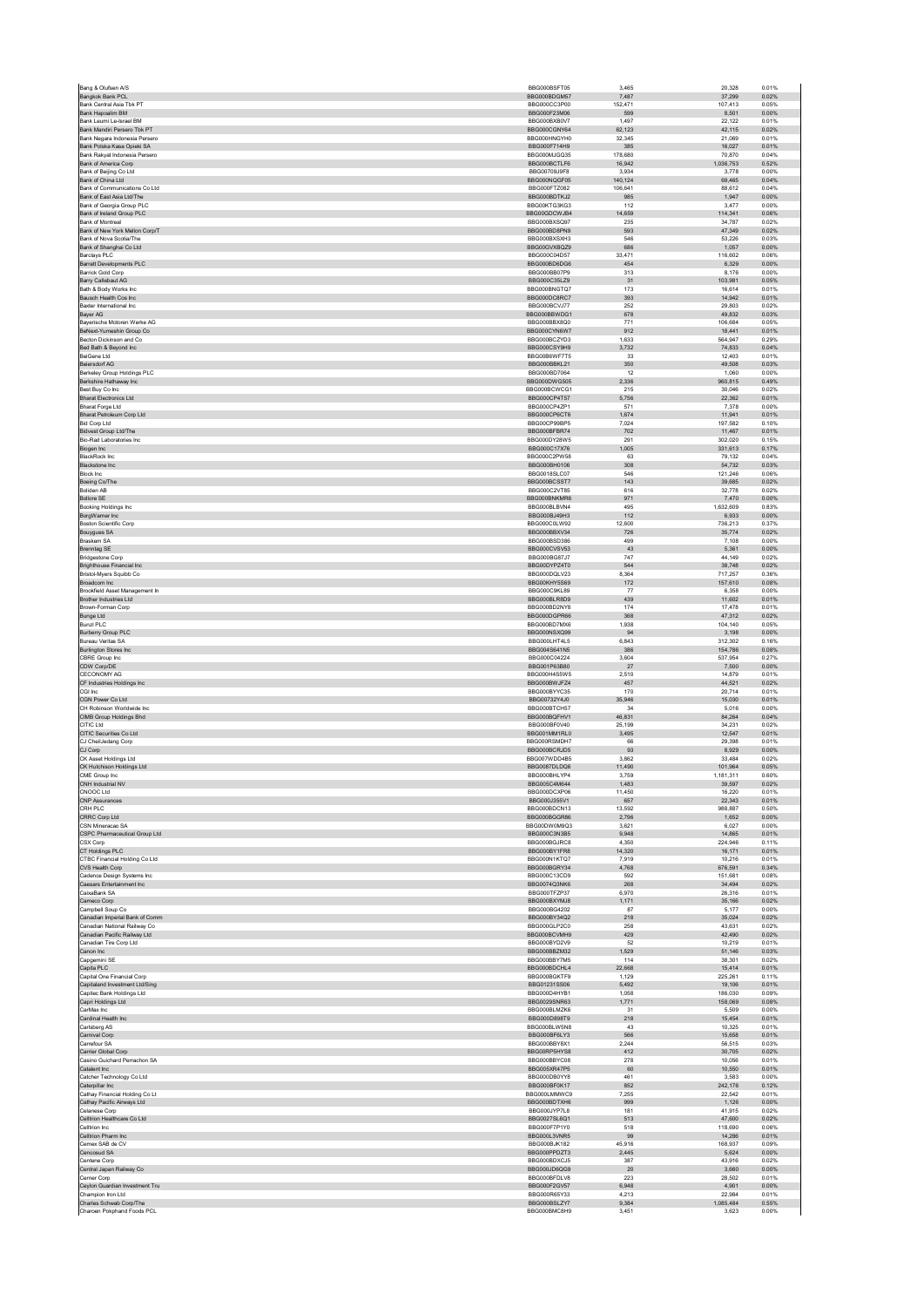| Bang & Olufsen A/S                                              | BBG000BSFT05                 | 3,465            | 20,328             | 0.01%          |
|-----------------------------------------------------------------|------------------------------|------------------|--------------------|----------------|
| Bangkok Bank PCL<br>Bank Central Asia Tbk PT                    | BBG000BDGM57<br>BBG000CC3P00 | 7,487<br>152.471 | 37,299<br>107.413  | 0.02%<br>0.05% |
| Bank Hapoalim BM                                                | BBG000F23M06                 | 599              | 8,501              | 0.00%          |
| Bank Leumi Le-Israel BM                                         | BBG000BXB0V7                 | 1,497            | 22.122             | 0.01%          |
| Bank Mandiri Persero Tbk PT                                     | BBG000CGNY64                 | 62,123           | 42,115             | 0.02%          |
| Bank Negara Indonesia Persero<br>Bank Polska Kasa Opieki SA     | BBG000HNGYH0<br>BBG000F714H9 | 32,345<br>385    | 21.069<br>16.027   | 0.01%<br>0.01% |
| Bank Rakyat Indonesia Persero                                   | BBG000MJGQ35                 | 178,680          | 70,870             | 0.04%          |
| <b>Bank of America Corp</b>                                     | BBG000BCTLF6                 | 16,942           | 1,036,753          | 0.52%          |
| Bank of Beijing Co Ltd<br>Bank of China Ltd                     | BBG00709J9F8<br>BBG000NQGF05 | 3,934<br>140,124 | 3,778<br>69.465    | 0.00%<br>0.04% |
| Bank of Communications Co Ltd.                                  | BBG000FTZ082                 | 106.641          | 88.612             | 0.04%          |
| Bank of East Asia Ltd/The                                       | BBG000BDTKJ2                 | 985              | 1,947              | 0.00%          |
| Bank of Georgia Group PLC                                       | BBG00KTG3KG3                 | 112              | 3.477              | 0.00%          |
| Bank of Ireland Group PLC<br><b>Bank of Montreal</b>            | BBG00GDCWJB4<br>BBG000BXSQ97 | 14,659<br>235    | 114,341<br>34.787  | 0.06%<br>0.02% |
| Bank of New York Mellon Corp/T                                  | BBG000BD8PN9                 | 593              | 47.349             | 0.02%          |
| Bank of Nova Scotia/The                                         | BBG000BXSXH3                 | 546              | 53,226             | 0.03%          |
| Bank of Shanghai Co Ltd<br>Barclays PLC                         | BBG00GVXBQZ9<br>BBG000C04D57 | 686<br>33,471    | 1,057<br>116,602   | 0.00%<br>0.06% |
| <b>Barratt Developments PLC</b>                                 | BBG000BD6DG6                 | 454              | 6,329              | 0.00%          |
| <b>Barrick Gold Corp</b>                                        | BBG000BB07P9<br>BBG000C35LZ9 | 313              | 8.176              | 0.00%          |
| Barry Callebaut AG<br>Bath & Body Works Inc.                    | BBG000BNGTQ7                 | 31<br>173        | 103,981<br>16.614  | 0.05%<br>0.01% |
| Bausch Health Cos Inc                                           | BBG000DC8RC7                 | 393              | 14,942             | 0.01%          |
| Baxter International Inc                                        | BBG000BCVJ77                 | 252              | 29,803             | 0.02%          |
| Bayer AG<br>Bayerische Motoren Werke AG                         | BBG000BBWDG1<br>BBG000BBX8Q0 | 678<br>771       | 49.832<br>106,684  | 0.03%<br>0.05% |
| BeNext-Yumeshin Group Co                                        | BBG000CYN6W7                 | 912              | 18,441             | 0.01%          |
| Becton Dickinson and Co                                         | BBG000BCZYD3                 | 1,633            | 564,947            | 0.29%          |
| Bed Bath & Beyond Inc<br>BeiGene Ltd                            | BBG000CSY9H9<br>BBG00B6WF7T5 | 3,732<br>33      | 74,833<br>12.403   | 0.04%<br>0.01% |
| <b>Beiersdorf AG</b>                                            | BBG000BBKL21                 | 350              | 49,508             | 0.03%          |
| Berkeley Group Holdings PLC                                     | BBG000BD7064                 | 12               | 1.060              | 0.00%          |
| Berkshire Hathaway Inc<br>Best Buy Co Inc                       | BBG000DWG505<br>BBG000BCWCG1 | 2,336<br>215     | 960,815<br>30,046  | 0.49%<br>0.02% |
| <b>Bharat Electronics Ltd</b>                                   | BBG000CP4T57                 | 5.756            | 22.362             | 0.01%          |
| <b>Bharat Forge Ltd</b>                                         | BBG000CP4ZP1                 | 571              | 7,378              | 0.00%          |
| Bharat Petroleum Corp Ltd<br><b>Bid Corp Ltd</b>                | BBG000CP6CT6<br>BBG00CP99BP5 | 1,674<br>7,024   | 11,941<br>197,582  | 0.01%<br>0.10% |
| Bidvest Group Ltd/The                                           | BBG000BFBR74                 | 702              | 11,467             | 0.01%          |
| <b>Bio-Rad Laboratories Inc.</b>                                | BBG000DY28W5                 | 291              | 302.020            | 0.15%          |
| Biogen Inc<br><b>BlackRock</b> Inc.                             | BBG000C17X76<br>BBG000C2PW58 | 1,005<br>63      | 331,613<br>79,132  | 0.17%<br>0.04% |
| Blackstone Inc                                                  | BBG000BH0106                 | 308              | 54,732             | 0.03%          |
| <b>Block Inc</b>                                                | BBG0018SLC07                 | 546              | 121,246            | 0.06%          |
| Boeing Co/The<br><b>Boliden AB</b>                              | BBG000BCSST7<br>BBG000C2VT85 | 143<br>616       | 39.685<br>32,778   | 0.02%<br>0.02% |
| <b>Bollore SE</b>                                               | BBG000BNKMR6                 | 971              | 7,470              | 0.00%          |
| Booking Holdings Inc                                            | BBG000BLBVN4                 | 495              | 1,632,609          | 0.83%          |
| BorgWarner Inc<br><b>Boston Scientific Corp</b>                 | BBG000BJ49H3<br>BBG000C0LW92 | 112<br>12,600    | 6,933<br>736.213   | 0.00%<br>0.37% |
| Bouygues SA                                                     | BBG000BBXV34                 | 726              | 35,774             | 0.02%          |
| <b>Braskem SA</b>                                               | BBG000BSD386                 | 499              | 7,108              | 0.00%          |
| <b>Brenntag SE</b><br><b>Bridgestone Corp</b>                   | BBG000CVSV53<br>BBG000BG87J7 | 43<br>747        | 5,361<br>44,149    | 0.00%<br>0.02% |
| Brighthouse Financial Inc.                                      | BBG00DYPZ4T0                 | 544              | 38.748             | 0.02%          |
| Bristol-Myers Squibb Co                                         | BBG000DQLV23                 | 8,364            | 717,257            | 0.36%          |
| Broadcom Inc<br>Brookfield Asset Management In                  | BBG00KHY5S69<br>BBG000C9KL89 | 172<br>77        | 157,610<br>6,358   | 0.08%<br>0.00% |
| Brother Industries Ltd                                          | BBG000BLR8D9                 | 439              | 11,602             | 0.01%          |
| Brown-Forman Corp                                               | BBG000BD2NY8                 | 174              | 17.478             | 0.01%          |
| Bunge Ltd<br><b>Bunzl PLC</b>                                   | BBG000DGPR66<br>BBG000BD7MX6 | 368<br>1,938     | 47,312<br>104,140  | 0.02%<br>0.05% |
| <b>Burberry Group PLC</b>                                       | BBG000NSXQ99                 | 94               | 3,198              | 0.00%          |
| <b>Bureau Veritas SA</b>                                        | BBG000LHT4L5                 | 6,843            | 312,302            | 0.16%          |
| <b>Burlington Stores Inc.</b><br>CBRE Group Inc                 | BBG004S641N5<br>BBG000C04224 | 386<br>3,604     | 154.786<br>537,954 | 0.08%<br>0.27% |
| CDW Corp/DE                                                     | BBG001P63B80                 | 27               | 7,500              | 0.00%          |
| CECONOMY AG                                                     | BBG000H4S5W5                 | 2,510            | 14,879             | 0.01%          |
| CF Industries Holdings Inc<br>CGI Inc                           | BBG000BWJFZ4<br>BBG000BYYC35 | 457<br>170       | 44,521<br>20.714   | 0.02%<br>0.01% |
| CGN Power Co Ltd                                                | BBG00732Y4J0                 | 35,946           | 15,030             | 0.01%          |
| CH Robinson Worldwide Inc.                                      | BBG000BTCH57                 | 34               | 5.016              | 0.00%          |
| CIMB Group Holdings Bhd<br>CITIC Ltd                            | BBG000BQFHV1<br>BBG000BF0V40 | 46,831<br>25,199 | 84,264<br>34,231   | 0.04%<br>0.02% |
| CITIC Securities Co Ltd.                                        | BBG001MM1RL0                 | 3.495            | 12.547             | 0.01%          |
| CJ CheilJedang Corp                                             | BBG000RSMDH7                 | 66               | 29,398             | 0.01%          |
| CJ Corp<br>CK Asset Holdings Ltd                                | BBG000BCRJD5<br>BBG007WDD4B5 | 93<br>3,862      | 8,929<br>33,484    | 0.00%<br>0.02% |
| CK Hutchison Holdings Ltd                                       | BBG0087DLDQ6                 | 11,490           | 101,964            | 0.05%          |
| CME Group Inc.                                                  | BBG000BHLYP4                 | 3.759            | 1.181.311          | 0.60%          |
| CNH Industrial NV<br>CNOOC Ltd                                  | BBG005C4M644<br>BBG000DCXP06 | 1,483<br>11,450  | 39,597<br>16,220   | 0.02%<br>0.01% |
| <b>CNP Assurances</b>                                           | BBG000J355V1                 | 657              | 22,343             | 0.01%          |
| CRH PLC                                                         | BBG000BDCN13                 | 13,592           | 988,887            | 0.50%          |
| CRRC Corp Ltd<br>CSN Mineracao SA                               | BBG000BGGR86<br>BBG00DW0M9Q3 | 2.796<br>3,621   | 1.652<br>6,027     | 0.00%<br>0.00% |
| CSPC Pharmaceutical Group Ltd                                   | BBG000C3N3B5                 | 9,948            | 14,865             | 0.01%          |
| CSX Corp                                                        | BBG000BGJRC8                 | 4.350            | 224.946            | 0.11%          |
| CT Holdings PLC<br>CTBC Financial Holding Co Ltd                | BBG000BY1FR8<br>BBG000N1KTQ7 | 14,320<br>7.919  | 16,171<br>10.216   | 0.01%<br>0.01% |
| CVS Health Corp                                                 | BBG000BGRY34                 | 4,768            | 676,591            | 0.34%          |
| Cadence Design Systems Inc                                      | BBG000C13CD9                 | 592              | 151,681            | 0.08%          |
| Caesars Entertainment Inc<br>CaixaBank SA                       | BBG0074Q3NK6<br>BBG000TFZP37 | 268<br>6,970     | 34.494<br>26,316   | 0.02%<br>0.01% |
| Cameco Corp                                                     | BBG000BXYMJ8                 | 1,171            | 35.166             | 0.02%          |
| Campbell Soup Co                                                | BBG000BG4202                 | 87               | 5,177              | 0.00%          |
| Canadian Imperial Bank of Comm<br>Canadian National Railway Co. | BBG000BY34Q2<br>BBG000GLP2C0 | 218<br>258       | 35,024<br>43.631   | 0.02%<br>0.02% |
| Canadian Pacific Railway Ltd                                    | BBG000BCVMH9                 | 429              | 42,490             | 0.02%          |
| Canadian Tire Corp Ltd                                          | BBG000BYD2V9                 | 52               | 10.219             | 0.01%          |
| Canon Inc<br>Capgemini SE                                       | BBG000BBZM32<br>BBG000BBY7M5 | 1,529<br>114     | 51,146<br>38,301   | 0.03%<br>0.02% |
| Capita PLC                                                      | BBG000BDCHL4                 | 22,668           | 15.414             | 0.01%          |
| Capital One Financial Corp<br>Capitaland Investment Ltd/Sing    | BBG000BGKTF9<br>BBG01231SS06 | 1,129<br>5.492   | 225,261<br>19,106  | 0.11%<br>0.01% |
| Capitec Bank Holdings Ltd                                       | BBG000D4HYB1                 | 1,058            | 186,030            | 0.09%          |
| Capri Holdings Ltd                                              | BBG0029SNR63                 | 1,771            | 158,069            | 0.08%          |
| CarMax Inc<br>Cardinal Health Inc                               | BBG000BLMZK6<br>BBG000D898T9 | 31<br>218        | 5.509<br>15,454    | 0.00%<br>0.01% |
| Carlsberg AS                                                    | BBG000BLW5N8                 | 43               | 10.325             | 0.01%          |
| Carnival Corp                                                   | BBG000BF6LY3                 | 566              | 15,658             | 0.01%          |
| Carrefour SA<br>Carrier Global Corp                             | BBG000BBY8X1<br>BBG00RP5HYS8 | 2,244<br>412     | 56,515<br>30.705   | 0.03%<br>0.02% |
| Casino Guichard Perrachon SA                                    | BBG000BBYC08                 | 278              | 10,056             | 0.01%          |
| Catalent Inc                                                    | BBG005XR47P5                 | 60               | 10.550             | 0.01%          |
| Catcher Technology Co Ltd<br>Caterpillar Inc                    | BBG000DB0YY8<br>BBG000BF0K17 | 461<br>852       | 3,583<br>242,176   | 0.00%<br>0.12% |
| Cathay Financial Holding Co Lt                                  | BBG000LMMWC9                 | 7,255            | 22.542             | 0.01%          |
| Cathay Pacific Airways Ltd<br>Celanese Corp                     | BBG000BDTXH6<br>BBG000JYP7L8 | 999<br>181       | 1,126<br>41.915    | 0.00%<br>0.02% |
| Celltrion Healthcare Co Ltd                                     | BBG0027SL6Q1                 | 513              | 47,600             | 0.02%          |
| Celltrion Inc.                                                  | BBG000F7P1Y0                 | 518              | 118,690            | 0.06%          |
| Celltrion Pharm Inc<br>Cemex SAB de CV                          | BBG000L3VNR5<br>BBG000BJK182 | 99<br>45,916     | 14.286<br>168,937  | 0.01%<br>0.09% |
| Cencosud SA                                                     |                              | 2.445            | 5.624              | 0.00%          |
| Centene Corp                                                    | BBG000PPDZT3                 |                  |                    |                |
| Central Japan Railway Co                                        | BBG000BDXCJ5                 | 387              | 43,916             | 0.02%          |
|                                                                 | BBG000JD6QG9                 | 20               | 3,660              | 0.00%          |
| Cerner Corp<br>Ceylon Guardian Investment Tru                   | BBG000BFDLV8<br>BBG000F2GV57 | 223<br>6,948     | 28.502<br>4,901    | 0.01%<br>0.00% |
| Champion Iron Ltd                                               | BBG000R65Y33                 | 4.213            | 22.984             | 0.01%          |
| Charles Schwab Corp/The<br>Charoen Pokphand Foods PCL           | BBG000BSLZY7<br>BBG000BMC8H9 | 9,384<br>3,451   | 1,085,484<br>3,623 | 0.55%<br>0.00% |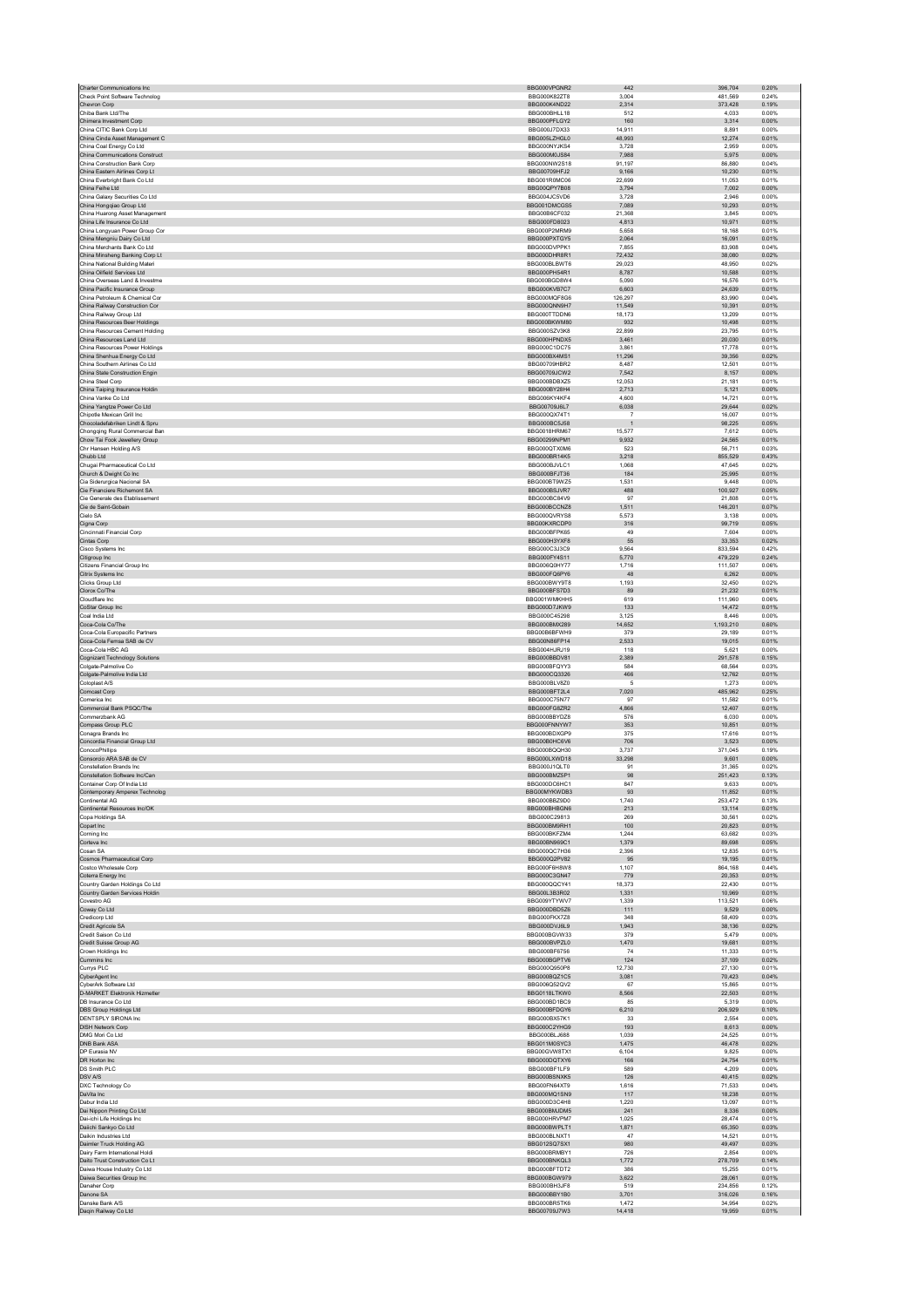| Charter Communications Inc.                                   | BBG000VPGNR2                 | 442             | 396,704           | 0.20%          |
|---------------------------------------------------------------|------------------------------|-----------------|-------------------|----------------|
| Check Point Software Technolog                                | BBG000K82ZT8                 | 3,004           | 481,569           | 0.24%          |
| Chevron Corp                                                  | BBG000K4ND22                 | 2,314           | 373,428           | 0.19%<br>0.00% |
| Chiba Bank Ltd/The                                            | BBG000BHLL18                 | 512             | 4,033             |                |
| Chimera Investment Corp<br>China CITIC Bank Corp Ltd          | BBG000PFLGY2<br>BBG000J7DX33 | 160<br>14.911   | 3,314<br>8.891    | 0.00%<br>0.00% |
| China Cinda Asset Management C                                | BBG005LZHGL0                 | 48,993          | 12,274            | 0.01%          |
| China Coal Energy Co Ltd                                      | BBG000NYJKS4                 | 3.728           | 2.959             | 0.00%          |
| China Communications Construct                                | BBG000M0JS84                 | 7,988           | 5,975             | 0.00%          |
| China Construction Bank Corp                                  | BBG000NW2S18                 | 91,197          | 86,880            | 0.04%          |
| China Eastern Airlines Corp Lt                                | BBG00709HFJ2                 | 9,166           | 10.230            | 0.01%          |
| China Everbright Bank Co Ltd                                  | BBG001R0MC06                 | 22,699          | 11,053            | 0.01%          |
| China Feihe Ltd                                               | BBG00QPY7B08                 | 3,794           | 7,002             | 0.00%          |
| China Galaxy Securities Co Ltd                                | BBG004JC5VD6                 | 3,728           | 2,946             | 0.00%          |
| China Hongqiao Group Ltd                                      | BBG001DMCGS5                 | 7,089           | 10,293            | 0.01%          |
| China Huarong Asset Management                                | BBG00B6CF032                 | 21.368          | 3.845             | 0.00%          |
| China Life Insurance Co Ltd                                   | BBG000FD8023                 | 4,813           | 10,971            | 0.01%          |
| China Longyuan Power Group Cor<br>China Mengniu Dairy Co Ltd  | BBG000P2MRM9                 | 5.658           | 18.168            | 0.01%          |
|                                                               | BBG000PXTGY5                 | 2,064           | 16,091            | 0.01%          |
| China Merchants Bank Co Ltd<br>China Minsheng Banking Corp Lt | BBG000DVPPK1<br>BBG000DHR8R1 | 7,855<br>72.432 | 83,908<br>38,080  | 0.04%<br>0.02% |
| China National Building Materi                                | BBG000BLBWT6                 | 29,023          | 48,950            | 0.02%          |
| China Oilfield Services Ltd                                   | BBG000PH54R1                 | 8,787           | 10,588            | 0.01%          |
| China Overseas Land & Investme                                | BBG000BGD8W4                 | 5,090           | 16,576            | 0.01%          |
| China Pacific Insurance Group                                 | BBG000KVB7C7                 | 6,603           | 24,639            | 0.01%          |
| China Petroleum & Chemical Cor                                | BBG000MQF8G6                 | 126.297         | 83.990            | 0.04%          |
| China Railway Construction Cor                                | BBG000QNN9H7                 | 11,549          | 10,391            | 0.01%          |
| China Railway Group Ltd                                       | BBG000TTDDN6                 | 18.173          | 13.209            | 0.01%          |
| China Resources Beer Holdings                                 | BBG000BKWM80                 | 932             | 10,498            | 0.01%          |
| China Resources Cement Holding                                | BBG000SZV3K8                 | 22,899          | 23,795            | 0.01%          |
| China Resources Land Ltd                                      | BBG000HPNDX5                 | 3.461           | 20.030            | 0.01%          |
| China Resources Power Holdings                                | BBG000C1DC75                 | 3,861           | 17,778            | 0.01%          |
| China Shenhua Energy Co Ltd<br>China Southern Airlines Co Ltd | BBG000BX4MS1<br>BBG00709HBR2 | 11,296<br>8,487 | 39,356<br>12,501  | 0.02%<br>0.01% |
| China State Construction Engin                                | BBG00709JCW2                 | 7,542           | 8,157             | 0.00%          |
| China Steel Corp                                              | BBG000BDBXZ5                 | 12.053          | 21.181            | 0.01%          |
| China Taiping Insurance Holdin                                | BBG000BY28H4                 | 2,713           | 5,121             | 0.00%          |
| China Vanke Co Ltd                                            | BBG006KY4KF4                 | 4.600           | 14,721            | 0.01%          |
| China Yangtze Power Co Ltd                                    | BBG00709J6L7                 | 6,038           | 29,644            | 0.02%          |
| Chipotle Mexican Grill Inc                                    | BBG000QX74T1                 | $\overline{7}$  | 16,007            | 0.01%          |
| Chocoladefabriken Lindt & Spru                                | BBG000BC5J58                 | $\overline{1}$  | 98.225            | 0.05%          |
| Chongqing Rural Commercial Ban                                | BBG0018HRM67                 | 15,577          | 7,612             | 0.00%          |
| Chow Tai Fook Jewellery Group                                 | BBG00299NPM1                 | 9,932           | 24,565            | 0.01%          |
| Chr Hansen Holding A/S                                        | BBG000QTX0M6                 | 523             | 56,711            | 0.03%          |
| Chubb Ltd                                                     | BBG000BR14K5                 | 3,218           | 855,529           | 0.43%          |
| Chugai Pharmaceutical Co Ltd                                  | BBG000BJVLC1                 | 1.068           | 47.645            | 0.02%          |
| Church & Dwight Co Inc<br>Cia Siderurgica Nacional SA         | BBG000BFJT36<br>BBG000BT9WZ5 | 184<br>1,531    | 25,995<br>9,448   | 0.01%<br>0.00% |
| Cie Financiere Richemont SA                                   | BBG000BSJVR7                 | 488             | 100,927           | 0.05%          |
| Cie Generale des Etablissement                                | BBG000BC84V9                 | 97              | 21,808            | 0.01%          |
| Cie de Saint-Gobain                                           | BBG000BCCNZ8                 | 1.511           | 146.201           | 0.07%          |
| Cielo SA                                                      | BBG000QVRYS8                 | 5,573           | 3,138             | 0.00%          |
| Cigna Corp                                                    | BBG00KXRCDP0                 | 316             | 99,719            | 0.05%          |
| Cincinnati Financial Corp                                     | BBG000BFPK65                 | 49              | 7,604             | 0.00%          |
| Cintas Corp                                                   | BBG000H3YXF8                 | 55              | 33,353            | 0.02%          |
| Cisco Systems Inc.                                            | BBG000C3J3C9                 | 9.564           | 833.594           | 0.42%          |
| Citigroup Inc                                                 | BBG000FY4S11                 | 5,770           | 479,229           | 0.24%          |
| Citizens Financial Group Inc.                                 | BBG006Q0HY77                 | 1,716           | 111.507           | 0.06%          |
| Citrix Systems Inc                                            | BBG000FQ6PY6                 | 48              | 6.262             | 0.00%          |
| Clicks Group Ltd                                              | BBG000BWY9T8                 | 1,193           | 32,450            | 0.02%          |
| Clorox Co/The                                                 | BBG000BFS7D3                 | 89              | 21.232            | 0.01%          |
| Cloudflare Inc                                                | BBG001WMKHH5                 | 619             | 111,960           | 0.06%          |
| CoStar Group Inc<br>Coal India Ltd                            | BBG000D7JKW9<br>BBG000C45298 | 133<br>3,125    | 14,472<br>8,446   | 0.01%<br>0.00% |
| Coca-Cola Co/The                                              | BBG000BMX289                 | 14,652          | ,193,210          | 0.60%          |
|                                                               | BBG00B6BFWH9                 |                 |                   | 0.01%          |
|                                                               |                              |                 |                   |                |
| Coca-Cola Europacific Partners                                |                              | 379             | 29.189            |                |
| Coca-Cola Femsa SAB de CV<br>Coca-Cola HBC AG                 | BBG00N86FP14<br>BBG004HJRJ19 | 2,533<br>118    | 19,015<br>5,621   | 0.01%<br>0.00% |
|                                                               | BBG000BBDV81                 | 2,389           | 291.578           | 0.15%          |
| Cognizant Technology Solutions<br>Colgate-Palmolive Co        | BBG000BFQYY3                 | 584             | 68,564            | 0.03%          |
| Colgate-Palmolive India Ltd                                   | BBG000CQ3326                 | 466             | 12.762            | 0.01%          |
| Coloplast A/S                                                 | BBG000BLV8Z0                 | $\sqrt{5}$      | 1,273             | 0.00%          |
| Comcast Corp                                                  | BBG000BFT2L4                 | 7,020           | 485,962           | 0.25%          |
| Comerica Inc.                                                 | BBG000C75N77                 | 97              | 11.582            | 0.01%          |
| Commercial Bank PSQC/The                                      | BBG000FG8ZR2                 | 4,866           | 12,407            | 0.01%          |
| Commerzbank AG                                                | BBG000BBYDZ8                 | 576             | 6.030             | 0.00%          |
| Compass Group PLC                                             | BBG000FNNYW7                 | 353             | 10,851            | 0.01%          |
| Conagra Brands Inc                                            | BBG000BDXGP9                 | 375             | 17,616            | 0.01%          |
| Concordia Financial Group Ltd                                 | BBG00B0HC6V6                 | 706             | 3.523             | 0.00%          |
| ConocoPhillips                                                | BBG000BQQH30<br>BBG000LXWD18 | 3,737<br>33.298 | 371,045           | 0.19%<br>0.00% |
| Consorcio ARA SAB de CV                                       |                              |                 | 9,601             |                |
| Constellation Brands Inc<br>Constellation Software Inc/Can    | BBG000J1QLT0<br>BBG000BMZ5P1 | 91<br>98        | 31,365<br>251,423 | 0.02%<br>0.13% |
| Container Corn Of India Ltd                                   | BBG000DC6HC1                 | 847             | 9.633             | 0.00%          |
| Contemporary Amperex Technolog                                | BBG00MYKWDB3                 | 93              | 11,852            | 0.01%          |
| Continental AG                                                | BBG000BBZ9D0                 | 1.740           | 253.472           | 0.13%          |
| Continental Resources Inc/OK                                  | BBG000BHBGN6                 | 213             | 13,114            | 0.01%          |
| Copa Holdings SA                                              | BBG000C29813                 | 269             | 30,561            | 0.02%          |
| Copart Inc                                                    | BBG000BM9RH1                 | 100             | 20.823            | 0.01%          |
| Corning Inc.                                                  | BBG000BKFZM4                 | 1,244           | 63,682            | 0.03%          |
| Corteva Inc                                                   | BBG00BN969C1                 | 1,379           | 89,698            | 0.05%          |
| Cosan SA                                                      | BBG000QC7H36                 | 2,396<br>95     | 12,835            | 0.01%<br>0.01% |
| Cosmos Pharmaceutical Corp<br>Costco Wholesale Corp.          | BBG000Q2PV82<br>BBG000F6H8W8 | 1.107           | 19,195<br>864.168 | 0.44%          |
| Coterra Energy Inc                                            | BBG000C3GN47                 | 779             | 20,353            | 0.01%          |
| Country Garden Holdings Co Ltd                                | BBG000QQCY41                 | 18.373          | 22.430            | 0.01%          |
| Country Garden Services Holdin                                | BBG00L3B3R02                 | 1,331           | 10,969            | 0.01%          |
| Covestro AG                                                   | BBG009YTYWV7                 | 1,339           | 113,521           | 0.06%          |
| Coway Co Ltd                                                  | BBG000DBD5Z6                 | 111             | 9.529             | 0.00%          |
| Credicorp Ltd                                                 | BBG000FKX7Z8                 | 348             | 58,409            | 0.03%          |
| Credit Agricole SA                                            | BBG000DVJ6L9                 | 1,943           | 38,136            | 0.02%          |
| Credit Saison Co Ltd                                          | BBG000BGVW33                 | 379             | 5,479             | 0.00%          |
| Credit Suisse Group AG                                        | BBG000BVPZL0                 | 1,470           | 19,681            | 0.01%          |
| Crown Holdings Inc.<br>Cummins Inc                            | BBG000BF6756                 | 74              | 11.333            | 0.01%          |
|                                                               | BBG000BGPTV6<br>BBG000Q950P8 | 124<br>12,730   | 37,109<br>27.130  | 0.02%<br>0.01% |
| Currys PLC<br>CyberAgent Inc                                  | BBG000BQZ1C5                 | 3,081           | 70,423            | 0.04%          |
| CyberArk Software Ltd                                         | BBG006Q52QV2                 | 67              | 15,865            | 0.01%          |
| <b>D-MARKET Elektronik Hizmetler</b>                          | BBG0118LTKW0                 | 8,566           | 22.503            | 0.01%          |
| DB Insurance Co Ltd                                           | BBG000BD1BC9                 | 85              | 5,319             | 0.00%          |
| DBS Group Holdings Ltd                                        | BBG000BFDGY6                 | 6,210           | 206,929           | 0.10%          |
| DENTSPLY SIRONA Inc                                           | BBG000BX57K1                 | 33              | 2,554             | 0.00%          |
| <b>DISH Network Corp</b>                                      | BBG000C2YHG9                 | 193             | 8,613             | 0.00%          |
| DMG Mori Co Ltd                                               | BBG000BLJ688                 | 1.039           | 24.525            | 0.01%          |
| DNB Bank ASA                                                  | BBG011M0SYC3                 | 1,475           | 46,478            | 0.02%          |
| DP Eurasia NV                                                 | BBG00GVW8TX1                 | 6,104           | 9.825             | 0.00%          |
| DR Horton Inc                                                 | BBG000DQTXY6                 | 166             | 24,754            | 0.01%          |
| DS Smith PLC                                                  | BBG000BF1LF9                 | 589             | 4,209             | 0.00%          |
| DSV A/S                                                       | BBG000BSNXK5                 | 126             | 40.415            | 0.02%          |
| DXC Technology Co<br>DaVita Inc                               | BBG00FN64XT9                 | 1,616           | 71,533            | 0.04%          |
| Dabur India Ltd                                               | BBG000MQ1SN9                 | 117             | 18,238            | 0.01%          |
| Dai Nippon Printing Co Ltd                                    | BBG000D3C4H8<br>BBG000BMJDM5 | 1,220<br>241    | 13,097<br>8,336   | 0.01%<br>0.00% |
| Dai-ichi Life Holdings Inc.                                   | BBG000HRVPM7                 | 1.025           | 28.474            | 0.01%          |
| Daiichi Sankyo Co Ltd                                         | BBG000BWPLT1                 | 1,871           | 65,350            | 0.03%          |
| Daikin Industries Ltd                                         | BBG000BLNXT1                 | 47              | 14.521            | 0.01%          |
| Daimler Truck Holding AG                                      | BBG012SQ7SX1                 | 980             | 49,497            | 0.03%          |
| Dairy Farm International Holdi                                | BBG000BRMBY1                 | 726             | 2,854             | 0.00%          |
| Daito Trust Construction Co Lt                                | BBG000BNKQL3                 | 1,772           | 278,709           | 0.14%          |
| Daiwa House Industry Co Ltd                                   | BBG000BFTDT2                 | 386             | 15,255            | 0.01%          |
| Daiwa Securities Group Inc                                    | BBG000BGW979                 | 3,622           | 28,061            | 0.01%          |
| Danaher Corp                                                  | BBG000BH3JF8                 | 519             | 234,856           | 0.12%          |
| Danone SA                                                     | BBG000BBY1B0                 | 3,701           | 316,026           | 0.16%          |
| Danske Bank A/S<br>Daqin Railway Co Ltd                       | BBG000BR5TK6<br>BBG00709J7W3 | 1.472<br>14,418 | 34.954<br>19,959  | 0.02%<br>0.01% |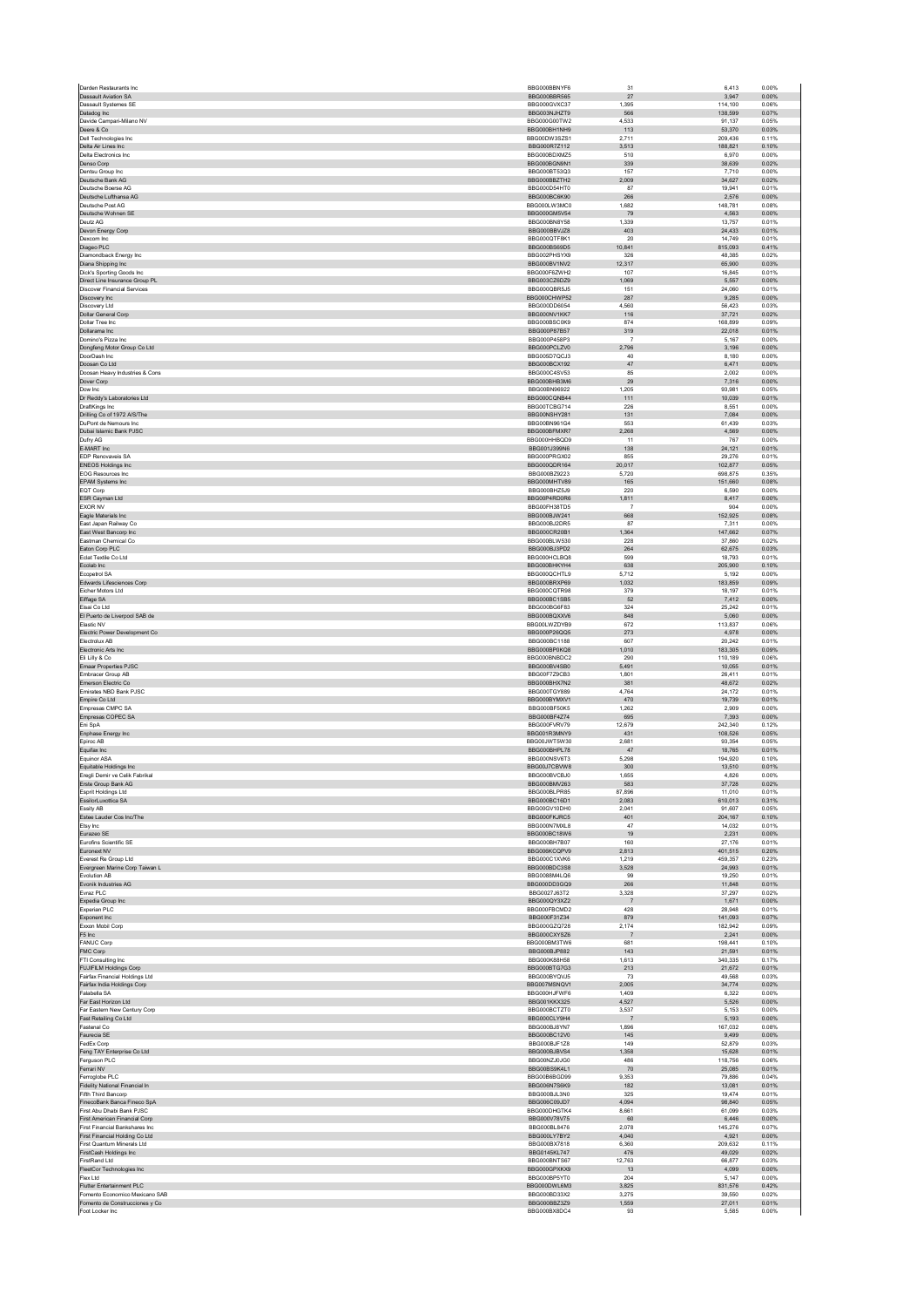| Darden Restaurants Inc                                   | BBG000BBNYF6                        | 31                      | 6,413              | 0.00%          |
|----------------------------------------------------------|-------------------------------------|-------------------------|--------------------|----------------|
| Dassault Aviation SA                                     | BBG000BBR565                        | 27                      | 3.947              | 0.00%          |
| Dassault Systemes SE<br>Datadog Inc                      | BBG000GVXC37<br>BBG003NJHZT9        | 1.395<br>566            | 114.100<br>138,599 | 0.06%<br>0.07% |
| Davide Campari-Milano NV                                 | BBG000G00TW2                        | 4,533                   | 91.137             | 0.05%          |
| Deere & Co                                               | BBG000BH1NH9                        | 113                     | 53,370             | 0.03%          |
| Dell Technologies Inc.                                   | BBG00DW3SZS1                        | 2.711                   | 209.436            | 0.11%          |
| Delta Air Lines Inc<br>Delta Electronics Inc             | BBG000R7Z112<br>BBG000BDXMZ5        | 3.513<br>510            | 188,821<br>6,970   | 0.10%<br>0.00% |
| Denso Corp                                               | BBG000BGN9N1                        | 339                     | 38,639             | 0.02%          |
| Dentsu Group Inc                                         | BBG000BT53Q3                        | 157                     | 7,710              | 0.00%          |
| Deutsche Bank AG                                         | BBG000BBZTH2                        | 2,009                   | 34,627             | 0.02%          |
| Deutsche Boerse AG                                       | BBG000D54HT0                        | 87                      | 19.941             | 0.01%          |
| Deutsche Lufthansa AG<br>Deutsche Post AG                | BBG000BC6K90<br>BBG000LW3MC0        | 266<br>1,682            | 2,576<br>148.781   | 0.00%<br>0.08% |
| Deutsche Wohnen SE                                       | BBG000GM5V54                        | 79                      | 4,563              | 0.00%          |
| Deutz AG                                                 | BBG000BN8Y58                        | 1,339                   | 13.757             | 0.01%          |
| Devon Energy Corp                                        | BBG000BBVJZ8                        | 403                     | 24.433             | 0.01%          |
| Dexcom Inc                                               | BBG000QTF8K1                        | 20                      | 14,749             | 0.01%          |
| Diageo PLC<br>Diamondback Energy Inc                     | BBG000BS69D5<br>BBG002PHSYX9        | 10,841<br>326           | 815,093<br>48,385  | 0.41%<br>0.02% |
| Diana Shipping Inc                                       | BBG000BV1NV2                        | 12,317                  | 65,900             | 0.03%          |
| Dick's Sporting Goods Inc.                               | BBG000F6ZWH2                        | 107                     | 16.845             | 0.01%          |
| Direct Line Insurance Group PL                           | BBG003CZ6DZ9                        | 1,069                   | 5,557              | 0.00%          |
| <b>Discover Financial Services</b><br>Discovery Inc      | BBG000QBR5J5<br>BBG000CHWP52        | 151<br>287              | 24.060<br>9,285    | 0.01%<br>0.00% |
| Discovery Ltd                                            | BBG000DD6054                        | 4,560                   | 56,423             | 0.03%          |
| Dollar General Corp                                      | BBG000NV1KK7                        | 116                     | 37,721             | 0.02%          |
| Dollar Tree Inc                                          | BBG000BSC0K9                        | 874                     | 168,899            | 0.09%          |
| Dollarama Inc                                            | BBG000P87B57                        | 319                     | 22,018             | 0.01%          |
| Domino's Pizza Inc<br>Dongfeng Motor Group Co Ltd        | BBG000P458P3<br>BBG000PCLZV0        | $\overline{7}$<br>2,796 | 5,167<br>3,196     | 0.00%<br>0.00% |
| DoorDash Inc.                                            | BBG005D7QCJ3                        | 40                      | 8.180              | 0.00%          |
| Doosan Co Ltd                                            | BBG000BCX192                        | 47                      | 6,471              | 0.00%          |
| Doosan Heavy Industries & Cons                           | BBG000C4SV53                        | 85                      | 2,002              | 0.00%          |
| Dover Corp                                               | BBG000BHB3M6                        | 29                      | 7,316              | 0.00%          |
| Dow Inc<br>Dr Reddy's Laboratories Ltd.                  | BBG00BN96922<br>BBG000CQNB44        | 1,205<br>111            | 93,981<br>10.039   | 0.05%<br>0.01% |
| DraftKings Inc                                           | BBG00TCBG714                        | 226                     | 8,551              | 0.00%          |
| Drilling Co of 1972 A/S/The                              | BBG00NSHY281                        | 131                     | 7,084              | 0.00%          |
| DuPont de Nemours Inc                                    | BBG00BN961G4                        | 553                     | 61,439             | 0.03%          |
| Dubai Islamic Bank PJSC<br>Dufry AG                      | BBG000BFMXR7<br>BBG000HHBQD9        | 2,268<br>11             | 4,569<br>767       | 0.00%<br>0.00% |
| E-MART Inc                                               | BBG001J399N6                        | 138                     | 24,121             | 0.01%          |
| EDP Renovaveis SA                                        | BBG000PRGX02                        | 855                     | 29.276             | 0.01%          |
| <b>ENEOS Holdings Inc</b>                                | BBG000QDR164                        | 20,017                  | 102,877            | 0.05%          |
| EOG Resources Inc.                                       | BBG000BZ9223                        | 5,720                   | 698,875            | 0.35%          |
| <b>EPAM Systems Inc.</b><br>EQT Corp                     | BBG000MHTV89<br>BBG000BHZ5J9        | 165<br>220              | 151.660<br>6,590   | 0.08%<br>0.00% |
| ESR Cayman Ltd                                           | BBG00P4RD0R6                        | 1,811                   | 8,417              | 0.00%          |
| <b>EXOR NV</b>                                           | BBG00FH38TD5                        | $\overline{7}$          | 904                | 0.00%          |
| Eagle Materials Inc                                      | BBG000BJW241                        | 668                     | 152,925            | 0.08%          |
| East Janan Railway Co.                                   | BBG000BJ2DR5                        | 87                      | 7.311              | 0.00%          |
| East West Bancorp Inc<br>Eastman Chemical Co             | BBG000CR20B1<br>BBG000BLW530        | 1,364<br>228            | 147,662<br>37.860  | 0.07%<br>0.02% |
| Eaton Corp PLC                                           | BBG000BJ3PD2                        | 264                     | 62,675             | 0.03%          |
| Eclat Textile Co Ltd                                     | BBG000HCLBQ8                        | 599                     | 18,793             | 0.01%          |
| Ecolab Inc                                               | BBG000BHKYH4                        | 638                     | 205.900            | 0.10%          |
| Ecopetrol SA                                             | BBG000QCHTL9                        | 5,712                   | 5,192              | 0.00%          |
| Edwards Lifesciences Corp<br>Eicher Motors Ltd           | BBG000BRXP69<br>BBG000CQTR98        | 1,032<br>379            | 183,859<br>18,197  | 0.09%<br>0.01% |
| Eiffage SA                                               | BBG000BC1SB5                        | 52                      | 7,412              | 0.00%          |
| Eisai Co Ltd                                             | BBG000BG6F83                        | 324                     | 25.242             | 0.01%          |
| El Puerto de Liverpool SAB de                            | BBG000BQXXV6                        | 848                     | 5,060              | 0.00%          |
| Flastic NV                                               | BBG00LWZDYB9                        | 672                     | 113,837            | 0.06%          |
| Electric Power Development Co<br>Electrolux AB           | BBG000P26QQ5<br>BBG000BC1188        | 273<br>607              | 4,978<br>20,242    | 0.00%<br>0.01% |
| Electronic Arts Inc.                                     | BBG000BP0KQ8                        | 1.010                   | 183.305            | 0.09%          |
| Eli Lilly & Co                                           | BBG000BNBDC2                        | 290                     | 110,189            | 0.06%          |
| Emaar Properties PJSC                                    | BBG000BV4SB0                        | 5,491                   | 10,055             | 0.01%          |
| Embracer Group AB                                        | BBG00F7Z9CB3                        | 1,801                   | 26,411             | 0.01%          |
| Emerson Electric Co<br>Emirates NBD Bank PJSC            | BBG000BHX7N2<br>BBG000TGY889        | 381<br>4.764            | 48,672<br>24.172   | 0.02%<br>0.01% |
| Empire Co Ltd                                            | BBG000BYMXV1                        | 470                     | 19,739             | 0.01%          |
| Empresas CMPC SA                                         | BBG000BE50K5                        | 1,262                   | 2,909              | 0.00%          |
| Empresas COPEC SA                                        | BBG000BF4Z74                        | 695                     | 7,393              | 0.00%          |
| Eni SpA<br>Enphase Energy Inc                            | BBG000FVRV79<br>BBG001R3MNY9        | 12,679<br>431           | 242,340<br>108.526 | 0.12%<br>0.05% |
| Epiroc AB                                                | BBG00JWT5W30                        | 2,681                   | 93,354             | 0.05%          |
| Equifax Inc                                              | BBG000BHPL78                        | 47                      | 18,765             | 0.01%          |
| Equinor ASA                                              | BBG000NSV6T3                        | 5,298                   | 194,920            | 0.10%          |
| Equitable Holdings Inc                                   | BBG00J7CBVW8<br>BBG000BVCBJ0        | 300<br>1.655            | 13,510<br>4.826    | 0.01%<br>0.00% |
| Eregli Demir ve Celik Fabrikal<br>Erste Group Bank AG    | BBG000BMV263                        | 583                     | 37,728             | 0.02%          |
| Esprit Holdings Ltd                                      | BBG000BLPR85                        | 87,896                  | 11,010             | 0.01%          |
| EssilorLuxottica SA                                      | BBG000BC16D1                        | 2,083                   | 610,013            | 0.31%          |
| Essity AB                                                | BBG00GV10DH0                        | 2,041                   | 91,607             | 0.05%          |
| Estee Lauder Cos Inc/The<br>Etsy Inc                     | BBG000FKJRC5<br>BBG000N7MXL8        | 401<br>47               | 204.167<br>14,032  | 0.10%<br>0.01% |
| Eurazeo SE                                               | BBG000BC18W6                        | 19                      | 2,231              | 0.00%          |
| <b>Eurofins Scientific SE</b>                            | BBG000BH7B07                        | 160                     | 27.176             | 0.01%          |
| Euronext NV                                              | BBG006KCQPV9                        | 2,813                   | 401,515            | 0.20%          |
| Everest Re Group Ltd<br>Evergreen Marine Corp Taiwan L   | BBG000C1XVK6<br>BBG000BDC3S8        | 1.219<br>3,528          | 459.357<br>24,993  | 0.23%<br>0.01% |
| Evolution AB                                             | BBG0088M4LQ6                        | 99                      | 19,250             | 0.01%          |
| Evonik Industries AG                                     | BBG000DD3GQ9                        | 266                     | 11.848             | 0.01%          |
| Evraz PLC                                                | BBG0027J63T2                        | 3,328                   | 37,297             | 0.02%          |
| Expedia Group Inc<br>Experian PLC                        | BBG000QY3X72<br>BBG000FBCMD2        | $\overline{7}$<br>428   | 1.671<br>28,948    | 0.00%<br>0.01% |
| Exponent Inc                                             | BBG000F31Z34                        | 879                     | 141,093            | 0.07%          |
| Exxon Mobil Corp                                         | BBG000GZQ728                        | 2,174                   | 182.942            | 0.09%          |
| F5 Inc                                                   | BBG000CXYSZ6                        | $\overline{7}$          | 2,241              | 0.00%          |
| <b>FANUC Corp.</b>                                       | BBG000BM3TW6                        | 681                     | 198.441            | 0.10%          |
| FMC Corp<br>FTI Consulting Inc.                          |                                     | 143                     | 21,591<br>340,335  | 0.01%<br>0.17% |
| FUJIFILM Holdings Corp                                   | BBG000BJP882                        |                         | 21.672             | 0.01%          |
| Fairfax Financial Holdings Ltd                           | BBG000K88H58<br>BBG000BTG7G3        | 1,613<br>213            |                    |                |
| Fairfax India Holdings Corp                              | BBG000BYQVJ5                        | 73                      | 49,568             | 0.03%          |
|                                                          | BBG007MSNQV1                        | 2.005                   | 34.774             | 0.02%          |
| Falabella SA                                             | BBG000HJFWF6                        | 1,409                   | 6,322              | 0.00%          |
| Far East Horizon Ltd<br>Far Eastern New Century Corp.    | <b>BBG001KKX325</b><br>BBG000BCTZT0 | 4,527<br>3,537          | 5,526<br>5.153     | 0.00%<br>0.00% |
| Fast Retailing Co Ltd                                    | BBG000CLY9H4                        | $\overline{7}$          | 5,193              | 0.00%          |
| Fastenal Co                                              | BBG000BJ8YN7                        | 1.896                   | 167.032            | 0.08%          |
| Faurecia SE                                              | BBG000BC12V0                        | 145                     | 9,499              | 0.00%          |
| FedEx Corp                                               | BBG000BJF1Z8                        | 149                     | 52,879<br>15.628   | 0.03%          |
| Feng TAY Enterprise Co Ltd<br>Ferguson PLC               | BBG000BJBVS4<br>BBG00NZJ0JG0        | 1,358<br>486            | 118,756            | 0.01%<br>0.06% |
| Ferrari NV                                               | BBG00BS9K4L1                        | 70                      | 25.085             | 0.01%          |
| Ferroglobe PLC                                           | BBG00B6BGD99                        | 9,353                   | 79,886             | 0.04%          |
| Fidelity National Financial In                           | BBG006N7S6K9                        | 182                     | 13,081             | 0.01%          |
| Fifth Third Bancorp                                      | BBG000BJL3N0                        | 325                     | 19.474             | 0.01%          |
| FinecoBank Banca Fineco SpA<br>First Abu Dhabi Bank PJSC | BBG006C09JD7<br>BBG000DHGTK4        | 4,094<br>8.661          | 98,840<br>61.099   | 0.05%<br>0.03% |
| First American Financial Corp                            | BBG000V78V75                        | 60                      | 6,446              | 0.00%          |
| First Financial Bankshares Inc.                          | BBG000BL8476                        | 2.078                   | 145,276            | 0.07%          |
| First Financial Holding Co Ltd                           | BBG000LY7BY2                        | 4,040                   | 4.921              | 0.00%          |
| First Quantum Minerals Ltd                               | BBG000BX7818                        | 6,360                   | 209,632            | 0.11%          |
| FirstCash Holdings Inc<br>FirstRand Ltd                  | BBG0145KL747<br>BBG000BNTS67        | 476<br>12,763           | 49.029<br>66,877   | 0.02%<br>0.03% |
| FleetCor Technologies Inc                                | BBG000GPXKX9                        | 13                      | 4,099              | 0.00%          |
| Flex Ltd                                                 | BBG000BP5YT0                        | 204                     | 5.147              | 0.00%          |
| Flutter Entertainment PLC                                | BBG000DWL6M3                        | 3,825                   | 831,576            | 0.42%          |
| Fomento Economico Mexicano SAB                           | BBG000BD33X2                        | 3.275                   | 39.550             | 0.02%          |
| Fomento de Construcciones y Co<br>Foot Locker Inc        | BBG000BBZ3Z9<br>BBG000BX8DC4        | 1,559<br>93             | 27,011<br>5,585    | 0.01%<br>0.00% |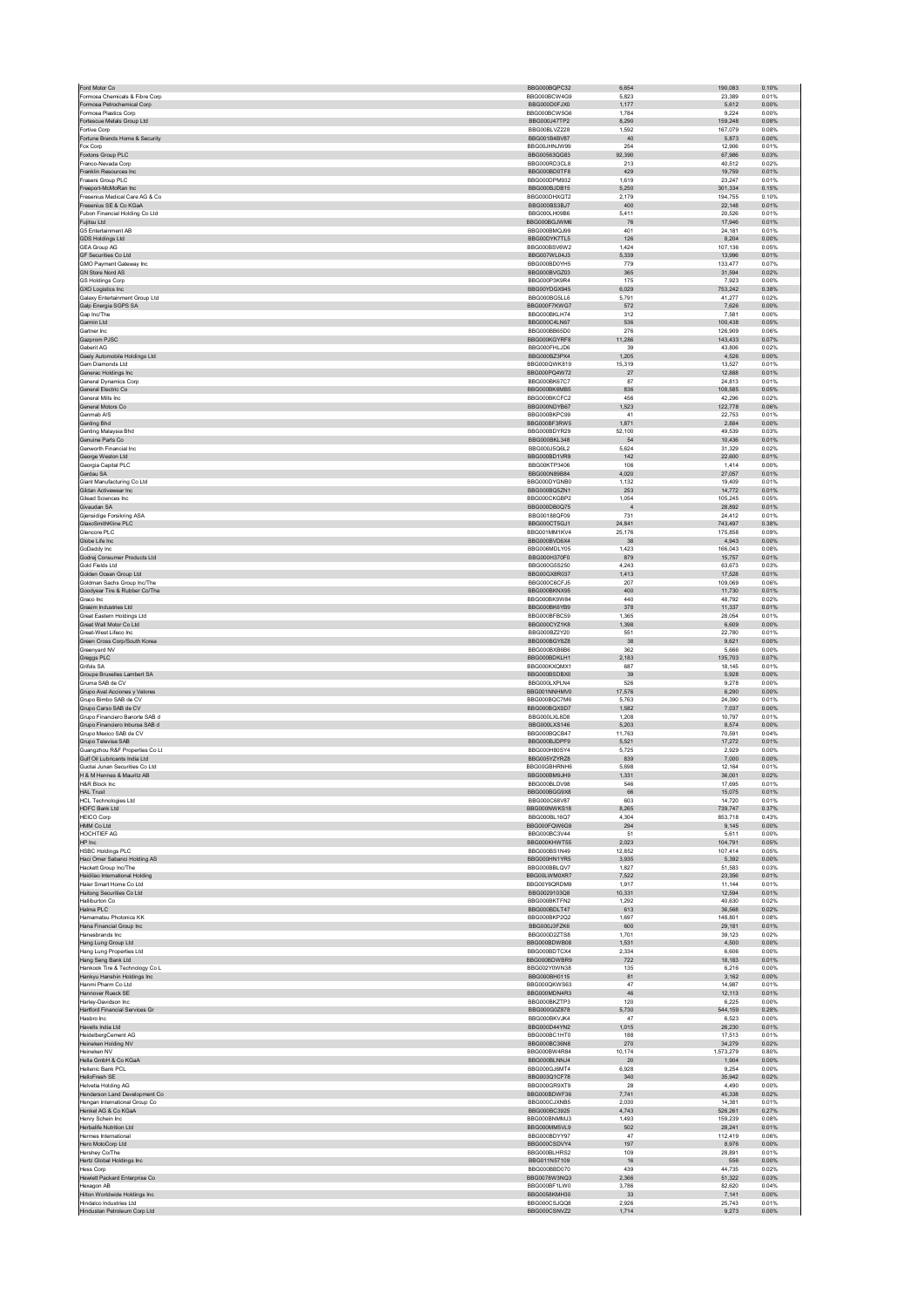|                                                                                          | BBG000BQPC32                                 | 6,654                | 190,083                  | 0.10%                   |
|------------------------------------------------------------------------------------------|----------------------------------------------|----------------------|--------------------------|-------------------------|
| Formosa Chemicals & Fibre Corp<br>Formosa Petrochemical Corp                             | BBG000BCW4G9<br>BBG000D0FJX0                 | 5,823                | 23,389<br>5,612          | 0.01%<br>0.00%          |
| Formosa Plastics Corp                                                                    | BBG000BCW5G6                                 | 1,177<br>1,784       | 9,224                    | 0.00%                   |
| Fortescue Metals Group Ltd                                                               | BBG000J47TP2                                 | 8,290                | 159,248                  | 0.08%                   |
| Fortive Corp.                                                                            | BBG00BLVZ228                                 | 1.592                | 167.079                  | 0.08%                   |
| Fortune Brands Home & Security<br>Fox Corp                                               | BBG001B4BV87<br>BBG00JHNJW99                 | 40<br>254            | 5,873<br>12,906          | 0.00%<br>0.01%          |
| Foxtons Group PLC                                                                        | BBG00563QG83                                 | 92,390               | 67,986                   | 0.03%                   |
| Franco-Nevada Corp                                                                       | BBG000RD3CL8                                 | 213                  | 40,512                   | 0.02%                   |
| Franklin Resources Inc.                                                                  | BBG000BD0TF8                                 | 429                  | 19,759                   | 0.01%                   |
| Frasers Group PLC                                                                        | BBG000DPM932                                 | 1,619                | 23,247                   | 0.01%                   |
| Freeport-McMoRan Inc<br>Fresenius Medical Care AG & Co                                   | BBG000BJDB15<br>BBG000DHXQT2                 | 5,250<br>2,179       | 301,334<br>194,755       | 0.15%<br>0.10%          |
| Fresenius SE & Co KGaA                                                                   | BBG000BS3BJ7                                 | 400                  | 22,148                   | 0.01%                   |
| Fubon Financial Holding Co Ltd                                                           | BBG000LH09B6                                 | 5.411                | 20.526                   | 0.01%                   |
| Fujitsu Ltd                                                                              | BBG000BGJWM6                                 | 76                   | 17,946                   | 0.01%                   |
| G5 Entertainment AB                                                                      | BBG000BMQJ99                                 | 401                  | 24,181                   | 0.01%                   |
| GDS Holdings Ltd<br><b>GEA Group AG</b>                                                  | BBG00DYK7TL5<br>BBG000BSV6W2                 | 126<br>1,424         | 8,204<br>107,136         | 0.00%<br>0.05%          |
| <b>GE Securities Co Ltd.</b>                                                             | BBG007WL04J3                                 | 5.339                | 13.996                   | 0.01%                   |
| GMO Payment Gateway Inc                                                                  | BBG000BD0YH5                                 | 779                  | 133,477                  | 0.07%                   |
| <b>GN Store Nord AS</b>                                                                  | BBG000BVGZ03                                 | 365                  | 31,594                   | 0.02%                   |
| <b>GS Holdings Corp</b>                                                                  | BBG000P3K9R4                                 | 175                  | 7,923                    | 0.00%                   |
| GXO Logistics Inc<br>Galaxy Entertainment Group Ltd                                      | BBG00YDGX945<br>BBG000BG5LL6                 | 6,029<br>5.791       | 753,242<br>41.277        | 0.38%<br>0.02%          |
| Galp Energia SGPS SA                                                                     | BBG000F7KWG7                                 | 572                  | 7,626                    | 0.00%                   |
| Gap Inc/The                                                                              | BBG000BKLH74                                 | 312                  | 7,581                    | 0.00%                   |
| Garmin Ltd                                                                               | BBG000C4LN67                                 | 536                  | 100,438                  | 0.05%                   |
| Gartner Inc<br>Gazprom PJSC                                                              | BBG000BB65D0<br>BBG000KGYRF8                 | 276<br>11.286        | 126,909<br>143.433       | 0.06%<br>0.07%          |
| Geberit AG                                                                               | BBG000FHLJD6                                 | 39                   | 43,806                   | 0.02%                   |
| Geely Automobile Holdings Ltd                                                            | BBG000BZ3PX4                                 | 1.205                | 4,526                    | 0.00%                   |
| Gem Diamonds Ltd                                                                         | BBG000QWK819                                 | 15,319               | 13,527                   | 0.01%                   |
| Generac Holdings Inc                                                                     | BBG000PQ4W72                                 | 27                   | 12,888                   | 0.01%                   |
| General Dynamics Corp<br>General Electric Co                                             | <b>BBG000BK67C7</b><br>BBG000BK6MB5          | 87<br>836            | 24.813<br>108,585        | 0.01%<br>0.05%          |
| General Mills Inc.                                                                       | BBG000BKCFC2                                 | 456                  | 42.296                   | 0.02%                   |
| General Motors Co                                                                        | BBG000NDYB67                                 | 1,523                | 122,778                  | 0.06%                   |
| Genmab A/S                                                                               | BBG000BKPC99                                 | 41                   | 22,753                   | 0.01%                   |
| <b>Genting Bhd</b>                                                                       | BBG000BF3RW5                                 | 1,871                | 2.884                    | 0.00%                   |
| Genting Malaysia Bhd<br>Genuine Parts Co                                                 | BBG000BDYR29<br>BBG000BKL348                 | 52,100<br>54         | 49,539<br>10,436         | 0.03%<br>0.01%          |
| Genworth Financial Inc                                                                   | BBG000J5Q6L2                                 | 5,624                | 31,329                   | 0.02%                   |
| George Weston Ltd                                                                        | BBG000BD1VR9                                 | 142                  | 22,600                   | 0.01%                   |
| Georgia Capital PLC                                                                      | BBG00KTP3406                                 | 106                  | 1.414                    | 0.00%                   |
| Gerdau SA                                                                                | BBG000N89B84                                 | 4,020                | 27,057                   | 0.01%                   |
| Giant Manufacturing Co Ltd<br>Gildan Activewear Inc                                      | BBG000DYGNB0<br>BBG000BQ5ZN1                 | 1,132<br>253         | 19,409<br>14,772         | 0.01%<br>0.01%          |
| Gilead Sciences Inc                                                                      | BBG000CKGBP2                                 | 1,054                | 105,245                  | 0.05%                   |
| Givaudan SA                                                                              | BBG000DB0Q75                                 | $\overline{4}$       | 28,892                   | 0.01%                   |
| <b>Gjensidige Forsikring ASA</b>                                                         | BBG00188QF09                                 | 731                  | 24,412                   | 0.01%                   |
| GlaxoSmithKline PLC                                                                      | BBG000CT5GJ1                                 | 24,841               | 743,497                  | 0.38%                   |
| Glencore PLC                                                                             | BBG001MM1KV4                                 | 25,176               | 175,858                  | 0.09%                   |
| Globe Life Inc<br>GoDaddy Inc.                                                           | BBG000BVD6X4<br>BBG006MDLY05                 | 38<br>1.423          | 4,943<br>166.043         | 0.00%<br>0.08%          |
| Godrej Consumer Products Ltd                                                             | BBG000H370F0                                 | 879                  | 15,757                   | 0.01%                   |
| Gold Fields Ltd                                                                          | BBG000G5S250                                 | 4,243                | 63,673                   | 0.03%                   |
| Golden Ocean Group Ltd                                                                   | BBG00GX8R037                                 | 1,413                | 17,528                   | 0.01%                   |
| Goldman Sachs Group Inc/The                                                              | BBG000C6CFJ5                                 | 207<br>400           | 109,069                  | 0.06%                   |
| Goodyear Tire & Rubber Co/The<br>Graco Inc                                               | BBG000BKNX95<br>BBG000BK9W84                 | 440                  | 11,730<br>48,792         | 0.01%<br>0.02%          |
| Grasim Industries Ltd                                                                    | BBG000BK6YB9                                 | 378                  | 11,337                   | 0.01%                   |
| Great Eastern Holdings Ltd                                                               | BBG000BFBC59                                 | 1.365                | 28.054                   | 0.01%                   |
| Great Wall Motor Co Ltd                                                                  | BBG000CYZ1K8                                 | 1,398                | 6,609                    | 0.00%                   |
| Great-West Lifeco Inc.                                                                   | BBG000BZ2Y20                                 | 551                  | 22,780                   | 0.01%                   |
| Green Cross Corp/South Korea<br>Greenyard NV                                             | BBG000BGY8Z8<br>BBG000BXB6B6                 | 38<br>362            | 9,621<br>5.666           | 0.00%<br>0.00%          |
| Greggs PLC                                                                               | BBG000BDKLH1                                 | 2,183                | 135.703                  | 0.07%                   |
| Grifols SA                                                                               | BBG000KXQMX1                                 | 687                  | 18,145                   | 0.01%                   |
| Groupe Bruxelles Lambert SA                                                              | BBG000BSDBX0                                 | 39                   | 5.928                    | 0.00%                   |
| Gruma SAB de CV                                                                          | BBG000LXPLN4                                 | 526                  | 9,278                    | 0.00%                   |
| Grupo Aval Acciones y Valores<br>Grupo Bimbo SAB de CV                                   | BBG001NNHMV0<br>BBG000BOC7M6                 | 17,576<br>5.763      | 6,290<br>24.390          | 0.00%<br>0.01%          |
| Grupo Carso SAB de CV                                                                    | BBG000BQXSD7                                 | 1,582                | 7,037                    | 0.00%                   |
| Grupo Financiero Banorte SAB d                                                           | BBG000LXL8D8                                 | 1.208                | 10.797                   | 0.01%                   |
| Grupo Financiero Inbursa SAB d                                                           | BBG000LXS146                                 | 5,203                | 8,574                    | 0.00%                   |
| Grupo Mexico SAB de CV<br>Grupo Televisa SAB                                             | BBG000BQCB47                                 | 11,763               | 70,591                   | 0.04%                   |
| Guangzhou R&F Properties Co Lt                                                           | BBG000BJDPF9<br>BBG000H80SY4                 | 5.521<br>5,725       | 17,272<br>2,929          | 0.01%<br>0.00%          |
| Gulf Oil Lubricants India Ltd                                                            | BBG005YZYRZ8                                 | 839                  | 7.000                    | 0.00%                   |
| Guotai Junan Securities Co Ltd                                                           | BBG00GBHRNH6                                 | 5,698                | 12,164                   | 0.01%                   |
| H & M Hennes & Mauritz AB                                                                | BBG000BM9JH9                                 | 1,331                | 36,001                   | 0.02%                   |
| H&R Block Inc                                                                            | BBG000BLDV98                                 | 546                  | 17.695                   | 0.01%                   |
| <b>HAL Trust</b><br><b>HCL Technologies Ltd</b>                                          | BBG000BGG9X8<br>BBG000C68V87                 | 66<br>603            | 15,075<br>14,720         | 0.01%<br>0.01%          |
| <b>HDFC Bank Ltd</b>                                                                     | BBG000NWKS18                                 | 8,265                | 739,747                  | 0.37%                   |
| <b>HEICO Corp</b>                                                                        | BBG000BL16Q7                                 | 4,304                | 853,718                  | 0.43%                   |
| HMM Co Ltd                                                                               |                                              |                      |                          |                         |
|                                                                                          | BBG000FQW6G9                                 | 294                  | 9.145                    | 0.00%                   |
| HOCHTIEF AG                                                                              | BBG000BC3V44                                 | 51                   | 5,611                    | 0.00%                   |
| HP Inc                                                                                   | BBG000KHWT55                                 | 2,023                | 104,791                  | 0.05%                   |
| <b>HSBC Holdings PLC</b><br>Haci Omer Sabanci Holding AS                                 | BBG000BS1N49<br>BBG000HN1YR5                 | 12,852<br>3,935      | 107,414<br>5,392         | 0.05%<br>0.00%          |
| Hackett Group Inc/The                                                                    | BBG000BBLQV7                                 | 1.827                | 51.583                   | 0.03%                   |
| Haidilao International Holding                                                           | BBG00LWM0XR7                                 | 7,522                | 23,356                   | 0.01%                   |
| Haier Smart Home Co Ltd                                                                  | BBG00Y6QRDM9                                 | 1.917                | 11.144                   | 0.01%                   |
| Haitong Securities Co Ltd<br>Halliburton Co                                              | BBG0029103Q8<br>BBG000BKTFN2                 | 10,331<br>1,292      | 12,594<br>40,630         | 0.01%<br>0.02%          |
| Halma PLC                                                                                | BBG000BDLT47                                 | 613                  | 36,568                   | 0.02%                   |
| Hamamatsu Photonics KK                                                                   | BBG000BKP2Q2                                 | 1,697                | 148,801                  | 0.08%                   |
| Hana Financial Group Inc                                                                 | BBG000J3FZK6                                 | 600                  | 29,181                   | 0.01%                   |
| Hanesbrands Inc                                                                          | BBG000D2ZTS8                                 | 1,701                | 39,123                   | 0.02%                   |
| Hang Lung Group Ltd<br>Hang Lung Properties Ltd                                          | BBG000BDWB08<br>BBG000BDTCX4                 | 1,531<br>2.334       | 4,500<br>6.606           | 0.00%<br>0.00%          |
| Hang Seng Bank Ltd                                                                       | BBG000BDWBR9                                 | 722                  | 18,183                   | 0.01%                   |
| Hankook Tire & Technology Co L                                                           | BBG002Y0WN38                                 | 135                  | 6,216                    | 0.00%                   |
| Hankyu Hanshin Holdings Inc                                                              | BBG000BH0115                                 | 81                   | 3,162                    | 0.00%                   |
| Hanmi Pharm Co Ltd                                                                       | BBG000QKWS63                                 | 47                   | 14,987                   | 0.01%                   |
| Hannover Rueck SE                                                                        | BBG000MDN4R3                                 | 46                   | 12.113                   | 0.01%                   |
| Harley-Davidson Inc<br>Hartford Financial Services Gr                                    | BBG000BKZTP3<br>BBG000G0Z878                 | 120<br>5,730         | 6,225<br>544,159         | 0.00%<br>0.28%          |
| Hasbro Inc                                                                               | BBG000BKVJK4                                 | 47                   | 6,523                    | 0.00%                   |
| Havells India Ltd                                                                        | BBG000D44YN2                                 | 1,015                | 26,230                   | 0.01%                   |
| HeidelbergCement AG                                                                      | BBG000BC1HT0                                 | 188                  | 17.513                   | 0.01%                   |
| Heineken Holding NV<br>Heineken NV                                                       | BBG000BC36N8<br>BBG000BW4R84                 | 270<br>10,174        | 34,279<br>1,573,279      | 0.02%<br>0.80%          |
| Hella GmbH & Co KGaA                                                                     | BBG000BLNNJ4                                 | 20                   | 1,904                    | 0.00%                   |
| Hellenic Bank PCL                                                                        | BBG000GJ6MT4                                 | 6,928                | 9,254                    | 0.00%                   |
| HelloFresh SE                                                                            | BBG003Q1CF78                                 | 340                  | 35.942                   | 0.02%                   |
| <b>Helvetia Holding AG</b>                                                               | BBG000GR9XT9                                 | 28                   | 4,490                    | 0.00%                   |
| Henderson Land Development Co<br>Hengan International Group Co                           | BBG000BDWF36<br>BBG000CJXNB5                 | 7,741<br>2,030       | 45,338<br>14,381         | 0.02%<br>0.01%          |
| Henkel AG & Co KGaA                                                                      | BBG000BC3925                                 | 4,743                | 526,261                  | 0.27%                   |
| Henry Schein Inc.                                                                        | BBG000BNMMJ3                                 | 1.493                | 159.239                  | 0.08%                   |
| Herbalife Nutrition Ltd                                                                  | BBG000MM5VL9                                 | 502                  | 28,241                   | 0.01%                   |
| Hermes International                                                                     | BBG000BDYY97                                 | 47                   | 112,419                  | 0.06%                   |
| Hero MotoCorp Ltd<br>Hershey Co/The                                                      | BBG000CSDVY4<br>BBG000BLHRS2                 | 197<br>109           | 8,976<br>28,891          | 0.00%<br>0.01%          |
| Hertz Global Holdings Inc                                                                | BBG011N57109                                 | 16                   | 556                      | 0.00%                   |
| <b>Hess Corp</b>                                                                         | BBG000BBD070                                 | 439                  | 44,735                   | 0.02%                   |
| Hewlett Packard Enterprise Co                                                            | BBG0078W3NQ3                                 | 2,366                | 51,322                   | 0.03%                   |
| Hexagon AB                                                                               | BBG000BF1LW0                                 | 3,786                | 82,620                   | 0.04%                   |
| Hilton Worldwide Holdings Inc<br>Hindalco Industries Ltd<br>Hindustan Petroleum Corp Ltd | BBG0058KMH30<br>BBG000CSJQQ8<br>BBG000CSNVZ2 | 33<br>2.926<br>1,714 | 7,141<br>25.743<br>9,273 | 0.00%<br>0.01%<br>0.00% |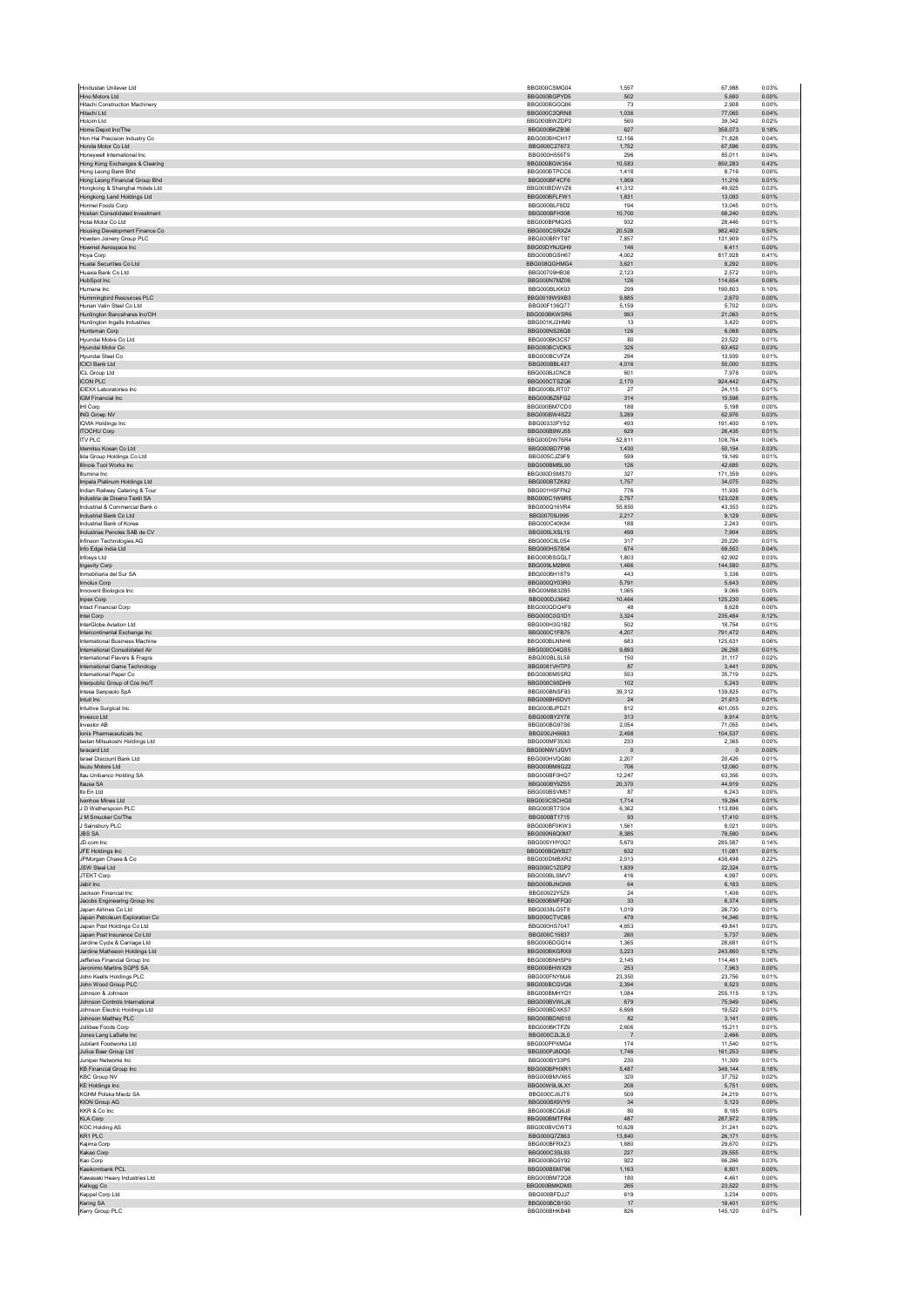| Hino Motors Ltd                                                 | BBG000CSMG04                 | 1,557           |                                      |
|-----------------------------------------------------------------|------------------------------|-----------------|--------------------------------------|
|                                                                 | BBG000BGPYD5                 | 502             | 5.680<br>0.00%                       |
| <b>Hitachi Construction Machinery</b><br>Hitachi Ltd            | BBG000BGGQ06<br>BBG000C2QRN8 | 73<br>1,036     | 2,908<br>0.00%<br>77,065<br>0.04%    |
| Holcim Ltd                                                      | BBG000BWZDP2                 | 560             | 39.342<br>0.02%                      |
| Home Depot Inc/The                                              | BBG000BKZB36                 | 627             | 358,073<br>0.18%                     |
| Hon Hai Precision Industry Co                                   | BBG000BHCH17                 | 12.156          | 71.828<br>0.04%                      |
| Honda Motor Co Ltd<br>Honeywell International Inc.              | BBG000C27673<br>BBG000H556T9 | 1,752<br>296    | 67,596<br>0.03%<br>85,011<br>0.04%   |
| Hong Kong Exchanges & Clearing                                  | BBG000BGW354                 | 10,583          | 850.283<br>0.43%                     |
| Hong Leong Bank Bhd                                             | BBG000BTPCC6                 | 1,418           | 8,716<br>0.00%                       |
| Hong Leong Financial Group Bhd                                  | BBG000BF4CF6<br>BBG000BDWVZ6 | 1.959           | 11.216<br>0.01%                      |
| Hongkong & Shanghai Hotels Ltd<br>Hongkong Land Holdings Ltd    | BBG000BFLFW1                 | 41,312<br>1,831 | 49,925<br>0.03%<br>13,093<br>0.01%   |
| Hormel Foods Corp                                               | BBG000BLF8D2                 | 194             | 13.045<br>0.01%                      |
| Hosken Consolidated Investment                                  | BBG000BFH308                 | 10,700          | 68,240<br>0.03%                      |
| Hotai Motor Co Ltd                                              | BBG000BPMGX5                 | 932             | 28.446<br>0.01%                      |
| Housing Development Finance Co                                  | BBG000CSRXZ4<br>BBG000BRYT97 | 20,528<br>7,857 | 982,402<br>0.50%<br>131,909<br>0.07% |
| Howden Joinery Group PLC<br>Howmet Aerospace Inc.               | BBG00DYNJGH9                 | 146             | 6.411<br>0.00%                       |
| Hoya Corp                                                       | BBG000BGSH67                 | 4,002           | 817,928<br>0.41%                     |
| Huatai Securities Co Ltd                                        | BBG008QGHMG4                 | 3.621           | 8.292<br>0.00%                       |
| Huaxia Bank Co Ltd<br><b>HubSpot Inc.</b>                       | BBG00709HB38                 | 2,123           | 2,572<br>0.00%                       |
| Humana Inc.                                                     | BBG000N7MZ06<br>BBG000BLKK03 | 126<br>299      | 114,654<br>0.06%<br>190.803<br>0.10% |
| Hummingbird Resources PLC                                       | BBG0019W9XB3                 | 9,885           | 2,670<br>0.00%                       |
| Hunan Valin Steel Co Ltd                                        | BBG00F136Q77                 | 5,159           | 5.702<br>0.00%                       |
| Huntington Bancshares Inc/OH                                    | BBG000BKWSR6                 | 993             | 21,063<br>0.01%                      |
| Huntington Ingalls Industries<br>Huntsman Corp                  | BBG001KJ2HM9<br>BBG000NS26Q8 | 13<br>126       | 3,420<br>0.00%<br>6.068<br>0.00%     |
| Hyundai Mobis Co Ltd                                            | BBG000BK3C57                 | 80              | 23,522<br>0.01%                      |
| Hyundai Motor Co                                                | BBG000BCVDK5                 | 326             | 63.452<br>0.03%                      |
| Hyundai Steel Co                                                | BBG000BCVFZ4                 | 294             | 13,939<br>0.01%                      |
| <b>ICICI Bank Ltd</b>                                           | BBG000BBL437                 | 4,016           | 55,000<br>0.03%                      |
| ICL Group Ltd<br><b>ICON PLC</b>                                | BBG000BJCNC8<br>BBG000CTSZQ6 | 601<br>2,170    | 7.976<br>0.00%<br>924,442<br>0.47%   |
| <b>IDEXX Laboratories Inc.</b>                                  | BBG000BLRT07                 | 27              | 24.115<br>0.01%                      |
| <b>IGM Financial Inc</b>                                        | BBG000BZ6FG2                 | 314             | 15,598<br>0.01%                      |
| IHI Corp                                                        | BBG000BM7CD0                 | 188             | 5,198<br>0.00%                       |
| ING Groep NV<br><b>IQVIA Holdings Inc</b>                       | BBG000BW4SZ2<br>BBG00333FYS2 | 3,289<br>493    | 62.976<br>0.03%<br>191,400<br>0.10%  |
| <b>ITOCHU Corp</b>                                              | BBG000B9WJ55                 | 629             | 26.435<br>0.01%                      |
| <b>ITV PLC</b>                                                  | BBG000DW76R4                 | 52,811          | 108,764<br>0.06%                     |
| Idemitsu Kosan Co Ltd                                           | BBG000BD7F98                 | 1,430           | 50,154<br>0.03%                      |
| lida Group Holdings Co Ltd.<br>Illinois Tool Works Inc          | BBG005CJZ9F9<br>BBG000BMBL90 | 599<br>126      | 0.01%<br>19.149<br>42,685<br>0.02%   |
| Illumina Inc.                                                   | BBG000DSMS70                 | 327             | 171.359<br>0.09%                     |
| Impala Platinum Holdings Ltd                                    | BBG000BTZK82                 | 1,757           | 34,075<br>0.02%                      |
| Indian Railway Catering & Tour                                  | BBG001HSFFN2                 | 776             | 11,935<br>0.01%                      |
| Industria de Diseno Textil SA                                   | BBG000C1W6R5                 | 2.757           | 123.028<br>0.06%                     |
| Industrial & Commercial Bank o<br>Industrial Bank Co Ltd        | BBG000Q16VR4<br>BBG00709J995 | 55,850          | 43,353<br>0.02%<br>9.129<br>0.00%    |
| Industrial Bank of Korea                                        | BBG000C40K84                 | 2,217<br>188    | 2,243<br>0.00%                       |
| Industrias Penoles SAB de CV                                    | BBG000LXSL15                 | 499             | 7,904<br>0.00%                       |
| Infineon Technologies AG                                        | BBG000C8L0S4                 | 317             | 20.226<br>0.01%                      |
| Info Edge India Ltd                                             | BBG000HS7804                 | 674             | 69,553<br>0.04%                      |
| Infosys Ltd<br>Ingevity Corp                                    | BBG000BSGQL7<br>BBG009LM28K6 | 1.803<br>1,466  | 62.902<br>0.03%<br>144,580<br>0.07%  |
| Inmobiliaria del Sur SA                                         | BBG000BH18T9                 | 443             | 5,336<br>0.00%                       |
| Innolux Corp                                                    | BBG000QY03R0                 | 5,791           | 5.643<br>0.00%                       |
| Innovent Biologics Inc                                          | BBG00M8832B5                 | 1,065           | 9,066<br>0.00%                       |
| Inpex Corp                                                      | BBG000DJ3642                 | 10,464          | 125.230<br>0.06%                     |
| Intact Financial Corp<br>Intel Corp                             | BBG000QDQ4F9<br>BBG000C0G1D1 | 48<br>3,324     | 8,628<br>0.00%<br>235,484<br>0.12%   |
| InterGlobe Aviation Ltd                                         | BBG000H3G1B2                 | 502             | 18.754<br>0.01%                      |
| Intercontinental Exchange Inc.                                  | BBG000C1FB75                 | 4,207           | 791,472<br>0.40%                     |
| International Business Machine                                  | BBG000BLNNH6                 | 683             | 125.631<br>0.06%                     |
| International Consolidated Air                                  | BBG000C04GS5                 | 9,893           | 26,258<br>0.01%                      |
| International Flavors & Fragra<br>International Game Technology | BBG000BLSL58<br>BBG0081VHTP3 | 150<br>87       | 31,117<br>0.02%<br>0.00%<br>3.441    |
| International Paper Co                                          | BBG000BM5SR2                 | 553             | 35,719<br>0.02%                      |
| Interpublic Group of Cos Inc/T                                  | BBG000C90DH9                 | 102             | 5,243<br>0.00%                       |
| Intesa Sanpaolo SpA                                             | BBG000BNSF93                 |                 |                                      |
|                                                                 |                              | 39,312          | 139,825<br>0.07%                     |
| Intuit Inc                                                      | BBG000BH5DV1                 | 24              | 21,613<br>0.01%                      |
| Intuitive Surgical Inc.                                         | BBG000BJPDZ1                 | 812             | 401.055<br>0.20%                     |
| Invesco Ltd<br>Investor AB                                      | BBG000BY2Y78<br>BBG000BG97S6 | 313<br>2.054    | 9,914<br>0.01%<br>71.055<br>0.04%    |
| Ionis Pharmaceuticals Inc                                       | BBG000JH6683                 | 2,498           | 104,537<br>0.05%                     |
| Isetan Mitsukoshi Holdings Ltd                                  | BBG000MF3SX0                 | 233             | 2,365<br>0.00%                       |
| <b>Isracard Ltd</b>                                             | BBG00NW1.IGV1                | $\overline{0}$  | $\overline{0}$<br>0.00%              |
| Israel Discount Bank Ltd                                        | BBG000HVQG80<br>BBG000BM8G22 | 2,207           | 20,426<br>0.01%<br>12.060<br>0.01%   |
| Isuzu Motors Ltd<br>Itau Unibanco Holding SA                    | BBG000BF0HQ7                 | 706<br>12,247   | 63,356<br>0.03%                      |
| Itausa SA                                                       | BBG000BY9ZS5                 | 20,370          | 44,919<br>0.02%                      |
| Ito En Ltd                                                      | BBG000BSVM57                 | 87              | 6.243<br>0.00%                       |
| Ivanhoe Mines Ltd                                               | BBG003CSCHG0                 | 1,714           | 19,264<br>0.01%                      |
| J D Wetherspoon PLC<br>J M Smucker Co/The                       | BBG000BT7S04<br>BBG000BT1715 | 6,362<br>93     | 113,896<br>0.06%<br>17,410<br>0.01%  |
| J Sainsbury PLC                                                 | BBG000BF0KW3                 | 1,561           | 8,021<br>0.00%                       |
| <b>JBS SA</b>                                                   | BBG000N6Q0M7                 | 8.385           | 0.04%<br>78.580                      |
| JD.com Inc                                                      | BBG005YHY0Q7                 | 5,670           | 285,587<br>0.14%                     |
| JFE Holdings Inc<br>JPMorgan Chase & Co                         | BBG000BQWB27<br>BBG000DMBXR2 | 632<br>2,013    | 11,081<br>0.01%<br>438,498<br>0.22%  |
| <b>JSW Steel Ltd</b>                                            | BBG000C1ZGP2                 | 1,839           | 22,324<br>0.01%                      |
| JTEKT Corp                                                      | BBG000BLSMV7                 | 416             | 4.997<br>0.00%                       |
| Jabil Inc<br>Jackson Financial Inc.                             | BBG000BJNGN9                 | 64<br>24        | 6,183<br>0.00%<br>1.406              |
| Jacobs Engineering Group Inc.                                   | BBG00922Y5Z6<br>BBG000BMFFQ0 | 33              | 0.00%<br>6,374<br>0.00%              |
| Japan Airlines Co Ltd                                           | BBG0038LG5T8                 | 1,019           | 26,730<br>0.01%                      |
| Japan Petroleum Exploration Co                                  | BBG000CTVC65                 | 479             | 14.346<br>0.01%                      |
| Japan Post Holdings Co Ltd                                      | BBG000HS7047                 | 4,653           | 49,841<br>0.03%                      |
| Japan Post Insurance Co Ltd<br>Jardine Cycle & Carriage Ltd     | BBG000C15837<br>BBG000BDGG14 | 260<br>1,365    | 5,737<br>0.00%<br>28,681<br>0.01%    |
| Jardine Matheson Holdings Ltd                                   | BBG000BKGRX9                 | 3,223           | 243,860<br>0.12%                     |
| Jefferies Financial Group Inc.                                  | BBG000BNHSP9                 | 2.145           | 114.461<br>0.06%                     |
| Jeronimo Martins SGPS SA                                        | BBG000BHWX29<br>BBG000FNYMJ6 | 253<br>23.350   | 7,963<br>0.00%<br>0.01%              |
| John Keells Holdings PLC<br>John Wood Group PLC                 | BBG000BCGVQ6                 | 2,394           | 23,756<br>8,523<br>0.00%             |
| Johnson & Johnson                                               | BBG000BMHYD1                 | 1,084           | 255,115<br>0.13%                     |
| Johnson Controls International                                  | BBG000BVWLJ6                 | 679             | 0.04%<br>75.949                      |
| Johnson Electric Holdings Ltd                                   | BBG000BDXKS7                 | 6,698           | 19,522<br>0.01%                      |
| Johnson Matthey PLC<br>Jollibee Foods Corp                      | BBG000BDNS10<br>BBG000BKTFZ9 | 82<br>2,606     | 3,141<br>0.00%<br>15,211<br>0.01%    |
| Jones Lang LaSalle Inc                                          | BBG000C2L2L0                 | $\overline{7}$  | 2,466<br>0.00%                       |
| Jubilant Foodworks Ltd                                          | BBG000PPXMG4                 | 174             | 11.540<br>0.01%                      |
| Julius Baer Group Ltd                                           | BBG000PJ8DQ5                 | 1,746           | 161,253<br>0.08%                     |
| Juniper Networks Inc.                                           | BBG000BY33P5                 | 230             | 11.309<br>0.01%                      |
| <b>KB Financial Group Inc</b><br><b>KBC Group NV</b>            | BBG000BPHXR1<br>BBG000BMVX65 | 5,487<br>320    | 349,144<br>0.18%<br>37,752<br>0.02%  |
| <b>KE Holdings Inc.</b>                                         | BBG00W9L9LX1                 | 208             | 0.00%<br>5,751                       |
| KGHM Polska Miedz SA                                            | BBG000CJ6JT5                 | 509             | 24,219<br>0.01%                      |
| <b>KION Group AG</b>                                            | BBG000BX9VY9                 | 34              | 5,123<br>0.00%                       |
| KKR & Co Inc                                                    | BBG000BCQ6J8                 | 80              | 8,185<br>0.00%                       |
| KLA Corp<br><b>KOC Holding AS</b>                               | BBG000BMTFR4<br>BBG000BVCWT3 | 487<br>10.628   | 287,972<br>0.15%<br>31.241<br>0.02%  |
| KR1 PLC                                                         | BBG000Q7Z863                 | 13,840          | 26,171<br>0.01%                      |
| Kajima Corp                                                     | BBG000BFRXZ3                 | 1,880           | 29.670<br>0.02%                      |
| Kakao Corp                                                      | BBG000C3SL93                 | 227             | 29.555<br>0.01%                      |
| Kao Corp<br>Kasikornbank PCL                                    | BBG000BG5Y92<br>BBG000BSM796 | 922<br>1,163    | 66,266<br>0.03%<br>0.00%<br>6,801    |
| Kawasaki Heavy Industries Ltd                                   | BBG000BM72Q8                 | 180             | 4,461<br>0.00%                       |
| Kellogg Co                                                      | BBG000BMKDM3                 | 265             | 23,522<br>0.01%                      |
| Keppel Corp Ltd                                                 | BBG000BFDJJ7                 | 619             | 3.234<br>0.00%                       |
| Kering SA<br>Kerry Group PLC                                    | BBG000BCB150<br>BBG000BHKB48 | 17<br>826       | 18,401<br>0.01%<br>145,120<br>0.07%  |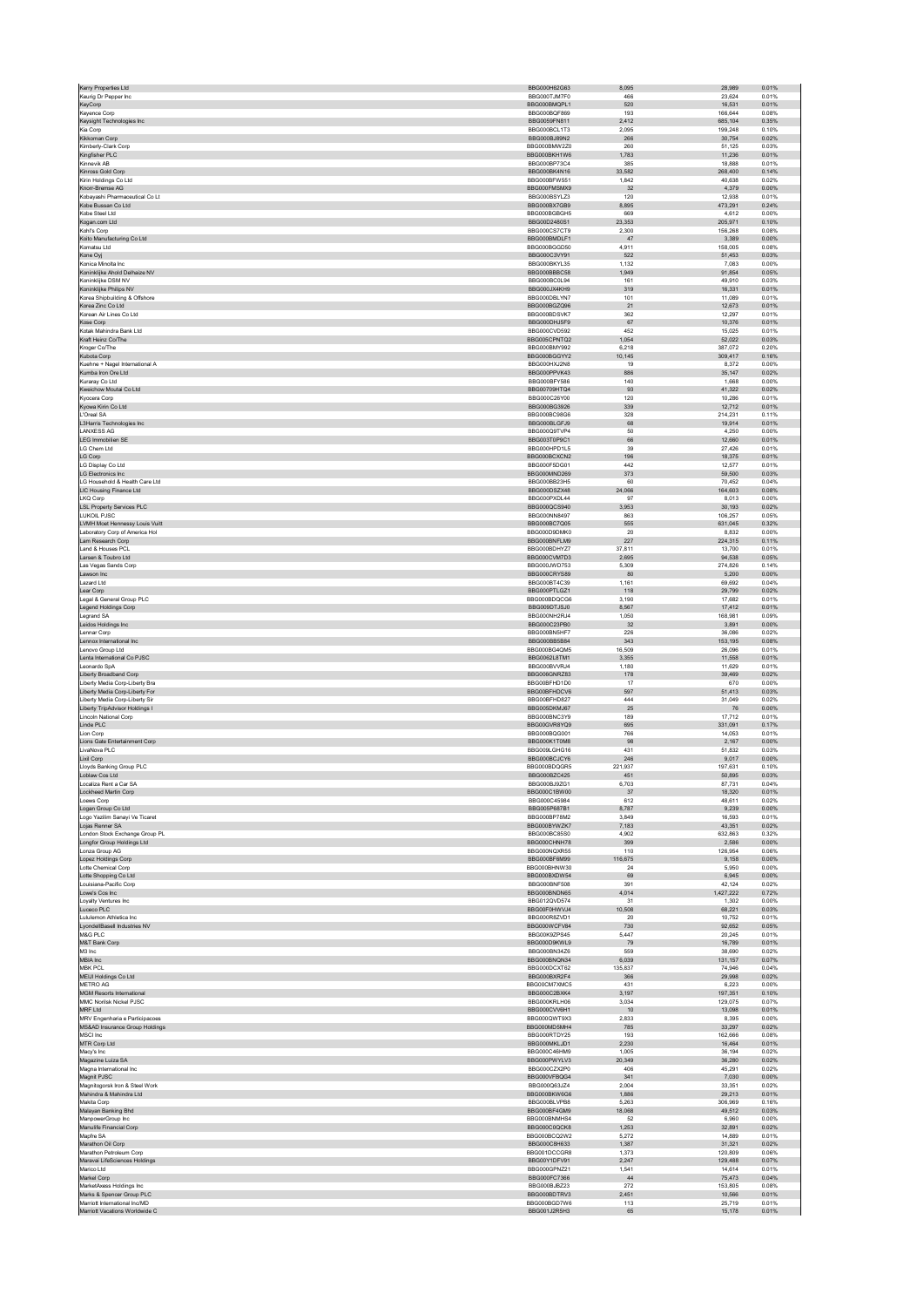| Keurig Dr Pepper Inc                                            | BBG000H62G63                 | 466            |                   | 0.01%          |
|-----------------------------------------------------------------|------------------------------|----------------|-------------------|----------------|
|                                                                 | BBG000TJM7F0                 |                | 23.624            |                |
| KeyCorp                                                         | BBG000BMQPL1                 | 520            | 16,531            | 0.01%          |
| Keyence Corp                                                    | BBG000BQF869                 | 193            | 166,644           | 0.08%          |
| Keysight Technologies Inc                                       | BBG0059FN811                 | 2,412          | 685.104           | 0.35%          |
| Kia Corp<br>Kikkoman Corp                                       | BBG000BCL1T3<br>BBG000BJ89N2 | 2,095<br>266   | 199,248<br>30.754 | 0.10%<br>0.02% |
| Kimberly-Clark Corp                                             | BBG000BMW2Z0                 | 260            | 51,125            | 0.03%          |
| Kingfisher PLC                                                  | BBG000BKH1W6                 | 1,783          | 11,236            | 0.01%          |
| Kinnevik AB                                                     | BBG000BP73C4                 | 385            | 18,888            | 0.01%          |
| Kinross Gold Corp                                               | BBG000BK4N16                 | 33,582         | 268,400           | 0.14%          |
| Kirin Holdings Co Ltd                                           | BBG000BFW551                 | 1.842          | 40.638            | 0.02%          |
| Knorr-Bremse AG                                                 | BBG000FMSMX9                 | 32             | 4,379             | 0.00%          |
| Kobayashi Pharmaceutical Co Lt                                  | BBG000BSYLZ3                 | 120            | 12,938            | 0.01%          |
| Kobe Bussan Co Ltd                                              | BBG000BX7GB9                 | 8,895          | 473.291           | 0.24%          |
| Kobe Steel Ltd                                                  | BBG000BGBGH5                 | 669            | 4,612             | 0.00%          |
| Kogan.com Ltd                                                   | BBG00D2480S1                 | 23,353         | 205.971           | 0.10%          |
| Kohl's Corp                                                     | BBG000CS7CT9                 | 2,300          | 156,268           | 0.08%          |
| Koito Manufacturing Co Ltd                                      | BBG000BMDLF1<br>BBG000BGGD50 | 47<br>4.911    | 3,389<br>158,005  | 0.00%<br>0.08% |
| Komatsu Ltd                                                     | BBG000C3VY91                 | 522            | 51,453            | 0.03%          |
| Kone Oyj<br>Konica Minolta Inc.                                 | BBG000BKYL35                 | 1.132          | 7.083             | 0.00%          |
| Koninklijke Ahold Delhaize NV                                   | BBG000BBBC58                 | 1,949          | 91,854            | 0.05%          |
| Koninklijke DSM NV                                              | BBG000BC0L94                 | 161            | 49,910            | 0.03%          |
| Koninklijke Philips NV                                          | BBG000JX4KH9                 | 319            | 16,331            | 0.01%          |
| Korea Shipbuilding & Offshore                                   | BBG000DBLYN7                 | 101            | 11,089            | 0.01%          |
| Korea Zinc Co Ltd                                               | BBG000BGZQ96                 | 21             | 12,673            | 0.01%          |
| Korean Air Lines Co Ltd                                         | BBG000BDSVK7                 | 362            | 12,297            | 0.01%          |
| Kose Corp                                                       | BBG000DHJ5F9                 | 67             | 10,376            | 0.01%          |
| Kotak Mahindra Bank Ltd                                         | BBG000CVD592                 | 452            | 15.025            | 0.01%          |
| Kraft Heinz Co/The                                              | BBG005CPNTQ2                 | 1,054          | 52,022            | 0.03%          |
| Kroger Co/The                                                   | BBG000BMY992                 | 6,218          | 387,072           | 0.20%          |
| Kubota Corp                                                     | BBG000BGGYY2                 | 10,145         | 309,417           | 0.16%          |
| Kuehne + Nagel International A                                  | BBG000HXJ2N8                 | 19             | 8,372             | 0.00%          |
| Kumba Iron Ore Ltd                                              | BBG000PPVK43                 | 886            | 35.147            | 0.02%          |
| Kuraray Co Ltd<br>Kweichow Moutai Co Ltd                        | BBG000BFY586<br>BBG00709HTQ4 | 140<br>93      | 1,668<br>41,322   | 0.00%<br>0.02% |
| Kyocera Corp                                                    | BBG000C26Y00                 | 120            | 10,286            | 0.01%          |
| Kyowa Kirin Co Ltd                                              | BBG000BG3926                 | 339            | 12,712            | 0.01%          |
| L'Oreal SA                                                      | BBG000BC98G6                 | 328            | 214.231           | 0.11%          |
| L3Harris Technologies Inc                                       | BBG000BLGFJ9                 | 68             | 19,914            | 0.01%          |
| <b>LANXESS AG</b>                                               | BBG000Q9TVP4                 | 50             | 4,250             | 0.00%          |
| <b>LEG Immobilien SE</b>                                        | BBG003T0P9C1                 | 66             | 12,660            | 0.01%          |
| LG Chem Ltd                                                     | BBG000HPD1L5                 | 39             | 27,426            | 0.01%          |
| LG Corp                                                         | BBG000BCXCN2                 | 196            | 18.375            | 0.01%          |
| LG Display Co Ltd                                               | BBG000F5DG01                 | 442            | 12,577            | 0.01%          |
| <b>LG Electronics Inc.</b>                                      | BBG000MND269                 | 373            | 59,500            | 0.03%          |
| LG Household & Health Care Ltd                                  | BBG000BB23H5                 | 60             | 70,452            | 0.04%          |
| LIC Housing Finance Ltd                                         | BBG000DSZX48                 | 24,066         | 164,603           | 0.08%          |
| LKQ Corp                                                        | BBG000PXDL44                 | 97             | 8.013             | 0.00%          |
| <b>LSL Property Services PLC</b>                                | BBG000QCS940                 | 3,953          | 30,193            | 0.02%          |
| <b>LUKOIL PJSC</b>                                              | BBG000NN8497                 | 863            | 106.257           | 0.05%          |
| LVMH Moet Hennessy Louis Vuitt                                  | BBG000BC7Q05                 | 555<br>20      | 631,045           | 0.32%<br>0.00% |
| Laboratory Corp of America Hol<br>Lam Research Corp             | BBG000D9DMK0<br>BBG000BNFLM9 | 227            | 8,832<br>224.315  | 0.11%          |
| Land & Houses PCL                                               | BBG000BDHYZ7                 | 37,811         | 13,700            | 0.01%          |
| Larsen & Toubro Ltd                                             | BBG000CVM7D3                 | 2.695          | 94,538            | 0.05%          |
| Las Vegas Sands Corp                                            | BBG000JWD753                 | 5,309          | 274,826           | 0.14%          |
| Lawson Inc                                                      | BBG000CRYS89                 | 80             | 5,200             | 0.00%          |
| Lazard Ltd                                                      | BBG000BT4C39                 | 1.161          | 69.692            | 0.04%          |
| Lear Corp                                                       | BBG000PTLGZ1                 | 118            | 29,799            | 0.02%          |
| Legal & General Group PLC                                       | BBG000BDQCG6                 | 3,190          | 17,682            | 0.01%          |
| Legend Holdings Corp                                            | BBG009DTJSJ0                 | 8,567          | 17,412            | 0.01%          |
| Legrand SA                                                      | BBG000NH2RJ4                 | 1,050          | 168,981           | 0.09%          |
| Leidos Holdings Inc                                             | BBG000C23PB0                 | 32             | 3.891             | 0.00%          |
| Lennar Corp                                                     | BBG000BN5HF7                 | 226            | 36,086            | 0.02%          |
| Lennox International Inc.                                       | BBG000BB5B84                 | 343            | 153,195           | 0.08%          |
| Lenovo Group Ltd                                                | BBG000BG4QM5                 | 16,509         | 26,096            | 0.01%          |
| Lenta International Co PJSC                                     | BBG0062L8TM1                 | 3,355          | 11,558            | 0.01%          |
| Leonardo SpA                                                    | BBG000BVVRJ4<br>BBG006GNRZ83 | 1.180<br>178   | 11.629<br>39,469  | 0.01%<br>0.02% |
| Liberty Broadband Corp<br>Liberty Media Corp-Liberty Bra        | BBG00BFHD1D0                 | 17             | 670               | 0.00%          |
| Liberty Media Corp-Liberty For                                  | BBG00BFHDCV6                 | 597            | 51,413            | 0.03%          |
| Liberty Media Corp-Liberty Sir                                  | BBG00BFHD827                 | 444            | 31,049            | 0.02%          |
| <b>Liberty TripAdvisor Holdings I</b>                           | BBG005DKM.I67                | 25             | 76                | 0.00%          |
| Lincoln National Corp                                           | BBG000BNC3Y9                 | 189            | 17,712            | 0.01%          |
| Linde PLC                                                       | BBG00GVR8YQ9                 | 695            | 331,091           | 0.17%          |
| Lion Corp                                                       | BBG000BQG001                 | 766            | 14,053            | 0.01%          |
| Lions Gate Entertainment Corp                                   | BBG000K1T0M8                 | 98             | 2,167             | 0.00%          |
| LivaNova PLC                                                    | BBG009LGHG16                 | 431            | 51.832            | 0.03%          |
|                                                                 |                              | 246            | 9,017             | 0.00%          |
| Lixil Corp                                                      | BBG000BCJCY6                 |                | 197,631           | 0.10%          |
| Lloyds Banking Group PLC                                        | BBG000BDQGR5                 | 221,937        |                   |                |
| Loblaw Cos Ltd                                                  | BBG000BZC425                 | 451            | 50,895            | 0.03%          |
| Localiza Rent a Car SA                                          | BBG000BJ9ZG                  | 6,703          | 87,731            | 0.04%          |
| Lockheed Martin Corp                                            | BBG000C1BW00                 | 37             | 18,320            | 0.01%          |
| Loews Corp                                                      | BBG000C45984                 | 612            | 48,611            | 0.02%          |
| Logan Group Co Ltd                                              | BBG005P687B1                 | 8,787          | 9,239             | 0.00%          |
| Logo Yazilim Sanayi Ve Ticaret                                  | BBG000BP78M2                 | 3,849          | 16,593            | 0.01%          |
| Lojas Renner SA                                                 | BBG000BYWZK7<br>BBG000BC85S0 | 7,183<br>4.902 | 43,351<br>632.863 | 0.02%<br>0.32% |
| London Stock Exchange Group PL                                  |                              |                |                   |                |
| Longfor Group Holdings Ltd<br>Lonza Group AG                    | BBG000CHNH78<br>BBG000NQXR55 | 399<br>110     | 2,586<br>126,954  | 0.00%<br>0.06% |
| Lopez Holdings Corp                                             | BBG000BF6M99                 | 116,675        | 9,158             | 0.00%          |
| Lotte Chemical Corp                                             | BBG000BHNW30                 | 24             | 5,950             | 0.00%          |
| Lotte Shopping Co Ltd                                           | BBG000BXDW54                 | 69             | 6.945             | 0.00%          |
| Louisiana-Pacific Corp                                          | BBG000BNF508                 | 391            | 42,124            | 0.02%          |
| Lowe's Cos Inc                                                  | BBG000BNDN65                 | 4,014          | 1,427,222         | 0.72%          |
| Loyalty Ventures Inc                                            | BBG012QVD574                 | 31             | 1,302             | 0.00%          |
| Luceco PLC                                                      | BBG00F0HWVJ4                 | 10,508         | 68,221            | 0.03%          |
| Lululemon Athletica Inc.                                        | BBG000R8ZVD1                 | 20             | 10.752            | 0.01%          |
| LyondellBasell Industries NV<br>M&G PLC                         | BBG000WCFV84                 | 730            | 92,652            | 0.05%<br>0.01% |
|                                                                 | BBG00K9ZPS45                 | 5,447          | 20,245            |                |
| M&T Bank Corp                                                   | BBG000D9KWL9<br>BBG000BN34Z6 | 79             | 16,789            | 0.01%          |
| M3 Inc<br>MBIA Inc                                              | BBG000BNQN34                 | 559<br>6.039   | 38,690<br>131.157 | 0.02%<br>0.07% |
| <b>MBK PCL</b>                                                  | BBG000DCXT62                 | 135,837        | 74,946            | 0.04%          |
| MEIJI Holdings Co Ltd                                           | BBG000BXR2F4                 | 366            | 29,998            | 0.02%          |
| METRO AG                                                        | BBG00CM7XMC5                 | 431            | 6,223             | 0.00%          |
| <b>MGM Resorts International</b>                                | BBG000C2BXK4                 | 3,197          | 197,351           | 0.10%          |
| MMC Norilsk Nickel PJSC                                         | BBG000KRLH06                 | 3.034          | 129.075           | 0.07%          |
| MRF Ltd                                                         | BBG000CVV6H1                 | 10             | 13,098            | 0.01%          |
| MRV Engenharia e Participacoes                                  | BBG000QWT9X3                 | 2,833          | 8,395             | 0.00%          |
| MS&AD Insurance Group Holdings                                  | BBG000MD5MH4                 | 785            | 33,297            | 0.02%          |
| MSCI Inc                                                        | BBG000RTDY25                 | 193            | 162,666           | 0.08%          |
| MTR Corp Ltd                                                    | BBG000MKLJD1                 | 2.230          | 16,464            | 0.01%          |
| Macy's Inc                                                      | BBG000C46HM9                 | 1,005          | 36,194            | 0.02%          |
| Magazine Luiza SA                                               | BBG000PWYLV3                 | 20,349         | 36,280            | 0.02%          |
| Magna International Inc.                                        | BBG000CZX2P0                 | 406            | 45,291            | 0.02%          |
| Magnit PJSC                                                     | BBG000VFBQG4<br>BBG000Q63JZ4 | 341<br>2.004   | 7,030<br>33.351   | 0.00%<br>0.02% |
| Magnitogorsk Iron & Steel Work                                  |                              |                |                   |                |
| Mahindra & Mahindra Ltd<br>Makita Corp                          | BBG000BKW6G6<br>BBG000BLVPB8 | 1,886<br>5,263 | 29,213<br>306,969 | 0.01%<br>0.16% |
| Malayan Banking Bhd                                             | BBG000BF4GM9                 | 18,068         | 49,512            | 0.03%          |
| ManpowerGroup Inc                                               | BBG000BNMHS4                 | 52             | 6,960             | 0.00%          |
| Manulife Financial Corp                                         | BBG000C0QCK8                 | 1,253          | 32.891            | 0.02%          |
| Mapfre SA                                                       | BBG000BCQ2W2                 | 5,272          | 14,889            | 0.01%          |
| Marathon Oil Corp                                               | BBG000C8H633                 | 1,387          | 31,321            | 0.02%          |
| Marathon Petroleum Corp                                         | BBG001DCCGR8                 | 1.373          | 120,809           | 0.06%          |
| Maravai LifeSciences Holdings                                   | BBG00Y1DFV91                 | 2,247          | 129,488           | 0.07%          |
| Marico Ltd                                                      | BBG000GPNZ21                 | 1.541          | 14.614            | 0.01%          |
| Markel Corp                                                     | BBG000FC7366                 | $44\,$         | 75,473            | 0.04%          |
| MarketAxess Holdings Inc.                                       | BBG000BJBZ23                 | 272            | 153,805           | 0.08%          |
| Marks & Spencer Group PLC                                       | BBG000BDTRV3                 | 2.451          | 10.566            | 0.01%          |
| Marriott International Inc/MD<br>Marriott Vacations Worldwide C | BBG000BGD7W6<br>BBG001J2R5H3 | 113<br>65      | 25,719<br>15,178  | 0.01%<br>0.01% |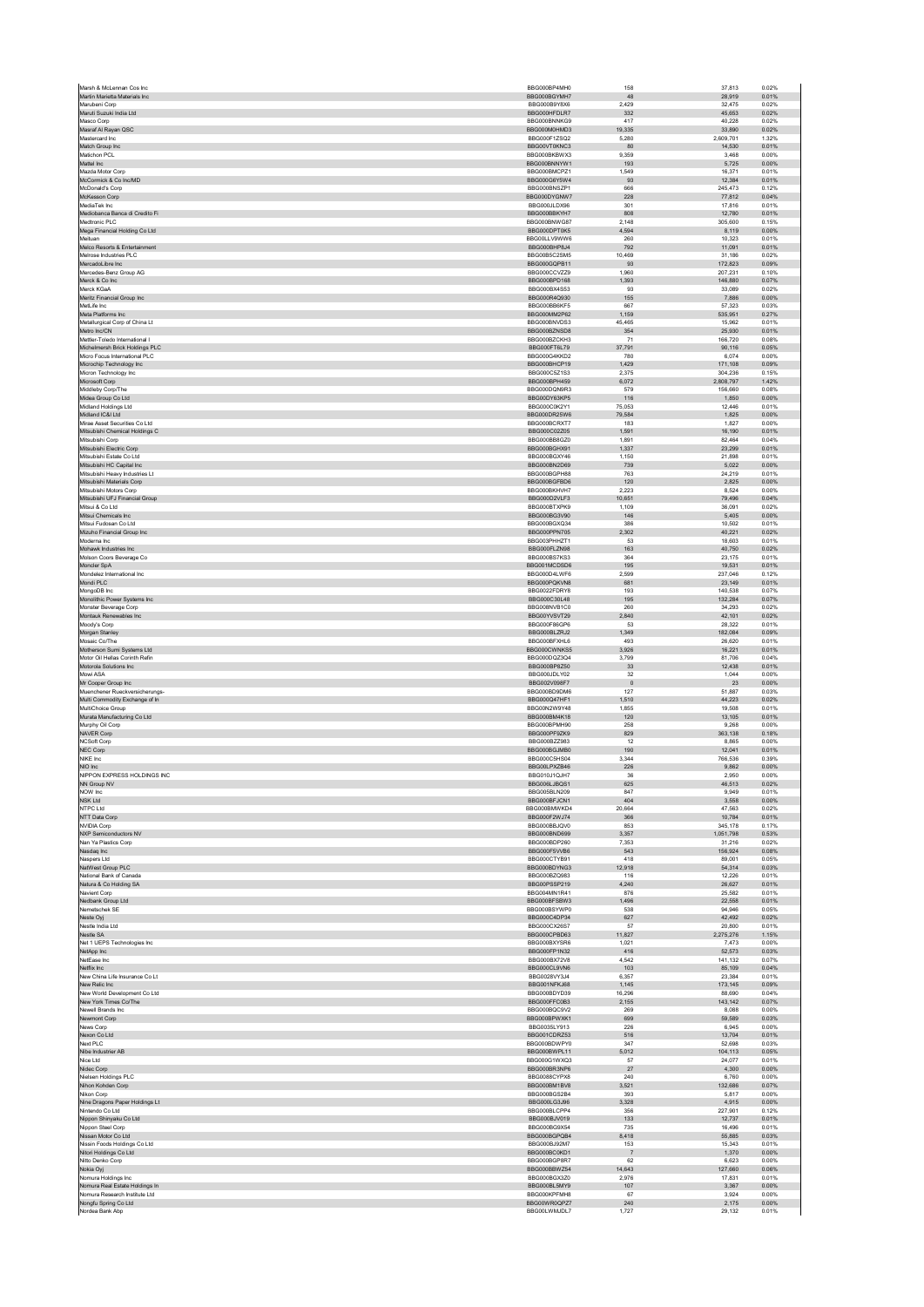|                                                        | BBG000BP4MH0                 | 158             | 37,813               | 0.02%          |
|--------------------------------------------------------|------------------------------|-----------------|----------------------|----------------|
| Martin Marietta Materials Inc<br>Marubeni Corp         | BBG000BGYMH7<br>BBG000B9Y8X6 | 48<br>2,429     | 28,919<br>32,475     | 0.01%<br>0.02% |
| Maruti Suzuki India Ltd                                | BBG000HFDLR7                 | 332             | 45.653               | 0.02%          |
| Masco Corp                                             | BBG000BNNKG9                 | 417             | 40,228               | 0.02%          |
| Masraf Al Rayan QSC                                    | BBG000M0HMD3                 | 19.335          | 33,890               | 0.02%          |
| Mastercard Inc<br>Match Group Inc                      | BBG000F1ZSQ2<br>BBG00VT0KNC3 | 5,280<br>80     | 2,609,701<br>14,530  | 1.32%<br>0.01% |
| Matichon PCL                                           | BBG000BKBWX3                 | 9,359           | 3.468                | 0.00%          |
| Mattel Inc                                             | BBG000BNNYW1                 | 193             | 5,725                | 0.00%          |
| Mazda Motor Corp<br>McCormick & Co Inc/MD              | BBG000BMCPZ1<br>BBG000G6Y5W4 | 1,549           | 16.371               | 0.01%          |
| McDonald's Corp                                        | BBG000BNSZP1                 | 93<br>666       | 12,384<br>245,473    | 0.01%<br>0.12% |
| McKesson Corp                                          | BBG000DYGNW7                 | 228             | 77.812               | 0.04%          |
| MediaTek Inc                                           | BBG000JLDX96                 | 301             | 17,816               | 0.01%          |
| Mediobanca Banca di Credito Fi                         | BBG000BBKYH7                 | 808             | 12,780               | 0.01%          |
| Medtronic PLC                                          | BBG000BNWG87                 | 2,148           | 305,600              | 0.15%          |
| Mega Financial Holding Co Ltd<br>Meituan               | BBG000DPT0K5<br>BBG00LLV9WW6 | 4,594<br>260    | 8,119<br>10.323      | 0.00%<br>0.01% |
| Melco Resorts & Entertainment                          | BBG000BHP8J4                 | 792             | 11,091               | 0.01%          |
| Melrose Industries PLC                                 | BBG00B5C2SM5                 | 10.469          | 31,186               | 0.02%          |
| MercadoLibre Inc                                       | BBG000GQPB11                 | 93              | 172,823              | 0.09%          |
| Mercedes-Benz Group AG<br>Merck & Co Inc               | BBG000CCVZZ9<br>BBG000BPD168 | 1,960<br>1.393  | 207,231<br>146,880   | 0.10%<br>0.07% |
| Merck KGaA                                             | BBG000BX4S53                 | 93              | 33,089               | 0.02%          |
| Meritz Financial Group Inc                             | BBG000R4Q930                 | 155             | 7,886                | 0.00%          |
| MetLife Inc.                                           | BBG000BB6KF5                 | 667             | 57.323               | 0.03%          |
| Meta Platforms Inc                                     | BBG000MM2P62                 | 1,159           | 535,951              | 0.27%          |
| Metallurgical Corp of China Lt                         | BBG000BNVDS3                 | 45,465          | 15.962               | 0.01%          |
| Metro Inc/CN<br>Mettler-Toledo International I         | BBG000BZNSD8<br>BBG000BZCKH3 | 354<br>71       | 25,930<br>166,720    | 0.01%<br>0.08% |
| Michelmersh Brick Holdings PLC                         | BBG000FT6L79                 | 37,791          | 90.116               | 0.05%          |
| Micro Focus International PLC                          | BBG000G4KKD2                 | 780             | 6,074                | 0.00%          |
| Microchip Technology Inc                               | BBG000BHCP19                 | 1.429           | 171.108              | 0.09%          |
| Micron Technology Inc                                  | BBG000C5Z1S3                 | 2,375           | 304,236              | 0.15%          |
| Microsoft Corp<br>Middleby Corp/The                    | BBG000BPH459<br>BBG000DON9R3 | 6,072<br>579    | 2,808,797<br>156,660 | 1.42%<br>0.08% |
| Midea Group Co Ltd                                     | BBG00DY63KP5                 | 116             | 1,850                | 0.00%          |
| Midland Holdings Ltd                                   | BBG000C0K2Y1                 | 75.053          | 12.446               | 0.01%          |
| Midland IC&I Ltd                                       | BBG000DR25W6                 | 79,584          | 1,825                | 0.00%          |
| Mirae Asset Securities Co Ltd                          | BBG000BCRXT7                 | 183             | 1,827                | 0.00%          |
| Mitsubishi Chemical Holdings C                         | BBG000C02Z05                 | 1,591           | 16.190               | 0.01%          |
| Mitsubishi Corp<br>Mitsubishi Electric Corp            | BBG000BB8GZ0<br>BBG000BGHX91 | 1,891<br>1.337  | 82,464<br>23.299     | 0.04%<br>0.01% |
| Mitsubishi Estate Co Ltd                               | BBG000BGXY46                 | 1,150           | 21,898               | 0.01%          |
| Mitsubishi HC Capital Inc.                             | BBG000BN2D69                 | 739             | 5,022                | 0.00%          |
| Mitsubishi Heavy Industries I t                        | BBG000BGPH88                 | 763             | 24.219               | 0.01%          |
| Mitsubishi Materials Corp<br>Mitsubishi Motors Corp    | BBG000BGFBD6<br>BBG000BKHVH7 | 120<br>2.223    | 2,825<br>8.524       | 0.00%<br>0.00% |
| Mitsubishi UFJ Financial Group                         | BBG000D2VLF3                 | 10,651          | 79,496               | 0.04%          |
| Mitsui & Co Ltd                                        | BBG000BTXPK9                 | 1,109           | 36,091               | 0.02%          |
| Mitsui Chemicals Inc.                                  | BBG000BG3V90                 | 146             | 5,405                | 0.00%          |
| Mitsui Fudosan Co Ltd                                  | BBG000BGXQ34                 | 386             | 10,502               | 0.01%          |
| Mizuho Financial Group Inc.                            | BBG000PPN705                 | 2,302           | 40.221               | 0.02%          |
| Moderna Inc<br>Mohawk Industries Inc                   | BBG003PHHZT1<br>BBG000FLZN98 | 53<br>163       | 18,603<br>40.750     | 0.01%<br>0.02% |
| Molson Coors Beverage Co                               | BBG000BS7KS3                 | 364             | 23.175               | 0.01%          |
| Moncler SpA                                            | BBG001MCDSD6                 | 195             | 19,531               | 0.01%          |
| Mondelez International Inc.                            | BBG000D4LWE6                 | 2.599           | 237.046              | 0.12%          |
| Mondi PLC<br>MongoDB Inc                               | BBG000PQKVN8<br>BBG0022FDRY8 | 681<br>193      | 23,149<br>140,538    | 0.01%<br>0.07% |
| Monolithic Power Systems Inc.                          | BBG000C30L48                 | 195             | 132,284              | 0.07%          |
| Monster Beverage Corp                                  | BBG008NVB1C0                 | 260             | 34,293               | 0.02%          |
| Montauk Renewables Inc                                 | BBG00YVSVT29                 | 2,840           | 42,101               | 0.02%          |
| Moody's Corp                                           | BBG000F86GP6                 | 53              | 28,322               | 0.01%          |
| Morgan Stanley                                         | BBG000BLZRJ2<br>BBG000BFXHL6 | 1,349<br>493    | 182.084<br>26.620    | 0.09%<br>0.01% |
| Mosaic Co/The<br>Motherson Sumi Systems Ltd            | BBG000CWNKS5                 | 3,926           | 16,221               | 0.01%          |
| Motor Oil Hellas Corinth Refin                         | BBG000DQZ3Q4                 | 3.799           | 81.706               | 0.04%          |
|                                                        |                              |                 |                      |                |
| Motorola Solutions Inc                                 | BBG000BP8Z50                 | $33\,$          | 12,438               | 0.01%          |
| Mowi ASA                                               | BBG000JDLY02                 | 32              | 1,044                | 0.00%          |
| Mr Cooper Group Inc.                                   | BBG002V098F7                 | $\overline{0}$  | 23                   | 0.00%          |
| Muenchener Rueckversicherungs-                         | BBG000BD9DM6                 | 127             | 51,887               | 0.03%          |
| Multi Commodity Exchange of In<br>MultiChoice Group    | BBG000Q47HF1<br>BBG00N2W9Y48 | 1,510<br>1,855  | 44,223<br>19,508     | 0.02%<br>0.01% |
| Murata Manufacturing Co Ltd                            | BBG000BM4K18                 | 120             | 13,105               | 0.01%          |
| Murphy Oil Corp                                        | BBG000BPMH90                 | 258             | 9.268                | 0.00%          |
| NAVER Corp                                             | BBG000PF9ZK9                 | 829             | 363,138              | 0.18%          |
| <b>NCSoft Corp</b>                                     | BBG000BZZ983                 | 12              | 8.865                | 0.00%          |
| NEC Corp<br>NIKE Inc.                                  | BBG000BGJMB0<br>BBG000C5HS04 | 190<br>3.344    | 12,041<br>766,536    | 0.01%<br>0.39% |
| NIO Inc                                                | BBG00LPXZB46                 | 226             | 9,862                | 0.00%          |
| NIPPON EXPRESS HOLDINGS INC                            | BBG010J1QJH7                 | 36              | 2,950                | 0.00%          |
| NN Group NV                                            | BBG006LJBQS1                 | 625             | 46,513               | 0.02%          |
| NOW Inc<br><b>NSK Ltd</b>                              | BBG005BLN209<br>BBG000BFJCN1 | 847<br>404      | 9,949<br>3,558       | 0.01%<br>0.00% |
| NTPC Ltd                                               | BBG000BMWKD4                 | 20.664          | 47.563               | 0.02%          |
| NTT Data Corp                                          | BBG000F2WJ74                 | 366             | 10,784               | 0.01%          |
| <b>NVIDIA Corp</b>                                     | BBG000BBJQV0                 | 853             | 345,178              | 0.17%          |
| NXP Semiconductors NV                                  | BBG000BND699                 | 3,357           | 1,051,798            | 0.53%          |
| Nan Ya Plastics Corp                                   | BBG000BDP260<br>BBG000F5VVB6 | 7,353<br>543    | 31,216<br>156.924    | 0.02%<br>0.08% |
| Nasdaq Inc<br>Naspers Ltd                              | BBG000CTYB91                 | 418             | 89,001               | 0.05%          |
| NatWest Group PLC                                      | BBG000BDYNG3                 | 12,918          | 54,314               | 0.03%          |
| National Bank of Canada                                | BBG000BZQ983                 | 116             | 12,226               | 0.01%          |
| Natura & Co Holding SA                                 | BBG00PSSP219                 | 4,240           | 26,627               | 0.01%          |
| Navient Corp<br>Nedbank Group Ltd                      | BBG004MN1R41<br>BBG000BFSBW3 | 876<br>1,496    | 25.582<br>22,558     | 0.01%<br>0.01% |
| Nemetschek SE                                          | BBG000BSYWP0                 | 538             | 94.946               | 0.05%          |
| Neste Oyj                                              | BBG000C4DP34                 | 627             | 42,492               | 0.02%          |
| Nestle India Ltd                                       | BBG000CX26S7                 | 57              | 20,800               | 0.01%          |
| Nestle SA                                              | BBG000CPBD63                 | 11.827          | 2.275.276            | 1.15%          |
| Net 1 UEPS Technologies Inc<br>NetApp Inc              | BBG000BXYSR6<br>BBG000FP1N32 | 1,021<br>416    | 7,473<br>52,573      | 0.00%<br>0.03% |
| NetEase Inc                                            | BBG000BX72V8                 | 4,542           | 141,132              | 0.07%          |
| Netflix Inc                                            | BBG000CL9VN6                 | 103             | 85,109               | 0.04%          |
| New China Life Insurance Co Lt                         | BBG0028VY3J4                 | 6.357           | 23.384               | 0.01%          |
| New Relic Inc                                          | BBG001NFKJ68<br>BBG000BDYD39 | 1,145<br>16,296 | 173,145<br>88.690    | 0.09%<br>0.04% |
| New World Development Co Ltd<br>New York Times Co/The  | BBG000FFC0B3                 | 2,155           | 143,142              | 0.07%          |
| Newell Brands Inc                                      | BBG000BQC9V2                 | 269             | 8,088                | 0.00%          |
| Newmont Corp                                           | BBG000BPWXK1                 | 699             | 59.589               | 0.03%          |
| News Corp                                              | BBG0035LY913                 | 226             | 6,945                | 0.00%          |
| Nexon Co Ltd                                           | BBG001CDRZ53                 | 516<br>347      | 13,704               | 0.01%          |
| Next PLC<br>Nibe Industrier AB                         | BBG000BDWPY0<br>BBG000BWPL11 | 5,012           | 52,698<br>104,113    | 0.03%<br>0.05% |
| Nice Ltd                                               | BBG000G1WXQ3                 | 57              | 24.077               | 0.01%          |
| Nidec Corp                                             | BBG000BR3NP6                 | 27              | 4,300                | 0.00%          |
| Nielsen Holdings PLC                                   | BBG0088CYPX8                 | 240             | 6.760                | 0.00%          |
| Nihon Kohden Corp                                      | BBG000BM1BV8                 | 3,521           | 132,686              | 0.07%          |
| Nikon Corp<br>Nine Dragons Paper Holdings Lt           | BBG000BGS2B4<br>BBG000LG3J96 | 393<br>3.328    | 5,817<br>4.915       | 0.00%<br>0.00% |
| Nintendo Co Ltd                                        | BBG000BLCPP4                 | 356             | 227,901              | 0.12%          |
| Nippon Shinyaku Co Ltd                                 | BBG000BJV019                 | 133             | 12,737               | 0.01%          |
| Nippon Steel Corp                                      | BBG000BG9X54                 | 735             | 16,496               | 0.01%          |
| Nissan Motor Co Ltd                                    | BBG000BGPQB4<br>BBG000BJ92M7 | 8,418<br>153    | 55,885<br>15.343     | 0.03%<br>0.01% |
| Nissin Foods Holdings Co Ltd<br>Nitori Holdings Co Ltd | BBG000BC0KD1                 | $\overline{7}$  | 1,370                | 0.00%          |
| Nitto Denko Corp                                       | BBG000BGP8R7                 | 62              | 6,623                | 0.00%          |
| Nokia Oyj                                              | BBG000BBWZ54                 | 14,643          | 127,660              | 0.06%          |
| Nomura Holdings Inc.                                   | BBG000BGX3Z0                 | 2,976           | 17,831               | 0.01%          |
| Nomura Real Estate Holdings In                         | BBG000BL5MY9                 | 107             | 3.367                | 0.00%          |
| Nomura Research Institute Ltd                          | BBG000KPFMH8<br>BBG00WR0QPZ7 | 67<br>240       | 3,924                | 0.00%<br>0.00% |
| Nongfu Spring Co Ltd<br>Nordea Bank Abp                | BBG00LWMJDL7                 | 1,727           | 2,175<br>29,132      | 0.01%          |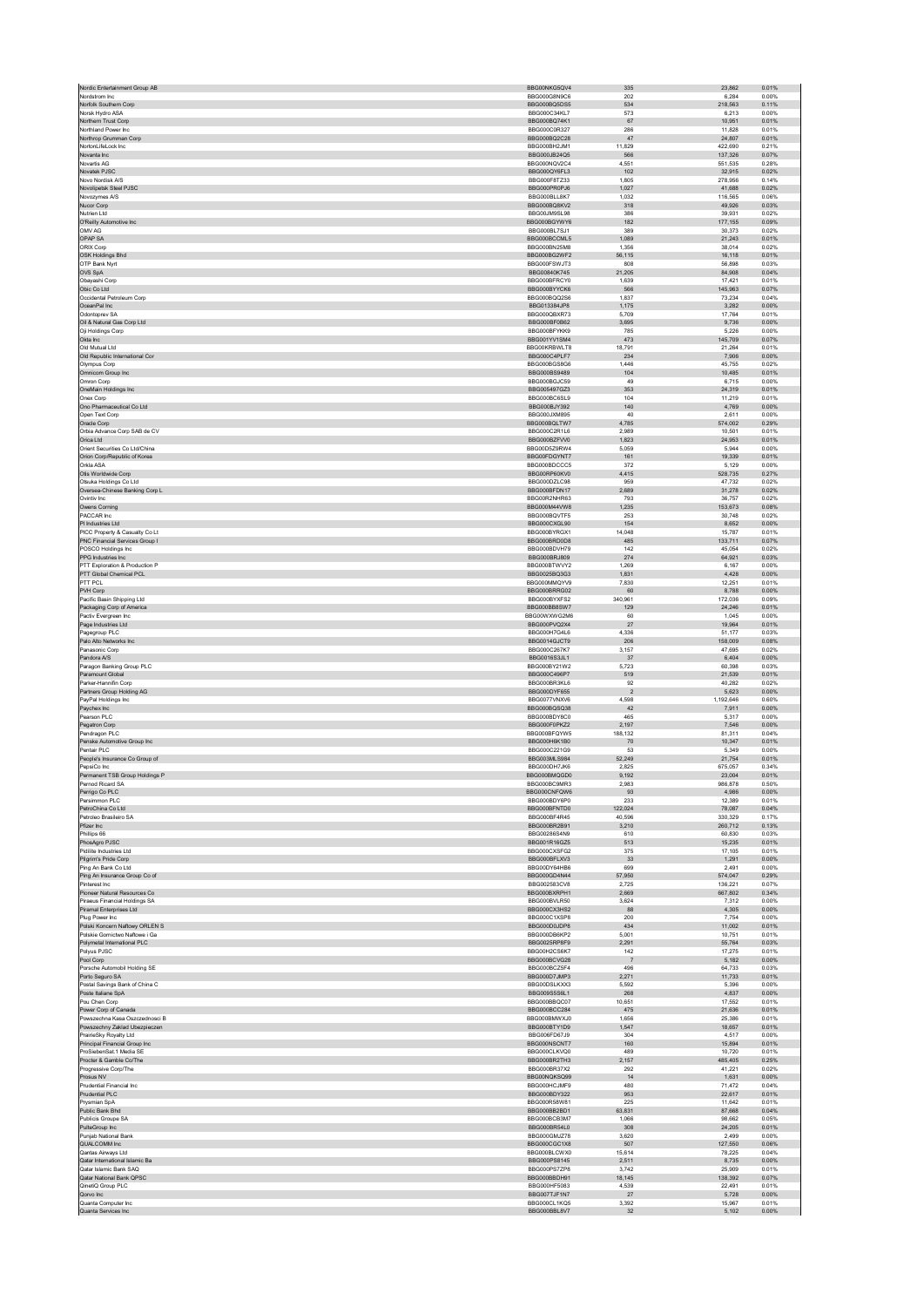| Nordic Entertainment Group AB                            | BBG00NKG5QV4                 | 335               | 23,862             | 0.01%          |
|----------------------------------------------------------|------------------------------|-------------------|--------------------|----------------|
| Nordstrom Inc.<br>Norfolk Southern Corp                  | BBG000G8N9C6<br>BBG000BQ5DS5 | 202<br>534        | 6.284<br>218,563   | 0.00%<br>0.11% |
| Norsk Hydro ASA                                          | BBG000C34KL7                 | 573               | 6,213              | 0.00%          |
| Northern Trust Corp                                      | BBG000BQ74K1                 | 67                | 10,951             | 0.01%          |
| Northland Power Inc.<br>Northrop Grumman Corp            | BBG000C0R327<br>BBG000BQ2C28 | 286<br>47         | 11,828<br>24,807   | 0.01%<br>0.01% |
| NortonLifeLock Inc                                       | BBG000BH2JM1                 | 11.829            | 422.690            | 0.21%          |
| Novanta Inc                                              | BBG000JB24Q5                 | 566               | 137,326            | 0.07%          |
| Novartis AG<br>Novatek PJSC                              | BBG000NQV2C4<br>BBG000QY6FL3 | 4.551<br>102      | 551,535<br>32,915  | 0.28%<br>0.02% |
| Novo Nordisk A/S                                         | BBG000F8TZ33                 | 1,805             | 278,956            | 0.14%          |
| Novolipetsk Steel PJSC                                   | BBG000PR0PJ6                 | 1.027             | 41.688             | 0.02%          |
| Novozymes A/S<br>Nucor Corp                              | BBG000BLL8K7<br>BBG000BQ8KV2 | 1,032<br>318      | 116,565<br>49,926  | 0.06%<br>0.03% |
| Nutrien Ltd                                              | BBG00JM9SL98                 | 386               | 39,931             | 0.02%          |
| O'Reilly Automotive Inc                                  | BBG000BGYWY6                 | 182               | 177,155            | 0.09%          |
| OMV AG<br>OPAP SA                                        | BBG000BL7SJ1<br>BBG000BCCML5 | 389<br>1,089      | 30.373<br>21,243   | 0.02%<br>0.01% |
| ORIX Corp                                                | BBG000BN25M8                 | 1,356             | 38.014             | 0.02%          |
| OSK Holdings Bhd                                         | BBG000BG2WF2                 | 56,115            | 16,118             | 0.01%          |
| OTP Bank Nyrt<br>OVS SpA                                 | BBG000FSWJT3<br>BBG00840K745 | 808<br>21.205     | 56,898<br>84.908   | 0.03%<br>0.04% |
| Obayashi Corp                                            | BBG000BFRCY0                 | 1,639             | 17,421             | 0.01%          |
| Obic Co Ltd                                              | BBG000BYYCK6                 | 566               | 145,963            | 0.07%          |
| Occidental Petroleum Corp<br>OceanPal Inc                | BBG000BQQ2S6<br>BBG013384JP8 | 1,837<br>1,175    | 73,234<br>3,282    | 0.04%<br>0.00% |
| Odontoprey SA                                            | BBG000QBXR73                 | 5.709             | 17.764             | 0.01%          |
| Oil & Natural Gas Corp Ltd                               | BBG000BF0B62                 | 3,695             | 9,736              | 0.00%          |
| Oji Holdings Corp<br>Okta Inc                            | BBG000BFYKK9<br>BBG001YV1SM4 | 785<br>473        | 5.226<br>145,709   | 0.00%<br>0.07% |
| Old Mutual Ltd                                           | BBG00KRBWLT8                 | 18,791            | 21,264             | 0.01%          |
| Old Republic International Cor                           | BBG000C4PLF7                 | 234               | 7.906              | 0.00%          |
| Olympus Corp<br>Omnicom Group Inc                        | BBG000BGS8G6<br>BBG000BS9489 | 1,446<br>104      | 45,755<br>10,485   | 0.02%<br>0.01% |
| Omron Corp                                               | BBG000BGJC59                 | 49                | 6,715              | 0.00%          |
| OneMain Holdings Inc                                     | BBG005497GZ3                 | 353               | 24,319             | 0.01%          |
| Onex Corp<br>Ono Pharmaceutical Co Ltd                   | BBG000BC6SL9<br>BBG000BJY392 | 104<br>140        | 11.219<br>4,769    | 0.01%<br>0.00% |
| Open Text Corp                                           | BBG000JXM895                 | 40                | 2.611              | 0.00%          |
| Oracle Corp                                              | BBG000BQLTW7                 | 4,785             | 574,002            | 0.29%          |
| Orbia Advance Corp SAB de CV<br>Orica Ltd                | BBG000C2R1L6<br>BBG000BZFW0  | 2,989<br>1.823    | 10,501<br>24.953   | 0.01%<br>0.01% |
| Orient Securities Co Ltd/China                           | BBG00D5Z9RW4                 | 5,059             | 5,944              | 0.00%          |
| Orion Corp/Republic of Korea                             | BBG00FDGYNT7                 | 161               | 19,339             | 0.01%          |
| Orkla ASA                                                | BBG000BDCCC5                 | 372               | 5,129              | 0.00%          |
| Otis Worldwide Corp<br>Otsuka Holdings Co Ltd.           | BBG00RP60KV0<br>BBG000DZLC98 | 4,415<br>959      | 528,735<br>47.732  | 0.27%<br>0.02% |
| Oversea-Chinese Banking Corp L                           | BBG000BFDN17                 | 2,689             | 31,278             | 0.02%          |
| Ovintiv Inc.<br>Owens Corning                            | BBG00R2NHR63<br>BBG000M44VW8 | 793<br>1,235      | 36.757<br>153,673  | 0.02%<br>0.08% |
| PACCAR Inc                                               | BBG000BQVTF5                 | 253               | 30,748             | 0.02%          |
| PI Industries Ltd                                        | BBG000CXGL90                 | 154               | 8.652              | 0.00%          |
| PICC Property & Casualty Co Lt                           | BBG000BYRGX1<br>BBG000BRD0D8 | 14,048<br>485     | 15,787             | 0.01%          |
| PNC Financial Services Group I<br>POSCO Holdings Inc     | BBG000BDVH79                 | 142               | 133,711<br>45,054  | 0.07%<br>0.02% |
| PPG Industries Inc                                       | BBG000BRJ809                 | 274               | 64,921             | 0.03%          |
| PTT Exploration & Production P                           | BBG000BTWVY2                 | 1.269             | 6.167              | 0.00%          |
| PTT Global Chemical PCL<br>PTT PCL                       | BBG0025BQ3G3<br>BBG000MMQYV9 | 1,831<br>7.830    | 4,428<br>12.251    | 0.00%<br>0.01% |
| PVH Corp                                                 | BBG000BRRG02                 | 60                | 8,788              | 0.00%          |
| Pacific Basin Shipping Ltd                               | BBG000BYXFS2<br>BBG000BB8SW7 | 340,961           | 172,036<br>24.246  | 0.09%          |
| Packaging Corp of America<br>Pactiv Evergreen Inc        | BBG00WXWG2M6                 | 129<br>60         | 1,045              | 0.01%<br>0.00% |
| Page Industries Ltd                                      | BBG000PVQ2X4                 | 27                | 19,964             | 0.01%          |
| Pagegroup PLC                                            | BBG000H7G4L6                 | 4,336             | 51,177             | 0.03%          |
| Palo Alto Networks Inc<br>Panasonic Corp                 | BBG0014GJCT9<br>BBG000C267K7 | 206<br>3.157      | 158,009<br>47.695  | 0.08%<br>0.02% |
| Pandora A/S                                              | BBG0016S3JL1                 | 37                | 6,404              | 0.00%          |
| Paragon Banking Group PLC                                | BBG000BY21W2                 | 5.723             | 60,398             | 0.03%          |
| Paramount Global<br>Parker-Hannifin Corp                 | BBG000C496P7<br>BBG000BR3KL6 | 519<br>92         | 21,539<br>40,282   | 0.01%<br>0.02% |
| Partners Group Holding AG                                | BBG000DYF655                 | $\overline{2}$    | 5.623              | 0.00%          |
| PayPal Holdings Inc.                                     | BBG0077VNXV6                 | 4,598             | 1,192,646          | 0.60%          |
| Paychex Inc<br>Pearson PLC                               | BBG000BQSQ38<br>BBG000BDY8C0 | 42<br>465         | 7,911<br>5,317     | 0.00%<br>0.00% |
| Pegatron Corp                                            | BBG000F0PKZ2                 | 2,197             | 7,546              | 0.00%          |
| Pendragon PLC                                            | BBG000BFQYW5<br>BBG000H6K1B0 | 188.132           | 81.311             | 0.04%          |
| Penske Automotive Group Inc<br>Pentair PLC               | BBG000C221G9                 | $70$<br>53        | 10,347<br>5,349    | 0.01%<br>0.00% |
| People's Insurance Co Group of                           | BBG003MLS984                 | 52,249            | 21,754             | 0.01%          |
| PepsiCo Inc                                              | BBG000DH7JK6<br>BBG000BMQGD0 | 2,825             | 675,057            | 0.34%<br>0.01% |
| Permanent TSB Group Holdings P<br>Pernod Ricard SA       | BBG000BC9MR3                 | 9,192<br>2,983    | 23.004<br>986,878  | 0.50%          |
| Perrigo Co PLC                                           | BBG000CNFQW6                 | 93                | 4,986              | 0.00%          |
| Persimmon PLC                                            | BBG000BDY6P0                 | 233               | 12,389             | 0.01%          |
| PetroChina Co Ltd<br>Petroleo Brasileiro SA              | BBG000BFNTD0<br>BBG000BF4R45 | 122,024<br>40.596 | 78,087<br>330.329  | 0.04%<br>0.17% |
| Pfizer Inc                                               | BBG000BR2B91                 | 3,210             | 260,712            | 0.13%          |
| Phillips 66                                              | BBG00286S4N9                 | 610               | 60,830             | 0.03%          |
| PhosAgro PJSC<br>Pidilite Industries Ltd                 | BBG001R16GZ5<br>BBG000CXSFG2 | 513<br>375        | 15.235<br>17,105   | 0.01%<br>0.01% |
| Pilgrim's Pride Corp                                     | BBG000BFLXV3                 | 33                | 1.291              | 0.00%          |
| Ping An Bank Co Ltd                                      | BBG00DY64HB6                 | 699               | 2,491              | 0.00%          |
| Ping An Insurance Group Co of<br>Pinterest Inc.          | BBG000GD4N44<br>BBG002583CV8 | 57,950<br>2.725   | 574,047<br>136.221 | 0.29%<br>0.07% |
| Pioneer Natural Resources Co                             | BBG000BXRPH1                 | 2,669             | 667,802            | 0.34%          |
| Piraeus Financial Holdings SA                            | BBG000BVLR50                 | 3.624             | 7.312              | 0.00%          |
| Piramal Enterprises Ltd<br>Plug Power Inc.               | BBG000CX3HS2<br>BBG000C1XSP8 | 88<br>200         | 4,305<br>7,754     | 0.00%<br>0.00% |
| Polski Koncern Naftowy ORLEN S                           | BBG000D0JDP8                 | 434               | 11.002             | 0.01%          |
| Polskie Gornictwo Naftowe i Ga                           | BBG000DB6KP2                 | 5,001             | 10,751             | 0.01%          |
| Polymetal International PLC<br>Polyus PJSC               | BBG0025RP8F9<br>BBG00H2CS6K7 | 2.291<br>142      | 55.764<br>17,275   | 0.03%<br>0.01% |
| Pool Corp                                                | BBG000BCVG28                 | $\overline{7}$    | 5,182              | 0.00%          |
| Porsche Automobil Holding SE                             | BBG000BCZ5F4                 | 496               | 64.733             | 0.03%          |
| Porto Seguro SA<br>Postal Savings Bank of China C        | BBG000D7JMP3<br>BBG00DSLKXX3 | 2,271<br>5.592    | 11,733<br>5.396    | 0.01%<br>0.00% |
| Poste Italiane SpA                                       | BBG009S5S6L1                 | 268               | 4,837              | 0.00%          |
| Pou Chen Corp                                            | BBG000BBQC07                 | 10,651            | 17,552             | 0.01%          |
| Power Corp of Canada<br>Powszechna Kasa Oszczednosci B   | BBG000BCC284<br>BBG000BMWXJ0 | 475<br>1,656      | 21.636<br>25,386   | 0.01%<br>0.01% |
| Powszechny Zaklad Ubezpieczen                            | BBG000BTY1D9                 | 1.547             | 18.657             | 0.01%          |
| PrairieSky Royalty Ltd                                   | BBG006FD67J9                 | 304               | 4,517              | 0.00%          |
| Principal Financial Group Inc<br>ProSiebenSat.1 Media SE | BBG000NSCNT7<br>BBG000CLKVQ0 | 160<br>489        | 15,894<br>10.720   | 0.01%<br>0.01% |
| Procter & Gamble Co/The                                  | BBG000BR2TH3                 | 2,157             | 485,405            | 0.25%          |
| Progressive Corp/The                                     | BBG000BR37X2                 | 292               | 41.221             | 0.02%          |
| Prosus NV<br>Prudential Financial Inc.                   | BBG00NQKSQ99<br>BBG000HCJMF9 | 14<br>480         | 1,631<br>71,472    | 0.00%<br>0.04% |
| Prudential PLC                                           | BBG000BDY322                 | 953               | 22.617             | 0.01%          |
| Prysmian SpA                                             | BBG000R58W81                 | 225               | 11,642             | 0.01%          |
| Public Bank Bhd<br>Publicis Groupe SA                    | BBG000BB2BD1<br>BBG000BCB3M7 | 63.831<br>1,066   | 87.668<br>98,662   | 0.04%<br>0.05% |
| PulteGroup Inc                                           | BBG000BR54L0                 | 308               | 24,205             | 0.01%          |
| Puniab National Bank                                     | BBG000GMJZ78                 | 3.620             | 2.499              | 0.00%          |
| QUALCOMM Inc<br>Qantas Airways Ltd                       | BBG000CGC1X8<br>BBG000BLCWX0 | 507<br>15.614     | 127,550<br>78.225  | 0.06%<br>0.04% |
| Qatar International Islamic Ba                           | BBG000PS8145                 | 2,511             | 8,735              | 0.00%          |
| Qatar Islamic Bank SAQ                                   | BBG000PS7ZP8                 | 3,742             | 25.909             | 0.01%          |
| Qatar National Bank QPSC<br>QinetiQ Group PLC            |                              | 18.145            | 138.392            | 0.07%          |
|                                                          | BBG000BBDH91                 |                   |                    |                |
| Qorvo Inc                                                | BBG000HF5083<br>BBG007TJF1N7 | 4,539<br>27       | 22,491<br>5,728    | 0.01%<br>0.00% |
| Quanta Computer Inc<br>Quanta Services Inc               | BBG000CL1KQ5<br>BBG000BBL8V7 | 3,392<br>32       | 15,967<br>5,102    | 0.01%<br>0.00% |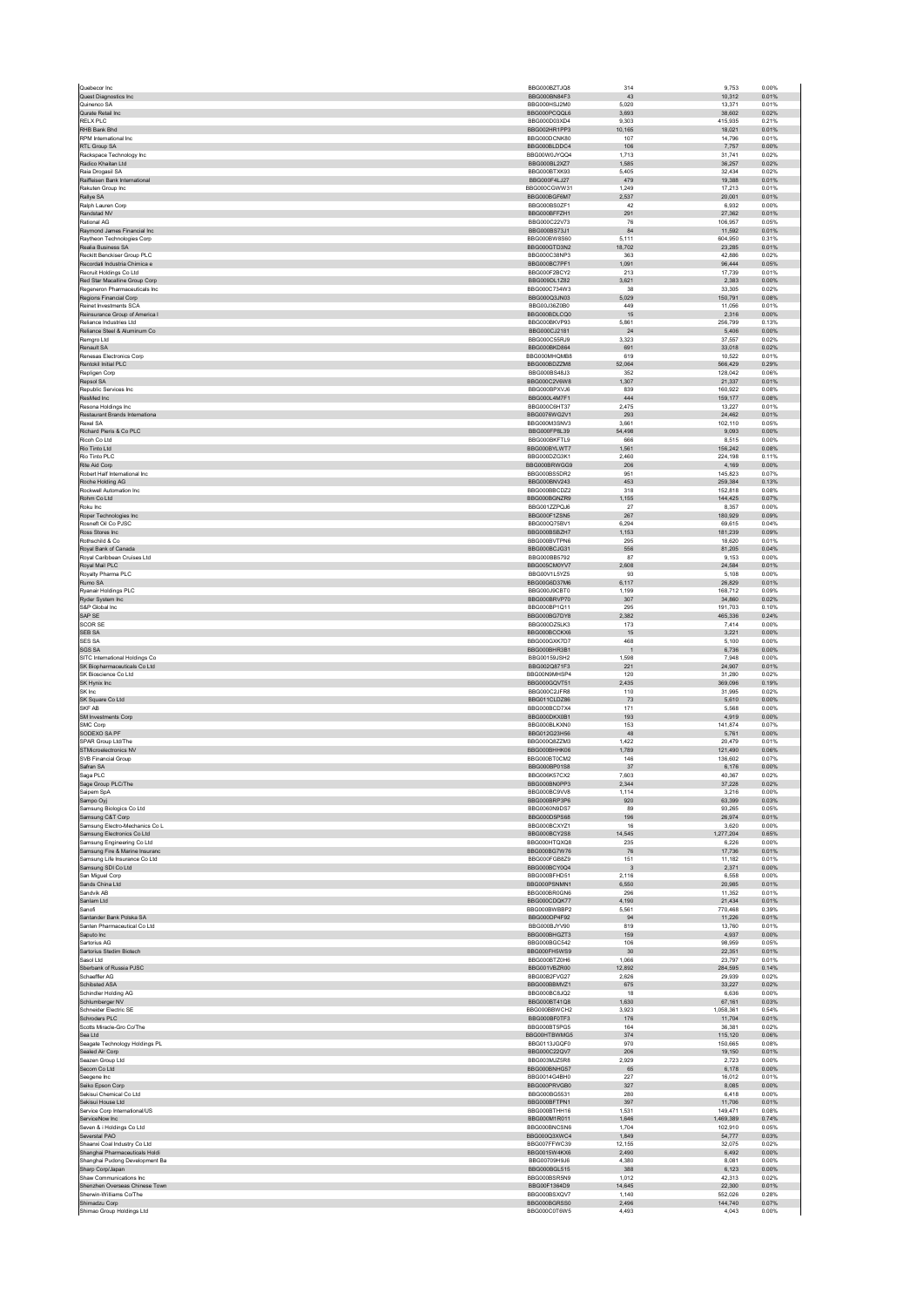| Quest Diagnostics Inc.                                          | BBG000BZTJQ8                        | 314             | 9,753               | 0.00%          |
|-----------------------------------------------------------------|-------------------------------------|-----------------|---------------------|----------------|
|                                                                 | BBG000BN84F3                        | 43              | 10.312              | 0.01%          |
| Quinenco SA<br>Qurate Retail Inc                                | BBG000HSJ2M0<br>BBG000PCQQL6        | 5,020<br>3,693  | 13,371<br>38,602    | 0.01%<br>0.02% |
| <b>RELX PLC</b>                                                 | BBG000D03XD4                        | 9.303           | 415.935             | 0.21%          |
| RHB Bank Bhd                                                    | BBG002HR1PP3                        | 10,165          | 18,021              | 0.01%          |
| RPM International Inc.                                          | BBG000DCNK80                        | 107             | 14.796              | 0.01%          |
| RTL Group SA                                                    | BBG000BLDDC4<br>BBG00W0JYQQ4        | 106<br>1,713    | 7,757<br>31,741     | 0.00%<br>0.02% |
| Rackspace Technology Inc<br>Radico Khaitan Ltd                  | BBG000BL2XZ7                        | 1.585           | 36.257              | 0.02%          |
| Raia Drogasil SA                                                | BBG000BTXK93                        | 5,405           | 32,434              | 0.02%          |
| Raiffeisen Bank International                                   | BBG000F4L.I27                       | 479             | 19.388              | 0.01%          |
| Rakuten Group Inc                                               | BBG000CGWW31<br>BBG000BGF6M7        | 1,249<br>2,537  | 17,213<br>20,001    | 0.01%<br>0.01% |
| Rallye SA<br>Ralph Lauren Corp                                  | BBG000BS0ZF1                        | 42              | 6.932               | 0.00%          |
| Randstad NV                                                     | BBG000BFFZH1                        | 291             | 27,362              | 0.01%          |
| Rational AG                                                     | BBG000C22V73                        | 76              | 106.957             | 0.05%          |
| Raymond James Financial Inc                                     | BBG000BS73J1                        | 84              | 11,592              | 0.01%          |
| Raytheon Technologies Corp<br>Realia Business SA                | <b>BBG000BW8S60</b><br>BBG000GTD3N2 | 5.111<br>18.702 | 604,950<br>23.285   | 0.31%<br>0.01% |
| Reckitt Benckiser Group PLC                                     | BBG000C38NP3                        | 363             | 42,886              | 0.02%          |
| Recordati Industria Chimica e                                   | BBG000BC7PF1                        | 1.091           | 96.444              | 0.05%          |
| Recruit Holdings Co Ltd                                         | BBG000F2BCY2                        | 213             | 17,739              | 0.01%          |
| Red Star Macalline Group Corp<br>Regeneron Pharmaceuticals Inc. | BBG009DL1Z82<br>BBG000C734W3        | 3,621<br>38     | 2,383<br>33.305     | 0.00%<br>0.02% |
| Regions Financial Corp                                          | BBG000Q3JN03                        | 5,029           | 150,791             | 0.08%          |
| Reinet Investments SCA                                          | BBG00J36Z0B0                        | 449             | 11.056              | 0.01%          |
| Reinsurance Group of America I                                  | BBG000BDLCQ0                        | 15              | 2,316               | 0.00%          |
| Reliance Industries Ltd<br>Reliance Steel & Aluminum Co         | BBG000BKVP93<br>BBG000CJ2181        | 5,861<br>24     | 256,799<br>5.406    | 0.13%<br>0.00% |
| Remgro Ltd                                                      | BBG000C55RJ9                        | 3,323           | 37,557              | 0.02%          |
| Renault SA                                                      | BBG000BKD864                        | 691             | 33,018              | 0.02%          |
| Renesas Electronics Corp                                        | BBG000MHQMB8                        | 619             | 10,522              | 0.01%          |
| Rentokil Initial PLC<br>Repligen Corp                           | BBG000BDZZM8<br>BBG000BS48J3        | 52,064<br>352   | 566,429<br>128.042  | 0.29%<br>0.06% |
| Repsol SA                                                       | BBG000C2V6W8                        | 1,307           | 21,337              | 0.01%          |
| Republic Services Inc.                                          | BBG000BPXVJ6                        | 839             | 160.922             | 0.08%          |
| ResMed Inc                                                      | BBG000L4M7F1                        | 444             | 159,177             | 0.08%          |
| Resona Holdings Inc.<br>Restaurant Brands Internationa          | BBG000C6HT37<br>BBG0076WG2V1        | 2,475<br>293    | 13.227<br>24.462    | 0.01%<br>0.01% |
| Rexel SA                                                        | BBG000M3SNV3                        | 3,661           | 102,110             | 0.05%          |
| Richard Pieris & Co PLC                                         | BBG000FP8L39                        | 54,498          | 9,093               | 0.00%          |
| Ricoh Co Ltd                                                    | BBG000BKFTL9                        | 666             | 8,515               | 0.00%          |
| Rio Tinto Ltd<br>Rio Tinto PLC                                  | BBG000BYLWT7<br>BBG000DZG3K1        | 1,561<br>2.460  | 156,242<br>224.198  | 0.08%<br>0.11% |
| Rite Aid Corp                                                   | BBG000BRWGG9                        | 206             | 4,169               | 0.00%          |
| Robert Half International Inc.                                  | BBG000BS5DR2                        | 951             | 145.823             | 0.07%          |
| Roche Holding AG                                                | BBG000BNV243                        | 453             | 259,384             | 0.13%          |
| Rockwell Automation Inc.<br>Rohm Co Ltd                         | BBG000BBCDZ2<br>BBG000BGNZR9        | 318<br>1,155    | 152.818<br>144.425  | 0.08%<br>0.07% |
| Roku Inc                                                        | BBG001ZZPQJ6                        | 27              | 8,357               | 0.00%          |
| Roper Technologies Inc                                          | BBG000F1ZSN5                        | 267             | 180.929             | 0.09%          |
| Rosneft Oil Co PJSC                                             | BBG000Q75BV1                        | 6,294           | 69,615              | 0.04%          |
| Ross Stores Inc.                                                | BBG000BSBZH7                        | 1,153           | 181,239             | 0.09%          |
| Rothschild & Co<br>Royal Bank of Canada                         | BBG000BVTPN6<br>BBG000BCJG31        | 295<br>556      | 18.620<br>81,205    | 0.01%<br>0.04% |
| Royal Caribbean Cruises Ltd                                     | BBG000BB5792                        | 87              | 9.153               | 0.00%          |
| Royal Mail PLC                                                  | BBG005CM0YV7                        | 2,608           | 24,584              | 0.01%          |
| Royalty Pharma PLC                                              | BBG00V1L5YZ5                        | 93              | 5,108               | 0.00%          |
| Rumo SA<br><b>Ryanair Holdings PLC</b>                          | BBG00G6D37M6<br>BBG000J9CBT0        | 6.117<br>1,199  | 26.829<br>168,712   | 0.01%<br>0.09% |
| Ryder System Inc                                                | BBG000BRVP70                        | 307             | 34,860              | 0.02%          |
| S&P Global Inc                                                  | BBG000BP1Q11                        | 295             | 191,703             | 0.10%          |
| SAP SE                                                          | BBG000BG7DY8                        | 2,382           | 465,336             | 0.24%          |
| <b>SCOR SE</b>                                                  | BBG000DZ5LK3                        | 173             | 7.414               | 0.00%          |
| SEB SA<br>SES SA                                                | BBG000BCCKX6<br>BBG000GXK7D7        | 15<br>468       | 3,221<br>5.100      | 0.00%<br>0.00% |
| SGS SA                                                          | BBG000BHR3B1                        | $\overline{1}$  | 6,736               | 0.00%          |
| SITC International Holdings Co                                  | BBG00159JSH2                        | 1,598           | 7,948               | 0.00%          |
| SK Biopharmaceuticals Co Ltd                                    | BBG002Q871F3                        | 221             | 24.907              | 0.01%          |
| SK Bioscience Co Ltd<br>SK Hynix Inc                            | BBG00N9MHSP4<br>BBG000GQVT51        | 120<br>2,435    | 31,280<br>369,096   | 0.02%<br>0.19% |
| SK Inc                                                          |                                     |                 | 31,995              | 0.02%          |
|                                                                 |                                     |                 |                     |                |
| SK Square Co Ltd                                                | BBG000C2JFR8<br>BBG011CLDZ86        | 110<br>73       | 5,610               | 0.00%          |
| SKF AB                                                          | BBG000BCD7X4                        | 171             | 5.568               | 0.00%          |
| SM Investments Corp                                             | BBG000DKX0B1                        | 193             | 4,919               | 0.00%          |
| <b>SMC Corp</b><br>SODEXO SA PF                                 | BBG000BLKXN0<br>BBG012G23H56        | 153<br>48       | 141.874<br>5,761    | 0.07%<br>0.00% |
| SPAR Group Ltd/The                                              | BBG000Q8ZZM3                        | 1,422           | 20,479              | 0.01%          |
| STMicroelectronics NV                                           | BBG000BHHK06                        | 1.789           | 121.490             | 0.06%          |
| SVB Financial Group                                             | BBG000BT0CM2                        | 146             | 136,602             | 0.07%          |
| Safran SA<br>Saga PLC                                           | BBG000BP01S8<br>BBG006K57CX2        | 37<br>7,603     | 6,176<br>40,367     | 0.00%<br>0.02% |
| Sage Group PLC/The                                              | BBG000BN0PP3                        | 2,344           | 37,228              | 0.02%          |
| Saipem SpA                                                      | BBG000BC9VV8                        | 1.114           | 3.216               | 0.00%          |
| Sampo Oyj                                                       | BBG000BRP3P6                        | 920<br>89       | 63,399              | 0.03%          |
| Samsung Biologics Co Ltd<br>Samsung C&T Corp                    | BBG0060N9DS7<br>BBG000D5PS68        | 196             | 93.265<br>26,974    | 0.05%<br>0.01% |
| Samsung Electro-Mechanics Co L                                  | BBG000BCXYZ1                        | 16              | 3,620               | 0.00%          |
| Samsung Electronics Co Ltd                                      | BBG000BCY2S8                        | 14.545          | 1,277,204           | 0.65%          |
| Samsung Engineering Co Ltd                                      | BBG000HTQXQ8                        | 235             | 6,226               | 0.00%          |
| Samsung Fire & Marine Insuranc<br>Samsung Life Insurance Co Ltd | BBG000BG7W76<br>BBG000FGB8Z9        | 76<br>151       | 17,736<br>11,182    | 0.01%<br>0.01% |
| Samsung SDI Co Ltd                                              | BBG000BCY0Q4                        | $_{\rm 3}$      | 2,371               | 0.00%          |
| San Miguel Corp                                                 | BBG000BFHD51                        | 2.116           | 6.558               | 0.00%          |
| Sands China Ltd<br>Sandvik AB                                   | BBG000PSNMN1<br>BBG000BR0GN6        | 6,550<br>296    | 20,985<br>11.352    | 0.01%<br>0.01% |
| Sanlam Ltd                                                      | BBG000CDQK77                        | 4,190           | 21,434              | 0.01%          |
| Sanofi                                                          | BBG000BWBBP2                        | 5,561           | 770,468             | 0.39%          |
| Santander Bank Polska SA                                        | BBG000DP4F92                        | 94              | 11.226              | 0.01%          |
| Santen Pharmaceutical Co Ltd<br>Saputo Inc                      | BBG000BJYV90<br>BBG000BHGZT3        | 819<br>159      | 13,760<br>4,937     | 0.01%<br>0.00% |
| Sartorius AG                                                    | BBG000BGC542                        | 106             | 98,959              | 0.05%          |
| Sartorius Stedim Biotech                                        | BBG000FH5WS9                        | 30              | 22,351              | 0.01%          |
| Sasol Ltd                                                       | BBG000BTZ0H6                        | 1.066           | 23.797              | 0.01%          |
| Sberbank of Russia PJSC<br>Schaeffler AG                        | BBG001VBZR00<br>BBG00B2FVG27        | 12,892<br>2,626 | 284,595<br>29,939   | 0.14%<br>0.02% |
| Schibsted ASA                                                   | BBG000BBMVZ1                        | 675             | 33,227              | 0.02%          |
| Schindler Holding AG                                            | BBG000BC8JQ2                        | 18              | 6,636               | 0.00%          |
| Schlumberger NV                                                 | BBG000BT41Q8                        | 1.630           | 67,161              | 0.03%          |
| Schneider Electric SE<br>Schroders PLC                          | BBG000BBWCH2<br>BBG000BF0TF3        | 3,923<br>176    | 1,058,361<br>11,704 | 0.54%<br>0.01% |
| Scotts Miracle-Gro Co/The                                       | BBG000BT5PG5                        | 164             | 36,381              | 0.02%          |
| Sea Ltd                                                         | BBG00HTBWMG5                        | 374             | 115,120             | 0.06%          |
| Seagate Technology Holdings PL                                  | BBG0113JGQF0                        | 970             | 150.665             | 0.08%          |
| Sealed Air Corp<br>Seazen Group Ltd                             | BBG000C22QV7<br>BBG003MJZ5R8        | 206<br>2,929    | 19,150<br>2,723     | 0.01%<br>0.00% |
| Secom Co Ltd                                                    | BBG000BNHG57                        | 65              | 6,178               | 0.00%          |
| Seegene Inc                                                     | BBG0014G4BH0                        | 227             | 16,012              | 0.01%          |
| Seiko Epson Corp                                                | BBG000PRVGB0                        | 327             | 8.085               | 0.00%          |
| Sekisui Chemical Co Ltd<br>Sekisui House Ltd                    | BBG000BG5531<br>BBG000BFTPN1        | 280<br>397      | 6,418<br>11,706     | 0.00%<br>0.01% |
| Service Corp International/US                                   | BBG000BTHH16                        | 1,531           | 149,471             | 0.08%          |
| ServiceNow Inc                                                  | BBG000M1R011                        | 1,646           | 1,469,389           | 0.74%          |
| Seven & i Holdings Co Ltd                                       | BBG000BNCSN6                        | 1.704           | 102.910             | 0.05%          |
| Severstal PAO<br>Shaanxi Coal Industry Co Ltd                   | BBG000Q3XWC4<br>BBG007FFWC39        | 1,849<br>12,155 | 54,777<br>32,075    | 0.03%<br>0.02% |
| Shanghai Pharmaceuticals Holdi                                  | BBG0015W4KX6                        | 2.490           | 6.492               | 0.00%          |
| Shanghai Pudong Development Ba                                  | BBG00709H9J6                        | 4,380           | 8,081               | 0.00%          |
| Sharp Corp/Japan                                                | BBG000BGL515                        | 388             | 6,123               | 0.00%          |
| Shaw Communications Inc<br>Shenzhen Overseas Chinese Town       | BBG000BSR5N9<br>BBG00F1364D9        | 1,012<br>14,645 | 42,313<br>22,300    | 0.02%<br>0.01% |
| Sherwin-Williams Co/The                                         | BBG000BSXQV7                        | 1.140           | 552.026             | 0.28%          |
| Shimadzu Corp<br>Shimao Group Holdings Ltd                      | BBG000BGRSS0<br>BBG000C0T6W5        | 2,496<br>4,493  | 144,740<br>4.043    | 0.07%<br>0.00% |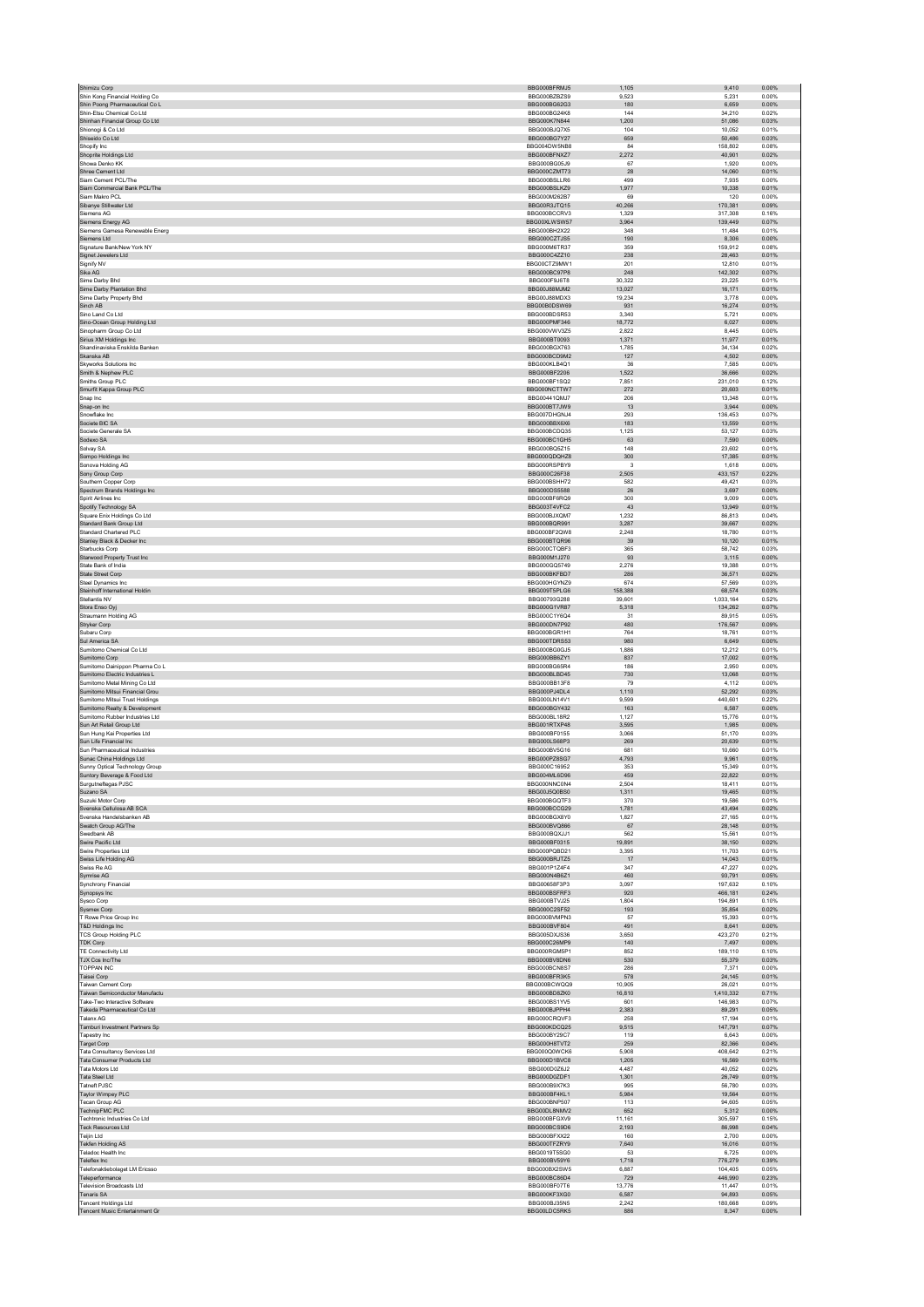| Shimizu Corp                                                    | BBG000BFRMJ5                        | 1,105           | 9,410                | 0.00%          |
|-----------------------------------------------------------------|-------------------------------------|-----------------|----------------------|----------------|
| Shin Kong Financial Holding Co                                  | BBG000BZBZS9                        | 9,523           | 5,231                | 0.00%          |
| Shin Poong Pharmaceutical Co L<br>Shin-Etsu Chemical Co Ltd.    | BBG000BG62G3<br>BBG000BG24K8        | 180<br>144      | 6,659<br>34.210      | 0.00%<br>0.02% |
| Shinhan Financial Group Co Ltd                                  | BBG000K7N844                        | 1,200           | 51,086               | 0.03%          |
| Shionogi & Co Ltd                                               | BBG000BJQ7X5                        | 104             | 10.052               | 0.01%          |
| Shiseido Co Ltd                                                 | BBG000BG7Y27                        | 659             | 50,486               | 0.03%          |
| Shopify Inc<br>Shoprite Holdings Ltd                            | BBG004DW5NB8<br>BBG000BFNXZ7        | 84<br>2.272     | 158,802<br>40.901    | 0.08%<br>0.02% |
| Showa Denko KK                                                  | BBG000BG05J9                        | 67              | 1,920                | 0.00%          |
| Shree Cement Ltd                                                | BBG000CZMT73                        | 28              | 14,060               | 0.01%          |
| Siam Cement PCL/The                                             | BBG000BSLLR6                        | 499             | 7,935                | 0.00%          |
| Siam Commercial Bank PCL/The<br>Siam Makro PCL                  | BBG000BSLKZ9<br>BBG000M262B7        | 1,977           | 10,338               | 0.01%          |
| Sibanye Stillwater Ltd                                          | BBG00R3JTQ15                        | 69<br>40,266    | 120<br>170,381       | 0.00%<br>0.09% |
| Siemens AG                                                      | BBG000BCCRV3                        | 1,329           | 317,308              | 0.16%          |
| Siemens Energy AG                                               | BBG00XLWSW57                        | 3,964           | 139,449              | 0.07%          |
| Siemens Gamesa Renewable Energ                                  | BBG000BH2X22                        | 348             | 11,484               | 0.01%          |
| Siemens Ltd                                                     | BBG000CZTJS5                        | 190             | 8.306                | 0.00%          |
| Signature Bank/New York NY<br>Signet Jewelers Ltd               | BBG000M6TR37<br>BBG000C4ZZ10        | 359<br>238      | 159,912<br>28,463    | 0.08%<br>0.01% |
| Signify NV                                                      | BBG00CTZ9MW1                        | 201             | 12,810               | 0.01%          |
| Sika AG                                                         | BBG000BC97P8                        | 248             | 142,302              | 0.07%          |
| Sime Darby Bhd                                                  | BBG000F9J6T8                        | 30.322          | 23.225               | 0.01%          |
| Sime Darby Plantation Bhd                                       | BBG00J88MJM2<br>BBG00J88MDX3        | 13,027          | 16,171               | 0.01%          |
| Sime Darby Property Bhd<br>Sinch AB                             | BBG00B0DSW69                        | 19,234<br>931   | 3,778<br>16.274      | 0.00%<br>0.01% |
| Sino Land Co Ltd                                                | BBG000BDSR53                        | 3,340           | 5,721                | 0.00%          |
| Sino-Ocean Group Holding Ltd                                    | BBG000PMF346                        | 18,772          | 6,027                | 0.00%          |
| Sinopharm Group Co Ltd                                          | BBG000VWV3Z5                        | 2,822           | 8,445                | 0.00%          |
| Sirius XM Holdings Inc<br>Skandinaviska Enskilda Banken         | BBG000BT0093<br>BBG000BGX763        | 1,371<br>1.785  | 11,977<br>34.134     | 0.01%<br>0.02% |
| Skanska AB                                                      | BBG000BCD9M2                        | 127             | 4,502                | 0.00%          |
| Skyworks Solutions Inc.                                         | BBG000KLB4Q1                        | 36              | 7.585                | 0.00%          |
| Smith & Nephew PLC                                              | BBG000BF2206                        | 1,522           | 36,666               | 0.02%          |
| Smiths Group PLC                                                | BBG000BF1SQ2                        | 7,851           | 231.010              | 0.12%          |
| Smurfit Kappa Group PLC<br>Snap Inc                             | BBG000NCTTW7<br>BBG00441QMJ7        | 272<br>206      | 20.603<br>13,348     | 0.01%<br>0.01% |
| Snap-on Inc                                                     | BBG000BT7JW9                        | 13              | 3.944                | 0.00%          |
| Snowflake Inc                                                   | BBG007DHGNJ4                        | 293             | 136,453              | 0.07%          |
| Societe BIC SA                                                  | BBG000BBX6X6                        | 183             | 13,559               | 0.01%          |
| Societe Generale SA                                             | BBG000BCDQ35                        | 1.125           | 53.127               | 0.03%          |
| Sodexo SA<br>Solvay SA                                          | BBG000BC1GH5<br>BBG000BQ5Z15        | 63<br>148       | 7,590<br>23.602      | 0.00%<br>0.01% |
| Sompo Holdings Inc                                              | BBG000QDQHZ8                        | 300             | 17,385               | 0.01%          |
| Sonova Holding AG                                               | BBG000RSPBY9                        | $\mathbf{3}$    | 1.618                | 0.00%          |
| Sony Group Corp                                                 | BBG000C26F38                        | 2.505           | 433.157              | 0.22%          |
| Southern Copper Corp                                            | BBG000BSHH72                        | 582             | 49,421               | 0.03%          |
| Spectrum Brands Holdings Inc.                                   | BBG000DS5588                        | 26              | 3.697                | 0.00%          |
| Spirit Airlines Inc<br>Spotify Technology SA                    | BBG000BF6RQ9<br>BBG003T4VFC2        | 300<br>43       | 9,009<br>13,949      | 0.00%<br>0.01% |
| Square Enix Holdings Co Ltd.                                    | BBG000BJXQM7                        | 1.232           | 86.813               | 0.04%          |
| Standard Bank Group Ltd                                         | BBG000BQR991                        | 3,287           | 39,667               | 0.02%          |
| Standard Chartered PLC                                          | BBG000BF2QW8                        | 2.248           | 18,780               | 0.01%          |
| Stanley Black & Decker Inc                                      | BBG000BTQR96<br>BBG000CTQBF3        | 39<br>365       | 10,120<br>58.742     | 0.01%<br>0.03% |
| Starbucks Corp<br>Starwood Property Trust Inc                   | BBG000M1J270                        | 93              | 3.115                | 0.00%          |
| State Bank of India                                             | BBG000GQ5749                        | 2,276           | 19,388               | 0.01%          |
| <b>State Street Corp</b>                                        | BBG000BKFBD7                        | 286             | 36,571               | 0.02%          |
| Steel Dynamics Inc                                              | BBG000HGYNZ9                        | 674             | 57,569               | 0.03%          |
| Steinhoff International Holdin                                  | BBG009T5PLG6                        | 158,388         | 68,574               | 0.03%          |
| Stellantis NV<br>Stora Enso Oyj                                 | BBG00793G288<br>BBG000G1VR87        | 39.601<br>5,318 | 1.033.164<br>134,262 | 0.52%<br>0.07% |
| Straumann Holding AG                                            | BBG000C1Y6Q4                        | 31              | 89,915               | 0.05%          |
| Stryker Corp                                                    | BBG000DN7P92                        | 480             | 176,567              | 0.09%          |
| Subaru Corp                                                     | BBG000BGR1H1                        | 764             | 18,761               | 0.01%          |
| Sul America SA                                                  | BBG000TDRS53                        | 980             | 6.649                | 0.00%          |
| Sumitomo Chemical Co Ltd<br>Sumitomo Corp                       | BBG000BG0GJ5<br>BBG000BB6ZY1        | 1,886<br>837    | 12,212<br>17,002     | 0.01%<br>0.01% |
| Sumitomo Dainippon Pharma Co L                                  | BBG000BG65R4                        | 186             | 2,950                | 0.00%          |
| Sumitomo Electric Industries L                                  | BBG000BLBD45                        | 730             | 13,068               | 0.01%          |
| Sumitomo Metal Mining Co Ltd                                    | BBG000BB13F8                        | 79              | 4.112                | 0.00%          |
| Sumitomo Mitsui Financial Grou                                  | BBG000PJ4DL4<br><b>BBG000LN14V1</b> | 1,110           | 52,292               | 0.03%          |
| Sumitomo Mitsui Trust Holdings<br>Sumitomo Realty & Development | BBG000BGY432                        | 9,599<br>163    | 440,601<br>6,587     | 0.22%<br>0.00% |
| Sumitomo Rubber Industries Ltd                                  | BBG000BL18R2                        | 1,127           | 15,776               | 0.01%          |
| Sun Art Retail Group Ltd                                        | BBG001RTXP48                        | 3.595           | 1.985                | 0.00%          |
| Sun Hung Kai Properties Ltd                                     | BBG000BF0155                        | 3,066           | 51,170               | 0.03%          |
| Sun Life Financial Inc                                          | BBG000LS68P3                        | 269             | 20,639               | 0.01%          |
| Sun Pharmaceutical Industries<br>Sunac China Holdings Ltd       | BBG000BV5G16<br>BBG000PZ8SG7        | 681<br>4,793    | 10,660<br>9,961      | 0.01%<br>0.01% |
| Sunny Optical Technology Group                                  | BBG000C16952                        | 353             | 15.349               | 0.01%          |
| Suntory Beverage & Food Ltd                                     | BBG004ML6D96                        | 459             | 22,822               | 0.01%          |
| Surgutneftegas PJSC                                             | BBG000NNC0N4                        | 2.504           | 18.411               | 0.01%          |
| Suzano SA<br>Suzuki Motor Corp                                  | BBG00J5Q0BS0<br>BBG000BGQTF3        | 1,311<br>370    | 19,465<br>19.586     | 0.01%<br>0.01% |
| Svenska Cellulosa AB SCA                                        | BBG000BCCG29                        | 1,781           | 43.494               | 0.02%          |
| Svenska Handelsbanken AB                                        | BBG000BGX8Y0                        | 1,827           | 27,165               | 0.01%          |
| Swatch Group AG/The                                             | BBG000BVQ866                        | 67              | 28,148               | 0.01%          |
| Swedbank AB                                                     | BBG000BQXJJ1                        | 562             | 15,561               | 0.01%          |
| Swire Pacific Ltd<br>Swire Properties Ltd.                      | BBG000BF0315                        | 19,891          | 38,150               | 0.02%          |
| Swiss Life Holding AG                                           | BBG000PQBD21<br>BBG000BRJTZ5        | 3.395<br>17     | 11,703<br>14,043     | 0.01%<br>0.01% |
| Swiss Re AG                                                     | BBG001P1Z4F4                        | 347             | 47,227               | 0.02%          |
| Symrise AG                                                      | BBG000N4B6Z1                        | 460             | 93,791               | 0.05%          |
| Synchrony Financial                                             | BBG00658F3P3                        | 3,097           | 197,632              | 0.10%          |
| Synopsys Inc                                                    | BBG000BSFRE3<br>BBG000BTVJ25        | 920<br>1,804    | 466,181<br>194,891   | 0.24%<br>0.10% |
| Sysco Corp<br>Sysmex Corp                                       | BBG000C2SF52                        | 193             | 35,854               | 0.02%          |
| T Rowe Price Group Inc                                          | BBG000BVMPN3                        | 57              | 15,393               | 0.01%          |
| T&D Holdings Inc                                                | BBG000BVF804                        | 491             | 8,641                | 0.00%          |
| <b>TCS Group Holding PLC</b>                                    | BBG005DXJS36                        | 3.650           | 423.270              | 0.21%          |
| <b>TDK Corp</b><br>TE Connectivity Ltd                          | BBG000C26MP9<br>BBG000RGM5P1        | 140<br>852      | 7,497<br>189,110     | 0.00%<br>0.10% |
| TJX Cos Inc/The                                                 | BBG000BV8DN6                        | 530             | 55,379               | 0.03%          |
| TOPPAN INC                                                      | BBG000BCN8S7                        | 286             | 7,371                | 0.00%          |
| Taisei Corp                                                     | BBG000BFR3K5                        | 578             | 24,145               | 0.01%          |
| <b>Taiwan Cement Corp</b>                                       | BBG000BCWQQ9                        | 10,905          | 26,021               | 0.01%          |
| Taiwan Semiconductor Manufactu<br>Take-Two Interactive Software | BBG000BD8ZK0<br>BBG000BS1YV5        | 16,810<br>601   | 1,410,332<br>146,983 | 0.71%<br>0.07% |
| Takeda Pharmaceutical Co Ltd                                    | BBG000BJPPH4                        | 2,383           | 89,291               | 0.05%          |
| Talanx AG                                                       | BBG000CRQVF3                        | 258             | 17.194               | 0.01%          |
| Tamburi Investment Partners Sp                                  | BBG000KDCQ25                        | 9,515           | 147,791              | 0.07%          |
| Tapestry Inc.                                                   | BBG000BY29C7                        | 119             | 6,643                | 0.00%          |
| <b>Target Corp</b><br>Tata Consultancy Services Ltd             | BBG000H8TVT2<br>BBG000Q0WCK6        | 259<br>5,908    | 82,366<br>408,642    | 0.04%<br>0.21% |
| Tata Consumer Products Ltd                                      | BBG000D1BVC8                        | 1,205           | 16.569               | 0.01%          |
| Tata Motors Ltd                                                 | BBG000D0Z6J2                        | 4,487           | 40,052               | 0.02%          |
| <b>Tata Steel Ltd</b>                                           | BBG000D0ZDF1                        | 1,301           | 26,749               | 0.01%          |
| Tatneft PJSC                                                    | BBG000B9X7K3                        | 995             | 56,780               | 0.03%          |
| Taylor Wimpey PLC<br>Tecan Group AG                             | BBG000BF4KL1<br><b>BBG000BNP507</b> | 5,984<br>113    | 19,564<br>94.605     | 0.01%<br>0.05% |
| <b>TechnipFMC PLC</b>                                           |                                     | 652             | 5,312                | 0.00%          |
| Techtronic Industries Co Ltd                                    | BBG00DL8NMV2                        |                 | 305,597              | 0.15%          |
| <b>Teck Resources Ltd</b>                                       | BBG000BFGXV9                        | 11,161          |                      |                |
|                                                                 | BBG000BCS9D6                        | 2,193           | 86,998               | 0.04%          |
| Teijin Ltd                                                      | BBG000BFXX22                        | 160             | 2,700                | 0.00%          |
| <b>Tekfen Holding AS</b>                                        | BBG000TFZRY9                        | 7.640           | 16.016               | 0.01%          |
| Teladoc Health Inc<br>Teleflex Inc                              | BBG0019T5SG0<br>BBG000BV59Y6        | 53              | 6,725                | 0.00%<br>0.39% |
| Telefonaktiebolaget LM Ericsso                                  | BBG000BX2SW5                        | 1,718<br>6,887  | 776,279<br>104,405   | 0.05%          |
| Teleperformance                                                 | BBG000BC86D4                        | 729             | 446,990              | 0.23%          |
| <b>Television Broadcasts Ltd</b>                                | BBG000BF07T6                        | 13.776          | 11.447               | 0.01%          |
| Tenaris SA                                                      | BBG000KF3XG0                        | 6,587           | 94,893               | 0.05%          |
| Tencent Holdings Ltd<br>Tencent Music Entertainment Gr          | BBG000BJ35N5<br>BBG00LDC5RK5        | 2,242<br>886    | 180,668<br>8,347     | 0.09%<br>0.00% |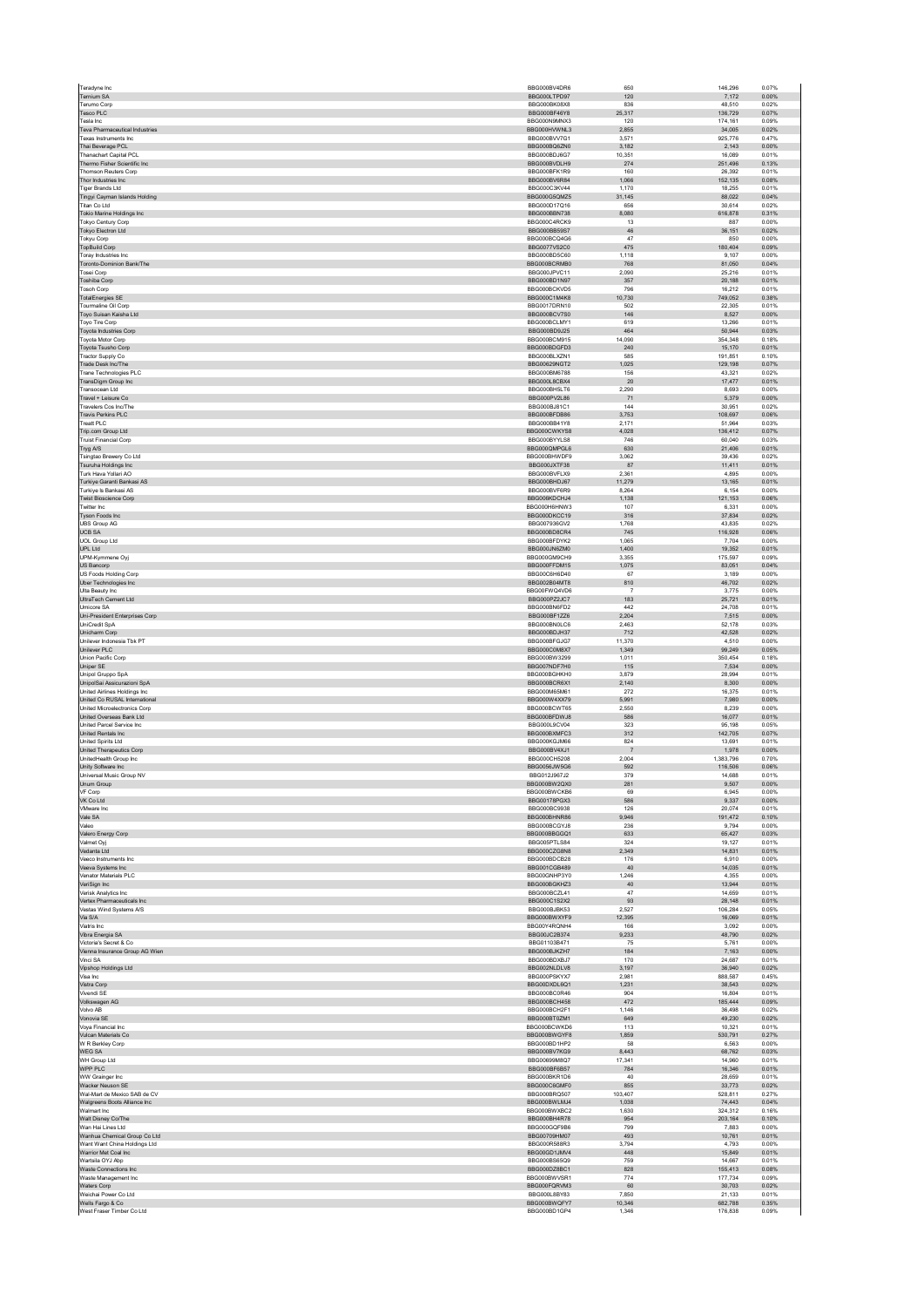| Teradyne Inc                                                   | BBG000BV4DR6                 | 650                     | 146,296            | 0.07%          |
|----------------------------------------------------------------|------------------------------|-------------------------|--------------------|----------------|
| Ternium SA                                                     | BBG000LTPD97                 | 120                     | 7,172              | 0.00%          |
| Terumo Corp<br>Tesco PLC                                       | BBG000BK08X8<br>BBG000BF46Y8 | 836<br>25,317           | 48.510<br>136,729  | 0.02%<br>0.07% |
| Tesla Inc                                                      | BBG000N9MNX3                 | 120                     | 174,161            | 0.09%          |
| Teva Pharmaceutical Industries                                 | BBG000HVWNL3                 | 2,855                   | 34,005             | 0.02%          |
| Texas Instruments Inc.                                         | BBG000BVV7G1                 | 3.571                   | 925,776            | 0.47%          |
| Thai Beverage PCL                                              | BBG000BQ6ZN0                 | 3.182                   | 2.143              | 0.00%          |
| <b>Thanachart Capital PCL</b><br>Thermo Fisher Scientific Inc. | BBG000BDJ6G7<br>BBG000BVDLH9 | 10,351<br>274           | 16,089<br>251,496  | 0.01%<br>0.13% |
| <b>Thomson Reuters Corp</b>                                    | BBG000BFK1R9                 | 160                     | 26,392             | 0.01%          |
| Thor Industries Inc.                                           | BBG000BV6R84                 | 1,066                   | 152,135            | 0.08%          |
| <b>Tiger Brands Ltd</b>                                        | BBG000C3KV44                 | 1.170                   | 18.255             | 0.01%          |
| Tingyi Cayman Islands Holding                                  | BBG000G5QMZ5                 | 31,145                  | 88,022             | 0.04%          |
| Titan Co Ltd<br>Tokio Marine Holdings Inc                      | BBG000D17Q16<br>BBG000BBN738 | 656<br>8,080            | 30.614<br>616,878  | 0.02%<br>0.31% |
| Tokyo Century Corp                                             | BBG000C4RCK9                 | 13                      | 887                | 0.00%          |
| Tokyo Electron Ltd                                             | BBG000BB59S7                 | 46                      | 36,151             | 0.02%          |
| Tokyu Corp                                                     | BBG000BCQ4G6                 | 47                      | 850                | 0.00%          |
| <b>TopBuild Corp</b><br>Toray Industries Inc                   | BBG0077VS2C0<br>BBG000BD5C60 | 475<br>1,118            | 180,404<br>9,107   | 0.09%<br>0.00% |
| Toronto-Dominion Bank/The                                      | BBG000BCRMB0                 | 768                     | 81,050             | 0.04%          |
| Tosei Corp                                                     | BBG000JPVC11                 | 2.090                   | 25.216             | 0.01%          |
| <b>Toshiba Corp</b>                                            | BBG000BD1N97                 | 357                     | 20,188             | 0.01%          |
| <b>Tosoh Corp</b>                                              | BBG000BCKVD5                 | 796                     | 16,212             | 0.01%          |
| <b>TotalEnergies SE</b><br>Tourmaline Oil Corp                 | BBG000C1M4K8<br>BBG0017DRN10 | 10,730<br>502           | 749,052<br>22,305  | 0.38%<br>0.01% |
| Toyo Suisan Kaisha Ltd                                         | BBG000BCV7S0                 | 146                     | 8.527              | 0.00%          |
| Toyo Tire Corp                                                 | BBG000BCLMY1                 | 619                     | 13,266             | 0.01%          |
| Toyota Industries Corp                                         | BBG000BD9J25                 | 464                     | 50,944             | 0.03%          |
| Toyota Motor Corp                                              | BBG000BCM915                 | 14,090                  | 354,348            | 0.18%          |
| Toyota Tsusho Corp<br><b>Tractor Supply Co</b>                 | BBG000BDGFD3<br>BBG000BLXZN1 | 240<br>585              | 15,170<br>191.851  | 0.01%<br>0.10% |
| Trade Desk Inc/The                                             | BBG00629NGT2                 | 1,025                   | 129,198            | 0.07%          |
| Trane Technologies PLC                                         | BBG000BM6788                 | 156                     | 43.321             | 0.02%          |
| TransDigm Group Inc                                            | BBG000L8CBX4                 | $20\,$                  | 17,477             | 0.01%          |
| Transocean Ltd<br>Travel + Leisure Co                          | BBG000BH5LT6<br>BBG000PV2L86 | 2,290<br>71             | 8,693<br>5.379     | 0.00%<br>0.00% |
| Travelers Cos Inc/The                                          | BBG000BJ81C1                 | 144                     | 30,951             | 0.02%          |
| <b>Travis Perkins PLC</b>                                      | BBG000BFDB86                 | 3,753                   | 108,697            | 0.06%          |
| <b>Treatt PLC</b>                                              | BBG000BB41Y8                 | 2,171                   | 51,964             | 0.03%          |
| Trip.com Group Ltd                                             | BBG000CWKYS8                 | 4,028                   | 136,412            | 0.07%          |
| <b>Truist Financial Corp</b>                                   | BBG000BYYLS8<br>BBG000QMPGL6 | 746<br>630              | 60.040<br>21,406   | 0.03%<br>0.01% |
| Tryg A/S<br>Tsingtao Brewery Co Ltd                            | BBG000BHWDF9                 | 3,062                   | 39.436             | 0.02%          |
| Tsuruha Holdings Inc                                           | BBG000JXTF38                 | 87                      | 11,411             | 0.01%          |
| Turk Hava Yollari AO                                           | BBG000BVFLX9                 | 2,361                   | 4,895              | 0.00%          |
| Turkiye Garanti Bankasi AS                                     | BBG000BHDJ67                 | 11.279                  | 13.165             | 0.01%          |
| Turkiye Is Bankasi AS                                          | BBG000BVF6R9                 | 8,264                   | 6,154              | 0.00%          |
| <b>Twist Bioscience Corp</b><br>Twitter Inc                    | BBG006KDCHJ4<br>BBG000H6HNW3 | 1,138<br>107            | 121,153<br>6,331   | 0.06%<br>0.00% |
| Tyson Foods Inc                                                | BBG000DKCC19                 | 316                     | 37,834             | 0.02%          |
| <b>UBS Group AG</b>                                            | BBG007936GV2                 | 1.768                   | 43.835             | 0.02%          |
| <b>UCB SA</b>                                                  | BBG000BD8CR4                 | 745                     | 116,928            | 0.06%          |
| <b>UOL Group Ltd</b>                                           | BBG000BFDYK2                 | 1.065                   | 7,704              | 0.00%          |
| UPL Ltd<br>UPM-Kymmene Oyj                                     | BBG000JN6ZM0<br>BBG000GM9CH9 | 1,400<br>3,355          | 19,352<br>175,597  | 0.01%<br>0.09% |
| US Bancorp                                                     | BBG000FFDM15                 | 1,075                   | 83.051             | 0.04%          |
| US Foods Holding Corp                                          | BBG00C6H6D40                 | 67                      | 3,189              | 0.00%          |
| Uber Technologies Inc                                          | BBG002B04MT8                 | 810                     | 46,702             | 0.02%          |
| Ulta Beauty Inc                                                | BBG00FWQ4VD6                 | $\overline{7}$          | 3,775              | 0.00%          |
| UltraTech Cement Ltd<br>Umicore SA                             | BBG000PZ2JC7<br>BBG000BN6FD2 | 183<br>442              | 25,721<br>24.708   | 0.01%<br>0.01% |
| Uni-President Enterprises Corp                                 | BBG000BF1ZZ6                 | 2,204                   | 7,515              | 0.00%          |
| UniCredit SpA                                                  | BBG000BN0LC6                 | 2,463                   | 52.178             | 0.03%          |
| Unicharm Corp                                                  | BBG000BDJH37                 | 712                     | 42,528             | 0.02%          |
| Unilever Indonesia Tbk PT                                      | BBG000BFGJG7                 | 11,370                  | 4,510              | 0.00%          |
| Unilever PLC<br>Union Pacific Corp                             | BBG000C0M8X7<br>BBG000BW3299 | 1.349<br>1,011          | 99.249<br>350,454  | 0.05%<br>0.18% |
| <b>Uniper SE</b>                                               | BBG007NDF7H0                 | 115                     | 7,534              | 0.00%          |
| Unipol Gruppo SpA                                              | BBG000BGHKH0                 | 3,879                   | 28,994             | 0.01%          |
| UnipolSai Assicurazioni SpA                                    | BBG000BCR6X1                 | 2,140                   | 8,300              | 0.00%          |
| <b>United Airlines Holdings Inc.</b>                           | BBG000M65M61                 | 272                     | 16.375             | 0.01%          |
| United Co RUSAL International<br>United Microelectronics Corp. | BBG000W4XX79<br>BBG000BCWT65 | 5,991<br>2,550          | 7,980<br>8.239     | 0.00%<br>0.00% |
| United Overseas Bank Ltd                                       | BBG000BFDWJ8                 | 586                     | 16,077             | 0.01%          |
| United Parcel Service Inc                                      | BBG000L9CV04                 | 323                     | 95,198             | 0.05%          |
| United Rentals Inc.                                            | BBG000BXMFC3                 | 312                     | 142.705            | 0.07%          |
| United Spirits Ltd                                             | BBG000KGJM66                 | 824                     | 13,691             | 0.01%          |
| United Therapeutics Corp<br>UnitedHealth Group Inc             | BBG000BV4XJ1<br>BBG000CH5208 | $\overline{7}$<br>2,004 | 1,978<br>1,383,796 | 0.00%<br>0.70% |
| Unity Software Inc                                             | BBG0056JW5G6                 | 592                     | 116,506            | 0.06%          |
| Universal Music Group NV                                       | BBG012J967J2                 | 379                     | 14.688             | 0.01%          |
| Unum Group                                                     | BBG000BW2QX0                 | 281                     | 9,507              | 0.00%          |
| VF Corp                                                        | BBG000BWCKB6                 | 69                      | 6,945              | 0.00%          |
| VK Co Ltd                                                      | BBG00178PGX3                 | 586                     | 9,337              | 0.00%          |
| VMware Inc<br>Vale SA                                          | BBG000BC9938<br>BBG000BHNR86 | 126<br>9.946            | 20,074<br>191.472  | 0.01%<br>0.10% |
| Valeo                                                          | BBG000BCGYJ8                 | 236                     | 9,794              | 0.00%          |
| Valero Energy Corp                                             | BBG000BBGGQ1                 | 633                     | 65,427             | 0.03%          |
| Valmet Ovi                                                     | BBG005PTLS84                 |                         | 19.127             | 0.01%          |
| Vedanta Ltd<br>Veeco Instruments Inc.                          |                              | 324                     |                    |                |
|                                                                | BBG000CZG8N8                 | 2,349                   | 14,831             | 0.01%          |
|                                                                | BBG000BDCB28                 | 176                     | 6.910              | 0.00%          |
| Veeva Systems Inc<br>Venator Materials PLC                     | BBG001CGB489<br>BBG00GNHP3Y0 | 40<br>1,246             | 14,035<br>4,355    | 0.01%<br>0.00% |
| VeriSian Inc                                                   | BBG000BGKHZ3                 | 40                      | 13,944             | 0.01%          |
| Verisk Analytics Inc                                           | BBG000BCZL41                 | 47                      | 14,659             | 0.01%          |
| Vertex Pharmaceuticals Inc.                                    | BBG000C1S2X2                 | 93                      | 28.148             | 0.01%          |
| Vestas Wind Systems A/S<br>Via S/A                             | BBG000BJBK53<br>BBG000BWXYF9 | 2,527<br>12,395         | 106,284            | 0.05%          |
| Viatris Inc.                                                   | BBG00Y4RQNH4                 | 166                     | 16,069<br>3.092    | 0.01%<br>0.00% |
| Vibra Energia SA                                               | BBG00JC2B374                 | 9,233                   | 48,790             | 0.02%          |
| Victoria's Secret & Co.                                        | BBG01103B471                 | 75                      | 5.761              | 0.00%          |
| Vienna Insurance Group AG Wien                                 | BBG000BJKZH7                 | 184                     | 7,163              | 0.00%          |
| Vinci SA                                                       | BBG000BDXBJ7<br>BBG002NLDLV8 | 170<br>3.197            | 24,687<br>36.940   | 0.01%<br>0.02% |
| Vipshop Holdings Ltd<br>Visa Inc                               | BBG000PSKYX7                 | 2,981                   | 888,587            | 0.45%          |
| Vistra Corp                                                    | BBG00DXDL6Q1                 | 1.231                   | 38.543             | 0.02%          |
| Vivendi SE                                                     | BBG000BC0R46                 | 904                     | 16,804             | 0.01%          |
| Volkswagen AG                                                  | BBG000BCH458                 | 472                     | 185,444            | 0.09%          |
| Volvo AB<br>Vonovia SE                                         | BBG000BCH2F1<br>BBG000BT0ZM1 | 1,146<br>649            | 36.498<br>49,230   | 0.02%<br>0.02% |
| Vova Financial Inc.                                            | BBG000BCWKD6                 | 113                     | 10.321             | 0.01%          |
| Vulcan Materials Co                                            | BBG000BWGYF8                 | 1,859                   | 530,791            | 0.27%          |
| W R Berkley Corp                                               | BBG000BD1HP2                 | 58                      | 6,563              | 0.00%          |
| WEG SA                                                         | BBG000BV7KG9                 | 8,443                   | 68.762             | 0.03%          |
| WH Group Ltd<br>WPP PLC                                        | BBG00699M8Q7<br>BBG000BF6B57 | 17,341<br>784           | 14,960<br>16.346   | 0.01%<br>0.01% |
| WW Grainger Inc                                                | BBG000BKR1D6                 | 40                      | 28,659             | 0.01%          |
| Wacker Neuson SE                                               | BBG000C6GMF0                 | 855                     | 33,773             | 0.02%          |
| Wal-Mart de Mexico SAB de CV                                   | BBG000BRQ507                 | 103,407                 | 528.811            | 0.27%          |
| Walgreens Boots Alliance Inc                                   | BBG000BWLMJ4                 | 1,038                   | 74,443             | 0.04%          |
| Walmart Inc<br>Walt Disney Co/The                              | BBG000BWXBC2<br>BBG000BH4R78 | 1.630<br>954            | 324.312<br>203,164 | 0.16%<br>0.10% |
| Wan Hai Lines Ltd                                              | BBG000GQF9B6                 | 799                     | 7,883              | 0.00%          |
| Wanhua Chemical Group Co Ltd                                   | BBG00709HM07                 | 493                     | 10.761             | 0.01%          |
| Want Want China Holdings Ltd                                   | BBG000R588R3                 | 3,794                   | 4,793              | 0.00%          |
| Warrior Met Coal Inc                                           | BBG00GD1JMV4                 | 448                     | 15,849             | 0.01%          |
| Wartsila OYJ Abp<br><b>Waste Connections Inc</b>               | BBG000BS65Q9<br>BBG000DZ8BC1 | 759<br>828              | 14,667             | 0.01%<br>0.08% |
| Waste Management Inc.                                          | BBG000BWVSR1                 | 774                     | 155,413<br>177.734 | 0.09%          |
| Waters Corp                                                    | BBG000FQRVM3                 | $60\,$                  | 30,703             | 0.02%          |
| Weichai Power Co Ltd                                           | BBG000L8BY83                 | 7.850                   | 21,133             | 0.01%          |
| Wells Fargo & Co<br>West Fraser Timber Co Ltd                  | BBG000BWQFY7<br>BBG000BD1GP4 | 10,346<br>1,346         | 682,788<br>176,838 | 0.35%<br>0.09% |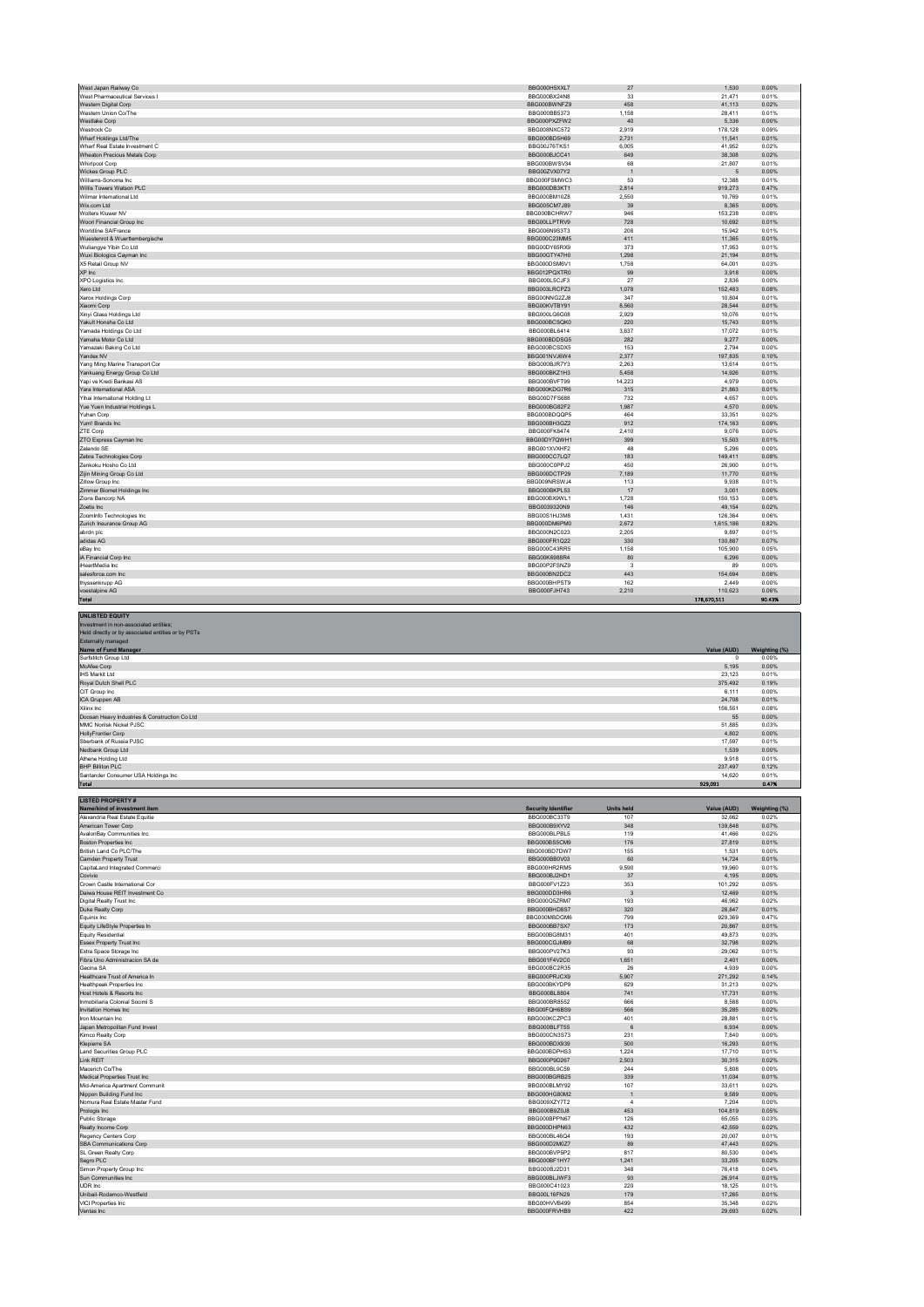| West Japan Railway Co                                                                                                                             | BBG000H5XXL7                                 | 27                             | 1.530                                                                        | 0.00%                                                               |
|---------------------------------------------------------------------------------------------------------------------------------------------------|----------------------------------------------|--------------------------------|------------------------------------------------------------------------------|---------------------------------------------------------------------|
| West Pharmaceutical Services I                                                                                                                    | BBG000BX24N8                                 | 33                             | 21,471                                                                       | 0.01%                                                               |
| Western Digital Corp                                                                                                                              | BBG000BWNFZ9                                 | 458                            | 41,113                                                                       | 0.02%                                                               |
| Western Union Co/The                                                                                                                              | BBG000BB5373                                 | 1,158                          | 28,411                                                                       | 0.01%                                                               |
| Westlake Corp<br>Westrock Co                                                                                                                      | BBG000PXZFW2<br>BBG008NXC572                 | 40<br>2.919                    | 5,336<br>178.128                                                             | 0.00%<br>0.09%                                                      |
| Wharf Holdings Ltd/The                                                                                                                            | BBG000BD5H69                                 | 2,731                          | 11,541                                                                       | 0.01%                                                               |
| Wharf Real Estate Investment C                                                                                                                    | BBG00J76TKS1                                 | 6,005                          | 41,952                                                                       | 0.02%                                                               |
| Wheaton Precious Metals Corp                                                                                                                      | BBG000BJCC41                                 | 649                            | 38,308                                                                       | 0.02%                                                               |
| <b>Whirlpool Corp</b>                                                                                                                             | BBG000BWSV34                                 | 68                             | 21,807                                                                       | 0.01%                                                               |
| Wickes Group PLC<br>Williams-Sonoma Inc                                                                                                           | BBG00ZVX07Y2<br>BBG000FSMWC3                 | $\overline{1}$<br>53           | 5<br>12,388                                                                  | 0.00%<br>0.01%                                                      |
| Willis Towers Watson PLC                                                                                                                          | BBG000DB3KT1                                 | 2.814                          | 919,273                                                                      | 0.47%                                                               |
| Wilmar International Ltd                                                                                                                          | BBG000BM10Z8                                 | 2,550                          | 10,769                                                                       | 0.01%                                                               |
| Wix.com Ltd                                                                                                                                       | BBG005CM7J89                                 | 39                             | 8,365                                                                        | 0.00%                                                               |
| Wolters Kluwer NV                                                                                                                                 | BBG000BCHRW7                                 | 946                            | 153.238                                                                      | 0.08%                                                               |
| Woori Financial Group Inc<br>Worldline SA/France                                                                                                  | BBG00LLPTRV9<br>BBG006N9S3T3                 | 728<br>208                     | 10,692<br>15.942                                                             | 0.01%<br>0.01%                                                      |
| Wuestenrot & Wuerttembergische                                                                                                                    | BBG000C23MM5                                 | 411                            | 11,365                                                                       | 0.01%                                                               |
| Wuliangye Yibin Co Ltd                                                                                                                            | BBG00DY65RX9                                 | 373                            | 17,953                                                                       | 0.01%                                                               |
| Wuxi Biologics Cayman Inc                                                                                                                         | BBG00GTY47H0                                 | 1,298                          | 21.194                                                                       | 0.01%                                                               |
| X5 Retail Group NV                                                                                                                                | BBG000DSM6V1                                 | 1,758                          | 64,001                                                                       | 0.03%                                                               |
| XP Inc<br>XPO Logistics Inc.                                                                                                                      | BBG012PQXTR0<br>BBG000L5CJF3                 | 99<br>27                       | 3,918<br>2,836                                                               | 0.00%<br>0.00%                                                      |
| Xero Ltd                                                                                                                                          | BBG003LRCPZ3                                 | 1,078                          | 152,483                                                                      | 0.08%                                                               |
| Xerox Holdings Corp                                                                                                                               | BBG00NNG2ZJ8                                 | 347                            | 10.804                                                                       | 0.01%                                                               |
| Xiaomi Corp                                                                                                                                       | BBG00KVTBY91                                 | 8,560                          | 28,544                                                                       | 0.01%                                                               |
| Xinyi Glass Holdings Ltd                                                                                                                          | BBG000LG6G08                                 | 2,929                          | 10,076                                                                       | 0.01%                                                               |
| Yakult Honsha Co Ltd                                                                                                                              | BBG000BCSQK0                                 | 220                            | 15,743                                                                       | 0.01%                                                               |
| Yamada Holdings Co Ltd<br>Yamaha Motor Co Ltd                                                                                                     | BBG000BL6414<br>BBG000BDDSG5                 | 3,637<br>282                   | 17,072<br>9.277                                                              | 0.01%<br>0.00%                                                      |
| Yamazaki Baking Co Ltd                                                                                                                            | BBG000BCSDX5                                 | 153                            | 2,794                                                                        | 0.00%                                                               |
| Yandex NV                                                                                                                                         | BBG001NVJ6W4                                 | 2,377                          | 197,835                                                                      | 0.10%                                                               |
| Yang Ming Marine Transport Cor                                                                                                                    | BBG000BJR7Y3                                 | 2,263                          | 13,614                                                                       | 0.01%                                                               |
| Yankuang Energy Group Co Ltd<br>Yapi ve Kredi Bankasi AS                                                                                          | BBG000BKZ1H3<br>BBG000BVET99                 | 5,458<br>14.223                | 14,926                                                                       | 0.01%                                                               |
| Yara International ASA                                                                                                                            | BBG000KDG7R6                                 | 315                            | 4.979<br>21,863                                                              | 0.00%<br>0.01%                                                      |
| Yihai International Holding Lt                                                                                                                    | BBG00D7FS688                                 | 732                            | 4.657                                                                        | 0.00%                                                               |
| Yue Yuen Industrial Holdings L                                                                                                                    | BBG000BG82F2                                 | 1,987                          | 4,570                                                                        | 0.00%                                                               |
| Yuhan Corp                                                                                                                                        | BBG000BDQQP5                                 | 464                            | 33,351                                                                       | 0.02%                                                               |
| Yum! Brands Inc.                                                                                                                                  | BBG000BH3GZ2                                 | 912                            | 174.163                                                                      | 0.09%                                                               |
| ZTE Corp<br>ZTO Express Cayman Inc                                                                                                                | BBG000FK8474<br>BBG00DY7QWH1                 | 2,410<br>399                   | 9,076<br>15,503                                                              | 0.00%<br>0.01%                                                      |
| Zalando SE                                                                                                                                        | BBG001XVXHF2                                 | 48                             | 5,296                                                                        | 0.00%                                                               |
| Zebra Technologies Corp                                                                                                                           | BBG000CC7LQ7                                 | 183                            | 149,411                                                                      | 0.08%                                                               |
| Zenkoku Hosho Co Ltd                                                                                                                              | BBG000C0PPJ2                                 | 450                            | 26,900                                                                       | 0.01%                                                               |
| Zijin Mining Group Co Ltd                                                                                                                         | BBG000DCTP29                                 | 7,189                          | 11,770                                                                       | 0.01%                                                               |
| Zillow Group Inc<br>Zimmer Biomet Holdings Inc                                                                                                    | BBG009NRSWJ4                                 | 113                            | 9,938                                                                        | 0.01%                                                               |
| Zions Bancorp NA                                                                                                                                  | BBG000BKPL53<br>BBG000BX9WL1                 | 17<br>1,728                    | 3,001<br>150,153                                                             | 0.00%<br>0.08%                                                      |
| Zoetis Inc                                                                                                                                        | BBG0039320N9                                 | 146                            | 49.154                                                                       | 0.02%                                                               |
| Zoominfo Technologies Inc                                                                                                                         | BBG00S1HJ3M8                                 | 1,431                          | 126,364                                                                      | 0.06%                                                               |
| Zurich Insurance Group AG                                                                                                                         | BBG000DM6PM0                                 | 2,672                          | 1,615,186                                                                    | 0.82%                                                               |
| abrdn plc                                                                                                                                         | BBG000N2C023                                 | 2,205                          | 9,897                                                                        | 0.01%                                                               |
| adidas AG                                                                                                                                         | BBG000FR1Q22                                 | 330                            | 130,887                                                                      | 0.07%                                                               |
| eBay Inc.<br>iA Financial Corp Inc                                                                                                                | BBG000C43RR5                                 | 1.158                          | 105.900                                                                      | 0.05%                                                               |
| iHeartMedia Inc                                                                                                                                   | BBG00K6988R4<br>BBG00P2FSNZ9                 | 80<br>$\mathbf{3}$             | 6,296<br>89                                                                  | 0.00%<br>0.00%                                                      |
| salesforce.com Inc                                                                                                                                | BBG000BN2DC2                                 | 443                            | 154,694                                                                      | 0.08%                                                               |
| thyssenkrupp AG                                                                                                                                   | BBG000BHPST9                                 | 162                            | 2,449                                                                        | 0.00%                                                               |
| voestalpine AG<br><b>Total</b>                                                                                                                    | BBG000FJH743                                 | 2,210                          | 110,623<br>178,670,511                                                       | 0.06%<br>90.43%                                                     |
| Held directly or by associated entities or by PSTs<br>Externally managed                                                                          |                                              |                                |                                                                              |                                                                     |
| Name of Fund Manager<br>Surfstitch Group Ltd<br>McAfee Corp<br><b>IHS Markit Ltd</b><br>Royal Dutch Shell PLC<br>CIT Group Inc.<br>ICA Gruppen AB |                                              |                                | Value (AUD)<br>$\mathbf{0}$<br>5,195<br>23.123<br>375,492<br>6,111<br>24.708 | Weighting (%)<br>0.00%<br>0.00%<br>0.01%<br>0.19%<br>0.00%<br>0.01% |
| Xilinx Inc<br>Doosan Heavy Industries & Construction Co Ltd                                                                                       |                                              |                                | 156,551<br>55                                                                | 0.08%<br>0.00%                                                      |
| MMC Norilsk Nickel PJSC                                                                                                                           |                                              |                                | 51,885                                                                       | 0.03%                                                               |
| <b>HollyFrontier Corp</b>                                                                                                                         |                                              |                                | 4,802                                                                        | 0.00%                                                               |
| Sberbank of Russia PJSC                                                                                                                           |                                              |                                | 17.597                                                                       | 0.01%                                                               |
| Nedbank Group Ltd<br>Athene Holding Ltd                                                                                                           |                                              |                                | 1,539<br>9.918                                                               | 0.00%<br>0.01%                                                      |
| <b>BHP Billiton PLC</b>                                                                                                                           |                                              |                                | 237,497                                                                      | 0.12%                                                               |
| antander Consumer USA Holdings Inc                                                                                                                |                                              |                                | 14,620                                                                       | 0.019                                                               |
| Total                                                                                                                                             |                                              |                                | 929,091                                                                      | 0.47%                                                               |
| <b>LISTED PROPERTY#</b>                                                                                                                           |                                              |                                |                                                                              |                                                                     |
| Name/kind of investment item                                                                                                                      | <b>Security Identifier</b>                   | <b>Units held</b>              | Value (AUD)                                                                  | Weighting (%)                                                       |
| Alexandria Real Estate Equitie                                                                                                                    | BBG000BC33T9<br>BBG000B9XYV2                 | 107<br>348                     | 32.662<br>139.848                                                            | 0.02%<br>0.07%                                                      |
| American Tower Corp<br>AvalonBay Communities Inc                                                                                                  | BBG000BLPBL5                                 | 119                            | 41,466                                                                       | 0.02%                                                               |
| Boston Properties Inc                                                                                                                             | BBG000BS5CM9                                 | 176                            | 27,819                                                                       | 0.01%                                                               |
| British Land Co PLC/The                                                                                                                           | BBG000BD7DW7                                 | 155                            | 1,531                                                                        | 0.00%                                                               |
| Camden Property Trust<br>CapitaLand Integrated Commerci                                                                                           | BBG000BB0V03<br>BBG000HR2RM5                 | 60<br>9.590                    | 14,724<br>19,960                                                             | 0.01%<br>0.01%                                                      |
| Covivio                                                                                                                                           | BBG000BJ2HD1                                 | 37                             | 4,195                                                                        | 0.00%                                                               |
| Crown Castle International Cor                                                                                                                    | BBG000FV1Z23                                 | 353                            | 101,292                                                                      | 0.05%                                                               |
| Daiwa House REIT Investment Co                                                                                                                    | BBG000DD3HR6<br>BBG000Q5ZRM7                 | $\overline{\mathbf{3}}$<br>193 | 12,469                                                                       | 0.01%                                                               |
| Digital Realty Trust Inc<br>Duke Realty Corp                                                                                                      | BBG000BHD8S7                                 | 320                            | 46,962<br>28.847                                                             | 0.02%<br>0.01%                                                      |
| Equinix Inc                                                                                                                                       | BBG000MBDGM6                                 | 799                            | 929,369                                                                      | 0.47%                                                               |
| Equity LifeStyle Properties In                                                                                                                    | BBG000BB7SX7                                 | 173                            | 20,867                                                                       | 0.01%                                                               |
| <b>Equity Residential</b>                                                                                                                         | BBG000BG8M31                                 | 401                            | 49,873                                                                       | 0.03%                                                               |
| <b>Essex Property Trust Inc</b><br>Extra Space Storage Inc.                                                                                       | BBG000CGJMB9<br>BBG000PV27K3                 | 68<br>93                       | 32,798<br>29.062                                                             | 0.02%<br>0.01%                                                      |
| Fibra Uno Administracion SA de                                                                                                                    | BBG001F4V2C0                                 | 1,651                          | 2,401                                                                        | 0.00%                                                               |
| Gecina SA                                                                                                                                         | BBG000BC2R35                                 | 26                             | 4.939                                                                        | 0.00%                                                               |
| Healthcare Trust of America In<br>Healthpeak Properties Inc.                                                                                      | BBG000PRJCX9<br>BBG000BKYDP9                 | 5,907<br>629                   | 271,292<br>31,213                                                            | 0.14%<br>0.02%                                                      |
| Host Hotels & Resorts Inc                                                                                                                         | BBG000BL8804                                 | 741                            | 17.731                                                                       | 0.01%                                                               |
| Inmobiliaria Colonial Socimi S                                                                                                                    | BBG000BR8552                                 | 666                            | 8,588                                                                        | 0.00%                                                               |
| Invitation Homes Inc                                                                                                                              | BBG00FQH6BS9                                 | 566                            | 35,285                                                                       | 0.02%                                                               |
| Iron Mountain Inc                                                                                                                                 | BBG000KCZPC3                                 | 401                            | 28,881                                                                       | 0.01%                                                               |
| Japan Metropolitan Fund Invest<br>Kimco Realty Corp                                                                                               | BBG000BLFT55<br>BBG000CN3S73                 | 6<br>231                       | 6,934<br>7.840                                                               | 0.00%<br>0.00%                                                      |
| Klepierre SA                                                                                                                                      | BBG000BDX939                                 | 500                            | 16,293                                                                       | 0.01%                                                               |
| <b>Land Securities Group PLC</b>                                                                                                                  | BBG000BDPHS3                                 | 1.224                          | 17,710                                                                       | 0.01%                                                               |
| Link REIT                                                                                                                                         | BBG000P9D267                                 | 2,503<br>244                   | 30,315                                                                       | 0.02%                                                               |
| Macerich Co/The<br>Medical Properties Trust Inc                                                                                                   | BBG000BL9C59<br>BBG000BGRB25                 | 339                            | 5,808<br>11.034                                                              | 0.00%<br>0.01%                                                      |
| Mid-America Apartment Communit                                                                                                                    | BBG000BLMY92                                 | 107                            | 33,611                                                                       | 0.02%                                                               |
| Nippon Building Fund Inc                                                                                                                          | BBG000HG80M2                                 | $\overline{1}$                 | 9,589                                                                        | 0.00%                                                               |
| Nomura Real Estate Master Fund                                                                                                                    | BBG009XZY7T2                                 | $\overline{4}$<br>453          | 7,204                                                                        | 0.00%                                                               |
| Prologis Inc<br>Public Storage                                                                                                                    | BBG000B9Z0J8<br>BBG000BPPN67                 | 126                            | 104,819<br>65.055                                                            | 0.05%<br>0.03%                                                      |
| Realty Income Corp                                                                                                                                | BBG000DHPN63                                 | 432                            | 42,559                                                                       | 0.02%                                                               |
| Regency Centers Corp                                                                                                                              | BBG000BL46Q4                                 | 193                            | 20,007                                                                       | 0.01%                                                               |
| SBA Communications Corp                                                                                                                           | BBG000D2M0Z7                                 | 89                             | 47,443                                                                       | 0.02%                                                               |
| SL Green Realty Corp<br>Segro PLC                                                                                                                 | BBG000BVP5P2<br>BBG000BF1HY7                 | 817<br>1.241                   | 80,530<br>33.205                                                             | 0.04%<br>0.02%                                                      |
| Simon Property Group Inc                                                                                                                          | BBG000BJ2D31                                 | 348                            | 76,418                                                                       | 0.04%                                                               |
| Sun Communities Inc                                                                                                                               | BBG000BLJWF3                                 | 93                             | 26,914                                                                       | 0.01%                                                               |
| UDR Inc                                                                                                                                           | BBG000C41023                                 | 220                            | 18,125                                                                       | 0.01%                                                               |
| Unibail-Rodamco-Westfield<br>VICI Properties Inc.<br>Ventas Inc                                                                                   | BBG00L16FN29<br>BBG00HVVB499<br>BBG000FRVHB9 | 179<br>854<br>422              | 17,265<br>35.348<br>29,693                                                   | 0.01%<br>0.02%<br>0.02%                                             |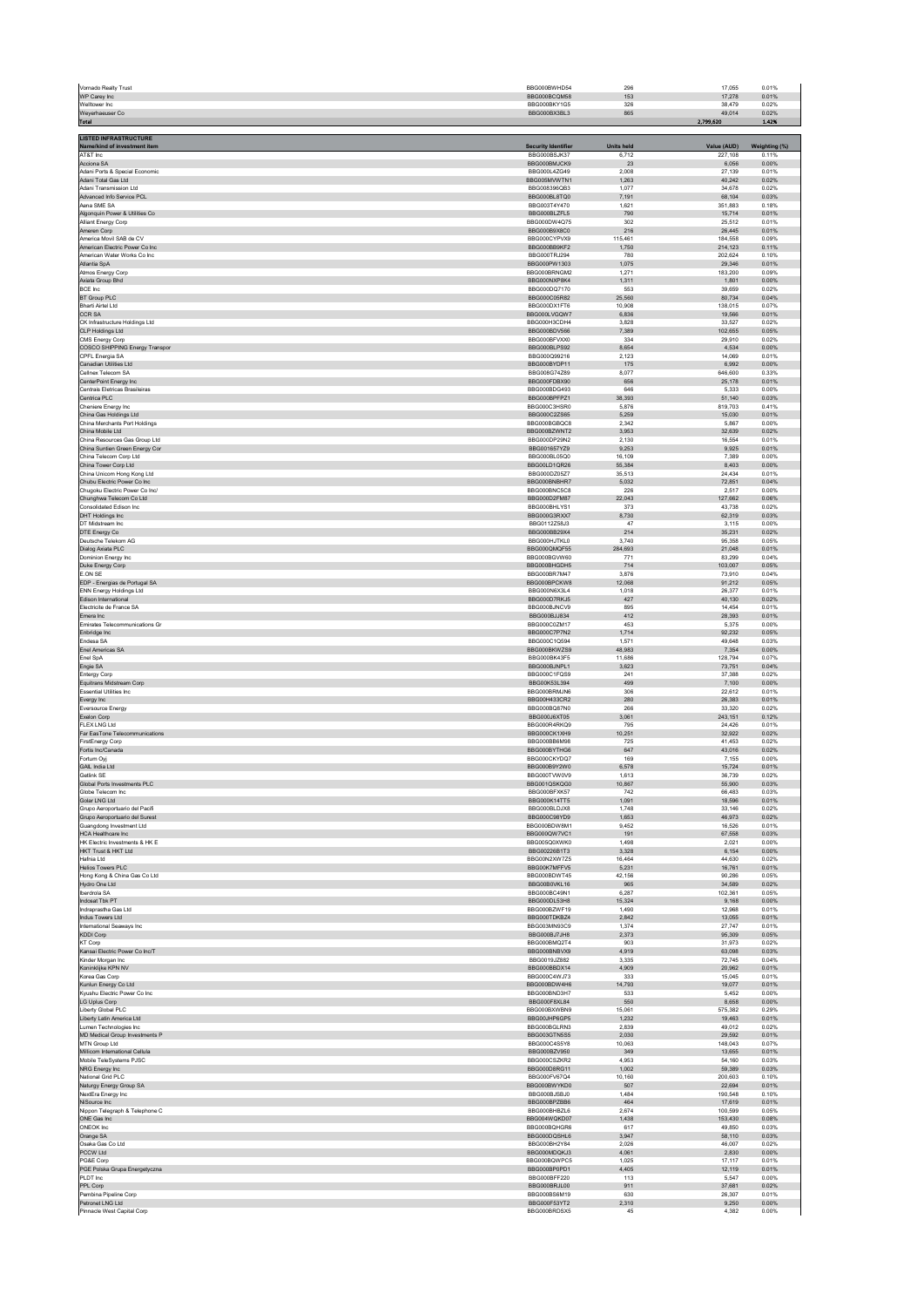| Vornado Realty Trust<br>WP Carey Inc                            | BBG000BWHD54<br>BBG000BCQM58 | 296<br>153        | 0.01%<br>17.055<br>17,278<br>0.01%   |
|-----------------------------------------------------------------|------------------------------|-------------------|--------------------------------------|
| Welltower Inc.<br>Weyerhaeuser Co                               | BBG000BKY1G5<br>BBG000BX3BL3 | 326<br>865        | 0.02%<br>38.479<br>0.02%<br>49,014   |
| Total                                                           |                              |                   | 2,799,620<br>1.42%                   |
| <b>LISTED INFRASTRUCTURE</b><br>Name/kind of investment item    | <b>Security Identifier</b>   | <b>Units held</b> | Value (AUD)<br>Weighting (%)         |
| AT&T Inc<br>Acciona SA                                          | BBG000BSJK37<br>BBG000BMJCK9 | 6,712<br>23       | 227,108<br>0.11%<br>6,056<br>0.00%   |
| Adani Ports & Special Economic                                  | BBG000L4ZG49                 | 2.008             | 27.139<br>0.01%                      |
| Adani Total Gas Ltd<br>Adani Transmission Ltd                   | BBG005MVWTN1<br>BBG008396OB3 | 1,263<br>1.077    | 40,242<br>0.02%<br>0.02%<br>34.678   |
| Advanced Info Service PCL<br>Aena SME SA                        | BBG000BL8TQ0<br>BBG003T4Y470 | 7,191<br>1,621    | 68,104<br>0.03%<br>351,883<br>0.18%  |
| Algonquin Power & Utilities Co<br>Alliant Energy Corp           | BBG000BLZFL5<br>BBG000DW4Q75 | 790<br>302        | 0.01%<br>15,714<br>0.01%<br>25,512   |
| Ameren Corp<br>America Movil SAB de CV                          | BBG000B9X8C0<br>BBG000CYPVX9 | 216<br>115,461    | 26,445<br>0.01%<br>184,558<br>0.09%  |
| American Electric Power Co Inc<br>American Water Works Co Inc.  | BBG000BB9KF2<br>BBG000TRJ294 | 1,750<br>780      | 214,123<br>0.11%<br>202.624<br>0.10% |
| Atlantia SpA<br>Atmos Energy Corp                               | BBG000PW1303<br>BBG000BRNGM2 | 1,075<br>1,271    | 29,346<br>0.01%<br>183,200<br>0.09%  |
| Axiata Group Bhd<br>BCE Inc                                     | BBG000NXP8K4<br>BBG000DQ7170 | 1,311<br>553      | 1,801<br>0.00%<br>39,659<br>0.02%    |
| <b>BT Group PLC</b><br>Bharti Airtel Ltd                        | BBG000C05R82<br>BBG000DX1FT6 | 25.560<br>10,908  | 80,734<br>0.04%<br>138,015<br>0.07%  |
| CCR SA                                                          | BBG000LVGQW7                 | 6,836             | 19,566<br>0.01%                      |
| CK Infrastructure Holdings Ltd<br>CLP Holdings Ltd              | BBG000H3CDH4<br>BBG000BDV566 | 3,828<br>7,389    | 33,527<br>0.02%<br>102,655<br>0.05%  |
| CMS Energy Corp<br>COSCO SHIPPING Energy Transpor               | BBG000BFVXX0<br>BBG000BLPS92 | 334<br>8,654      | 0.02%<br>29.910<br>4,534<br>0.00%    |
| CPFL Energia SA<br>Canadian Utilities Ltd                       | BBG000Q99216<br>BBG000BYDP11 | 2.123<br>175      | 14.069<br>0.01%<br>6,992<br>0.00%    |
| Cellnex Telecom SA<br>CenterPoint Energy Inc                    | BBG008G74Z89<br>BBG000FDBX90 | 8,077<br>656      | 646,600<br>0.33%<br>25.178<br>0.01%  |
| Centrais Eletricas Brasileiras<br>Centrica PLC                  | BBG000BDG493<br>BBG000BPFPZ1 | 646<br>38,393     | 5,333<br>0.00%<br>51,140<br>0.03%    |
| Cheniere Energy Inc.<br>China Gas Holdings Ltd                  | BBG000C3HSR0<br>BBG000C2ZS65 | 5,876<br>5,259    | 819,703<br>0.41%<br>15,030<br>0.01%  |
| China Merchants Port Holdings<br>China Mobile Ltd               | BBG000BGBQC8<br>BBG000BZWNT2 | 2.342<br>3,953    | 5.867<br>0.00%<br>32,639<br>0.02%    |
| China Resources Gas Group Ltd<br>China Suntien Green Energy Cor | BBG000DP29N2<br>BBG001657YZ9 | 2,130<br>9,253    | 16,554<br>0.01%<br>9,925<br>0.01%    |
| China Telecom Corp Ltd                                          | BBG000BL05Q0                 | 16,109            | 7,389<br>0.00%                       |
| China Tower Corp Ltd<br>China Unicom Hong Kong Ltd              | BBG00LD1QR26<br>BBG000DZ05Z7 | 55.384<br>35,513  | 8.403<br>0.00%<br>24,434<br>0.01%    |
| Chubu Electric Power Co Inc.<br>Chugoku Electric Power Co Inc/  | BBG000BNBHR7<br>BBG000BNC5C8 | 5,032<br>226      | 72,851<br>0.04%<br>2,517<br>0.00%    |
| Chunghwa Telecom Co Ltd<br>Consolidated Edison Inc.             | BBG000D2FM87<br>BBG000BHLYS1 | 22,043<br>373     | 127,662<br>0.06%<br>43.738<br>0.02%  |
| DHT Holdings Inc<br>DT Midstream Inc.                           | BBG000G3RXX7<br>BBG0112Z58J3 | 8,730<br>47       | 62,319<br>0.03%<br>3,115<br>0.00%    |
| DTE Energy Co<br>Deutsche Telekom AG                            | BBG000BB29X4<br>BBG000HJTKL0 | 214<br>3,740      | 35,231<br>0.02%<br>95,358<br>0.05%   |
| Dialog Axiata PLC<br>Dominion Energy Inc                        | BBG000QMQF55<br>BBG000BGVW60 | 284.693<br>771    | 21.048<br>0.01%<br>83,299<br>0.04%   |
| Duke Energy Corp<br>E.ON SE                                     | BBG000BHGDH5<br>BBG000BR7M47 | 714<br>3,876      | 103,007<br>0.05%<br>73.910<br>0.04%  |
| EDP - Energias de Portugal SA                                   | BBG000BPCKW8                 | 12,068            | 91,212<br>0.05%                      |
| <b>ENN Energy Holdings Ltd</b><br>Edison International          | BBG000N6X3L4<br>BBG000D7RKJ5 | 1.018<br>427      | 26.377<br>0.01%<br>40,130<br>0.02%   |
| Electricite de France SA<br>Emera Inc.                          | BBG000BJNCV9<br>BBG000BJJ834 | 895<br>412        | 14,454<br>0.01%<br>0.01%<br>28.393   |
| Emirates Telecommunications Gr<br>Enbridge Inc.                 | BBG000C0ZM17<br>BBG000C7P7N2 | 453<br>1,714      | 5,375<br>0.00%<br>92.232<br>0.05%    |
| Endesa SA<br>Enel Americas SA                                   | BBG000C1Q594<br>BBG000BKWZS9 | 1,571<br>48,983   | 49,648<br>0.03%<br>7,354<br>0.00%    |
| Enel SpA<br>Engie SA                                            | BBG000BK43F5<br>BBG000BJNPL1 | 11.686<br>3,623   | 128.794<br>0.07%<br>73,751<br>0.04%  |
| <b>Entergy Corp</b><br>Equitrans Midstream Corp                 | BBG000C1FQS9<br>BBG00K53L394 | 241<br>499        | 37.388<br>0.02%<br>7,100<br>0.00%    |
| <b>Essential Utilities Inc.</b><br>Evergy Inc.                  | BBG000BRMJN6<br>BBG00H433CR2 | 306<br>280        | 22,612<br>0.01%<br>0.01%<br>26.383   |
| Eversource Energy<br>Exelon Corp                                | BBG000BQ87N0<br>BBG000J6XT05 | 266<br>3.061      | 33,320<br>0.02%<br>243,151<br>0.12%  |
| FLEX LNG Ltd                                                    | BBG000R4RKQ9                 | 795               | 24,426<br>0.01%                      |
| Far EasTone Telecommunications<br>FirstEnergy Corp              | BBG000CK1XH9<br>BBG000BB6M98 | 10,251<br>725     | 32,922<br>0.02%<br>41.453<br>0.02%   |
| Fortis Inc/Canada<br>Fortum Ovi                                 | BBG000BYTHG6<br>BBG000CKYDQ7 | 647<br>169        | 43,016<br>0.02%<br>7.155<br>0.00%    |
| GAIL India Ltd<br>Getlink SE                                    | BBG000B9Y2W0<br>BBG000TVW0V9 | 6,578<br>1,613    | 15,724<br>0.01%<br>36,739<br>0.02%   |
| Global Ports Investments PLC<br>Globe Telecom Inc               | BBG001QSKQG0<br>BBG000BFXK57 | 10,867<br>742     | 0.03%<br>55,900<br>66,483<br>0.03%   |
| Golar LNG Ltd<br>Grupo Aeroportuario del Pacifi                 | BBG000K14TT5<br>BBG000BLDJX8 | 1.091<br>1,748    | 18,596<br>0.01%<br>33,146<br>0.02%   |
| Grupo Aeroportuario del Surest<br>Guanodono Investment Ltd.     | BBG000C98YD9<br>BBG000BDW8M1 | 1,653<br>9.452    | 46,973<br>0.02%<br>0.01%<br>16.526   |
| HCA Healthcare Inc<br>HK Electric Investments & HK E            | BBG000QW7VC1<br>BBG005Q0XWK0 | 191<br>1.498      | 67,558<br>0.03%<br>2.021<br>0.00%    |
| HKT Trust & HKT Ltd<br>Hafnia Ltd                               | BBG00226B1T3<br>BBG00N2XW7Z5 | 3,328<br>16,464   | 6,154<br>0.00%<br>44,630<br>0.02%    |
| <b>Helios Towers PLC</b>                                        | BBG00K7MFFV5                 | 5.231             | 0.01%<br>16,761                      |
| Hong Kong & China Gas Co Ltd<br>Hydro One Ltd                   | BBG000BDWT45<br>BBG00B0VKL16 | 42,156<br>965     | 90,286<br>0.05%<br>34,589<br>0.02%   |
| Iberdrola SA<br>Indosat Tbk PT                                  | BBG000BC49N1<br>BBG000DL53H8 | 6,287<br>15,324   | 102,361<br>0.05%<br>9,168<br>0.00%   |
| Indraprastha Gas Ltd<br>Indus Towers Ltd                        | BBG000BZWF19<br>BBG000TDKBZ4 | 1.490<br>2,842    | 12.968<br>0.01%<br>13,055<br>0.01%   |
| International Seaways Inc.<br><b>KDDI Corp</b>                  | BBG003MN93C9<br>BBG000BJ7JH8 | 1.374<br>2,373    | 27.747<br>0.01%<br>95,309<br>0.05%   |
| KT Corp<br>Kansai Electric Power Co Inc/T                       | BBG000BMQ2T4<br>BBG000BNBVX9 | 903<br>4,919      | 31,973<br>0.02%<br>0.03%<br>63.098   |
| Kinder Morgan Inc<br>Koninklijke KPN NV                         | BBG0019JZ882<br>BBG000BBDX14 | 3,335<br>4,909    | 72,745<br>0.04%<br>20.962<br>0.01%   |
| Korea Gas Corp<br>Kunlun Energy Co Ltd                          | BBG000C4WJ73<br>BBG000BDW4H6 | 333<br>14,793     | 15,045<br>0.01%<br>19,077<br>0.01%   |
| Kyushu Electric Power Co Inc.<br>LG Uplus Corp                  | BBG000BND3H7<br>BBG000F8XL84 | 533<br>550        | 0.00%<br>5.452<br>8,658<br>0.00%     |
| Liberty Global PLC                                              | BBG000BXWBN9                 | 15.061            | 575 382<br>0.29%                     |
| Liberty Latin America Ltd<br>Lumen Technologies Inc             | BBG00JHP6GP5<br>BBG000BGLRN3 | 1,232<br>2.839    | 19,463<br>0.01%<br>49,012<br>0.02%   |
| MD Medical Group Investments P<br>MTN Group Ltd                 | BBG003GTN5S5<br>BBG000C4S5Y8 | 2.030<br>10,063   | 0.01%<br>29.592<br>148,043<br>0.07%  |
| Millicom International Cellula<br>Mobile TeleSystems PJSC       | BBG000BZV950<br>BBG000CSZKR2 | 349<br>4,953      | 13,655<br>0.01%<br>54,160<br>0.03%   |
| NRG Energy Inc<br>National Grid PLC                             | BBG000D8RG11<br>BBG000FV67Q4 | 1,002<br>10.160   | 59,389<br>0.03%<br>200.603<br>0.10%  |
| Naturgy Energy Group SA<br>NextEra Energy Inc                   | BBG000BWYKD0<br>BBG000BJSBJ0 | 507<br>1,484      | 22,694<br>0.01%<br>190.548<br>0.10%  |
| NiSource Inc<br>Nippon Telegraph & Telephone C                  | BBG000BPZBB6<br>BBG000BHBZL6 | 464<br>2,674      | 17,619<br>0.01%<br>100,599<br>0.05%  |
| ONE Gas Inc<br>ONEOK Inc                                        | BBG004WQKD07<br>BBG000BQHGR6 | 1,438<br>617      | 153,430<br>0.08%<br>49,850<br>0.03%  |
| Orange SA                                                       | BBG000DQSHL6                 | 3,947             | 58,110<br>0.03%                      |
| Osaka Gas Co Ltd<br>PCCW Ltd                                    | BBG000BH2Y84<br>BBG000MDQKJ3 | 2,026<br>4,061    | 46,007<br>0.02%<br>2,830<br>0.00%    |
| PG&E Corp<br>PGE Polska Grupa Energetyczna                      | BBG000BQWPC5<br>BBG000BP0PD1 | 1.025<br>4,405    | 17.117<br>0.01%<br>12,119<br>0.01%   |
| PLDT Inc.<br>PPL Corp                                           | BBG000BFF220<br>BBG000BRJL00 | 113<br>911        | 5.547<br>0.00%<br>37,681<br>0.02%    |
| Pembina Pipeline Corp<br>Petronet LNG Ltd                       | BBG000BS6M19<br>BBG000F53YT2 | 630<br>2,310      | 26,307<br>0.01%<br>9.250<br>0.00%    |
| Pinnacle West Capital Corp                                      | BBG000BRDSX5                 | 45                | 4,382<br>0.00%                       |